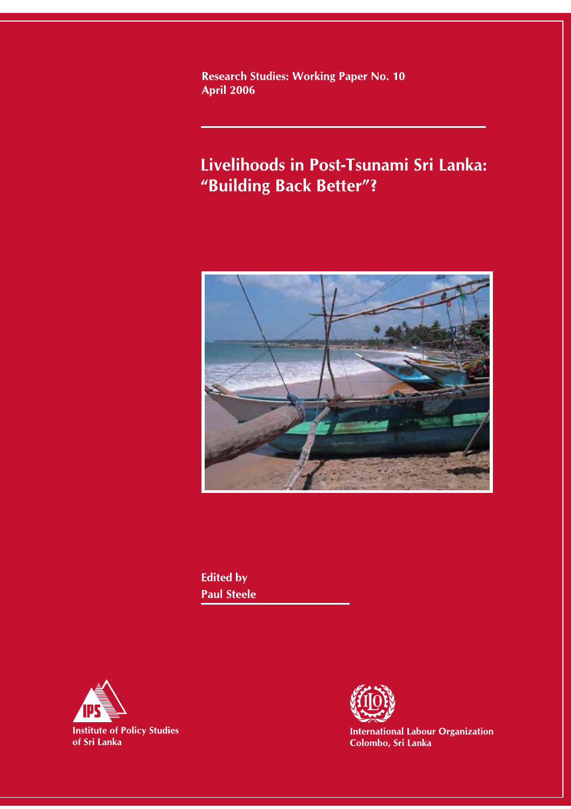**Research Studies: Working Paper No. 10 April 2006** 

# Livelihoods in Post-Tsunami Sri Lanka: "Building Back Better"?



**Edited by Paul Steele** 





**International Labour Organization**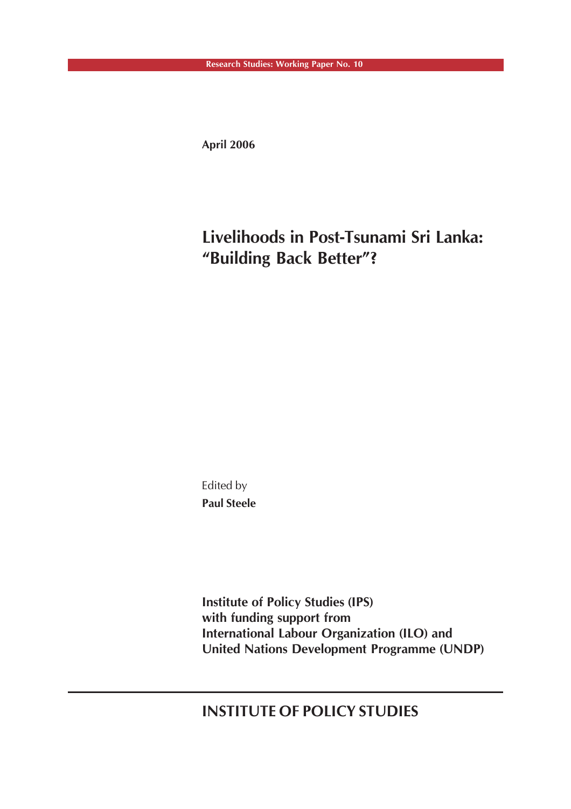**April 2006**

# **Livelihoods in Post-Tsunami Sri Lanka: "Building Back Better"?**

Edited by **Paul Steele**

**Institute of Policy Studies (IPS) with funding support from International Labour Organization (ILO) and United Nations Development Programme (UNDP)**

**INSTITUTE OF POLICY STUDIES**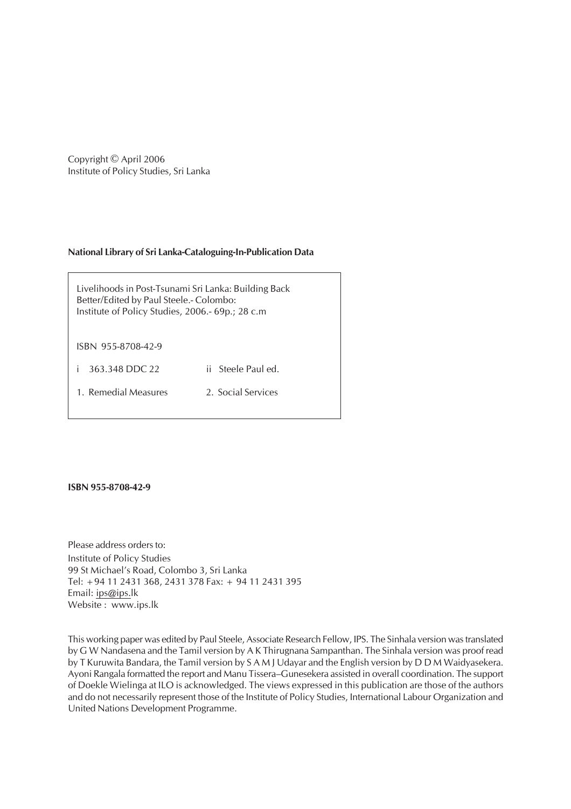Copyright © April 2006 Institute of Policy Studies, Sri Lanka

#### **National Library of Sri Lanka-Cataloguing-In-Publication Data**

Livelihoods in Post-Tsunami Sri Lanka: Building Back Better/Edited by Paul Steele.- Colombo: Institute of Policy Studies, 2006.- 69p.; 28 c.m

ISBN 955-8708-42-9

i 363.348 DDC 22 ii Steele Paul ed.

1. Remedial Measures 2. Social Services

**ISBN 955-8708-42-9**

Please address orders to: Institute of Policy Studies 99 St Michael's Road, Colombo 3, Sri Lanka Tel: +94 11 2431 368, 2431 378 Fax: + 94 11 2431 395 Email: ips@ips.lk Website : www.ips.lk

This working paper was edited by Paul Steele, Associate Research Fellow, IPS. The Sinhala version was translated by G W Nandasena and the Tamil version by A K Thirugnana Sampanthan. The Sinhala version was proof read by T Kuruwita Bandara, the Tamil version by S A M J Udayar and the English version by D D M Waidyasekera. Ayoni Rangala formatted the report and Manu Tissera–Gunesekera assisted in overall coordination. The support of Doekle Wielinga at ILO is acknowledged. The views expressed in this publication are those of the authors and do not necessarily represent those of the Institute of Policy Studies, International Labour Organization and United Nations Development Programme.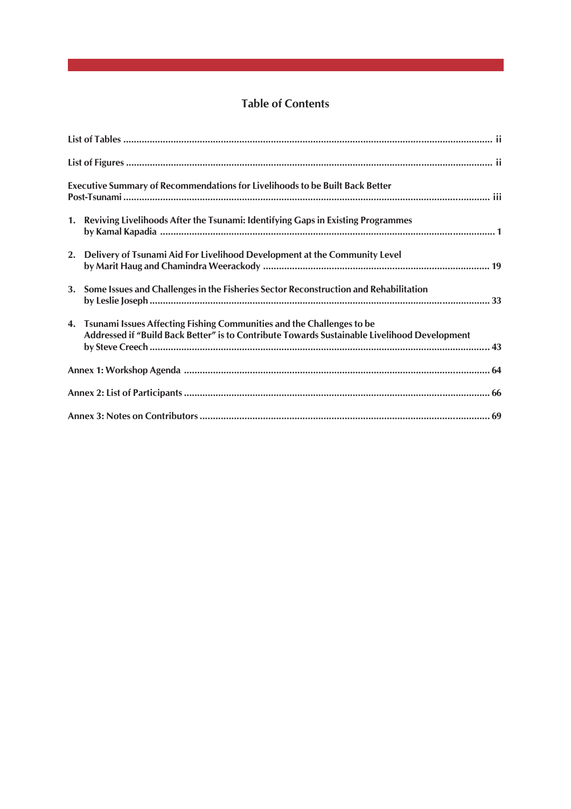# **Table of Contents**

| <b>Executive Summary of Recommendations for Livelihoods to be Built Back Better</b>                                                                                      |
|--------------------------------------------------------------------------------------------------------------------------------------------------------------------------|
| 1. Reviving Livelihoods After the Tsunami: Identifying Gaps in Existing Programmes                                                                                       |
| 2. Delivery of Tsunami Aid For Livelihood Development at the Community Level                                                                                             |
| 3. Some Issues and Challenges in the Fisheries Sector Reconstruction and Rehabilitation                                                                                  |
| 4. Tsunami Issues Affecting Fishing Communities and the Challenges to be<br>Addressed if "Build Back Better" is to Contribute Towards Sustainable Livelihood Development |
|                                                                                                                                                                          |
|                                                                                                                                                                          |
|                                                                                                                                                                          |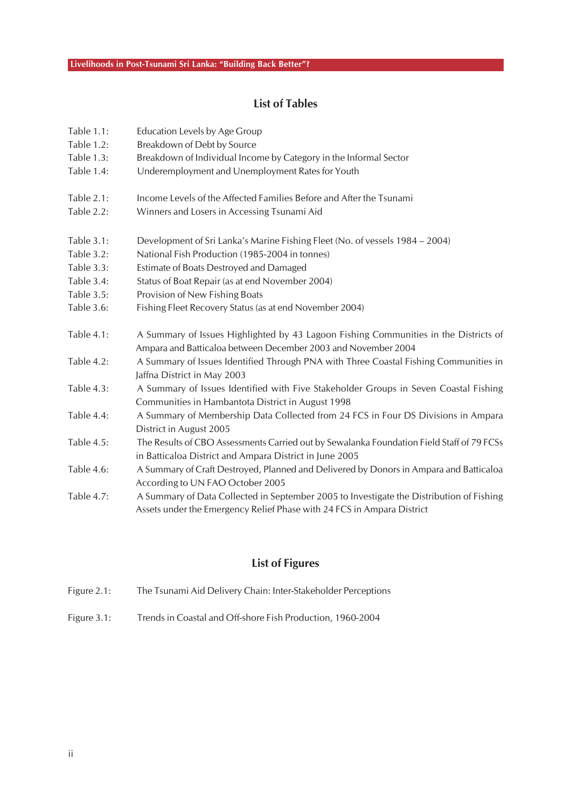## **List of Tables**

| Table 1.1:        | Education Levels by Age Group                                                                                                                                      |
|-------------------|--------------------------------------------------------------------------------------------------------------------------------------------------------------------|
| Table 1.2:        | Breakdown of Debt by Source                                                                                                                                        |
| Table 1.3:        | Breakdown of Individual Income by Category in the Informal Sector                                                                                                  |
| Table 1.4:        | Underemployment and Unemployment Rates for Youth                                                                                                                   |
| <b>Table 2.1:</b> | Income Levels of the Affected Families Before and After the Tsunami                                                                                                |
| Table 2.2:        | Winners and Losers in Accessing Tsunami Aid                                                                                                                        |
| Table 3.1:        | Development of Sri Lanka's Marine Fishing Fleet (No. of vessels 1984 – 2004)                                                                                       |
| Table 3.2:        | National Fish Production (1985-2004 in tonnes)                                                                                                                     |
| Table 3.3:        | Estimate of Boats Destroyed and Damaged                                                                                                                            |
| Table 3.4:        | Status of Boat Repair (as at end November 2004)                                                                                                                    |
| Table 3.5:        | Provision of New Fishing Boats                                                                                                                                     |
| Table 3.6:        | Fishing Fleet Recovery Status (as at end November 2004)                                                                                                            |
| Table 4.1:        | A Summary of Issues Highlighted by 43 Lagoon Fishing Communities in the Districts of<br>Ampara and Batticaloa between December 2003 and November 2004              |
| Table 4.2:        | A Summary of Issues Identified Through PNA with Three Coastal Fishing Communities in<br>Jaffna District in May 2003                                                |
| Table 4.3:        | A Summary of Issues Identified with Five Stakeholder Groups in Seven Coastal Fishing<br>Communities in Hambantota District in August 1998                          |
| Table 4.4:        | A Summary of Membership Data Collected from 24 FCS in Four DS Divisions in Ampara<br>District in August 2005                                                       |
| Table 4.5:        | The Results of CBO Assessments Carried out by Sewalanka Foundation Field Staff of 79 FCSs<br>in Batticaloa District and Ampara District in June 2005               |
| Table 4.6:        | A Summary of Craft Destroyed, Planned and Delivered by Donors in Ampara and Batticaloa<br>According to UN FAO October 2005                                         |
| Table 4.7:        | A Summary of Data Collected in September 2005 to Investigate the Distribution of Fishing<br>Assets under the Emergency Relief Phase with 24 FCS in Ampara District |

# **List of Figures**

| Figure 2.1: | The Tsunami Aid Delivery Chain: Inter-Stakeholder Perceptions |  |
|-------------|---------------------------------------------------------------|--|
|             |                                                               |  |

Figure 3.1: Trends in Coastal and Off-shore Fish Production, 1960-2004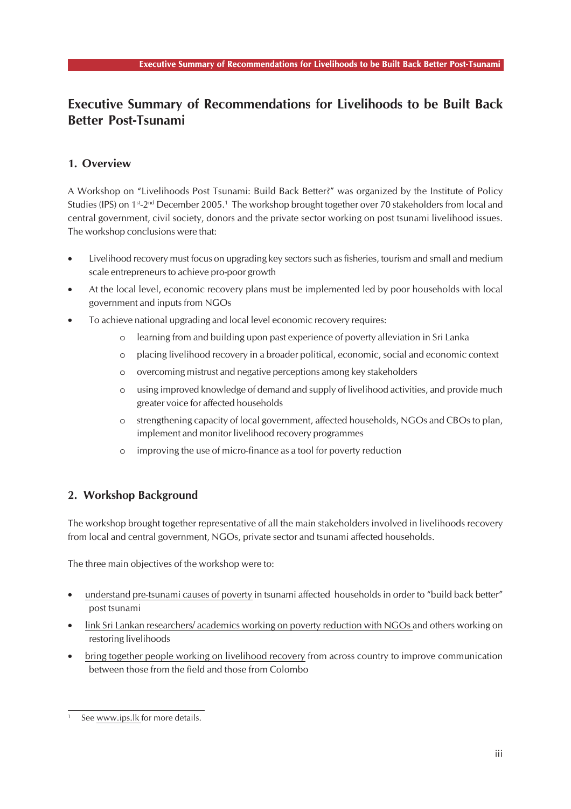# **Executive Summary of Recommendations for Livelihoods to be Built Back Better Post-Tsunami**

### **1. Overview**

A Workshop on "Livelihoods Post Tsunami: Build Back Better?" was organized by the Institute of Policy Studies (IPS) on 1<sup>st</sup>-2<sup>nd</sup> December 2005.<sup>1</sup> The workshop brought together over 70 stakeholders from local and central government, civil society, donors and the private sector working on post tsunami livelihood issues. The workshop conclusions were that:

- Livelihood recovery must focus on upgrading key sectors such as fisheries, tourism and small and medium scale entrepreneurs to achieve pro-poor growth
- At the local level, economic recovery plans must be implemented led by poor households with local government and inputs from NGOs
- To achieve national upgrading and local level economic recovery requires:
	- o learning from and building upon past experience of poverty alleviation in Sri Lanka
	- o placing livelihood recovery in a broader political, economic, social and economic context
	- o overcoming mistrust and negative perceptions among key stakeholders
	- o using improved knowledge of demand and supply of livelihood activities, and provide much greater voice for affected households
	- o strengthening capacity of local government, affected households, NGOs and CBOs to plan, implement and monitor livelihood recovery programmes
	- o improving the use of micro-finance as a tool for poverty reduction

### **2. Workshop Background**

The workshop brought together representative of all the main stakeholders involved in livelihoods recovery from local and central government, NGOs, private sector and tsunami affected households.

The three main objectives of the workshop were to:

- understand pre-tsunami causes of poverty in tsunami affected households in order to "build back better" post tsunami
- link Sri Lankan researchers/ academics working on poverty reduction with NGOs and others working on restoring livelihoods
- bring together people working on livelihood recovery from across country to improve communication between those from the field and those from Colombo

See www.ips.lk for more details.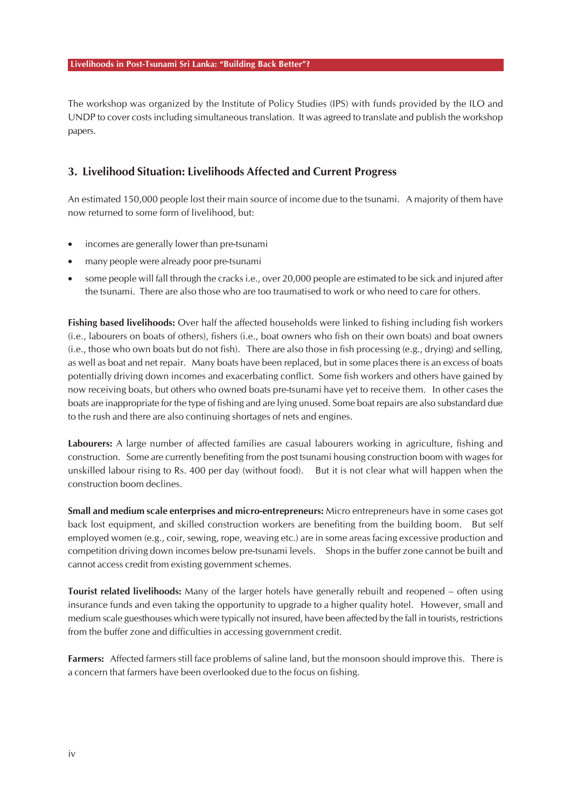The workshop was organized by the Institute of Policy Studies (IPS) with funds provided by the ILO and UNDP to cover costs including simultaneous translation. It was agreed to translate and publish the workshop papers.

### **3. Livelihood Situation: Livelihoods Affected and Current Progress**

An estimated 150,000 people lost their main source of income due to the tsunami. A majority of them have now returned to some form of livelihood, but:

- incomes are generally lower than pre-tsunami
- many people were already poor pre-tsunami
- some people will fall through the cracks i.e., over 20,000 people are estimated to be sick and injured after the tsunami. There are also those who are too traumatised to work or who need to care for others.

**Fishing based livelihoods:** Over half the affected households were linked to fishing including fish workers (i.e., labourers on boats of others), fishers (i.e., boat owners who fish on their own boats) and boat owners (i.e., those who own boats but do not fish). There are also those in fish processing (e.g., drying) and selling, as well as boat and net repair. Many boats have been replaced, but in some places there is an excess of boats potentially driving down incomes and exacerbating conflict. Some fish workers and others have gained by now receiving boats, but others who owned boats pre-tsunami have yet to receive them. In other cases the boats are inappropriate for the type of fishing and are lying unused. Some boat repairs are also substandard due to the rush and there are also continuing shortages of nets and engines.

**Labourers:** A large number of affected families are casual labourers working in agriculture, fishing and construction. Some are currently benefiting from the post tsunami housing construction boom with wages for unskilled labour rising to Rs. 400 per day (without food). But it is not clear what will happen when the construction boom declines.

**Small and medium scale enterprises and micro-entrepreneurs:** Micro entrepreneurs have in some cases got back lost equipment, and skilled construction workers are benefiting from the building boom. But self employed women (e.g., coir, sewing, rope, weaving etc.) are in some areas facing excessive production and competition driving down incomes below pre-tsunami levels. Shops in the buffer zone cannot be built and cannot access credit from existing government schemes.

**Tourist related livelihoods:** Many of the larger hotels have generally rebuilt and reopened – often using insurance funds and even taking the opportunity to upgrade to a higher quality hotel. However, small and medium scale guesthouses which were typically not insured, have been affected by the fall in tourists, restrictions from the buffer zone and difficulties in accessing government credit.

**Farmers:**Affected farmers still face problems of saline land, but the monsoon should improve this. There is a concern that farmers have been overlooked due to the focus on fishing.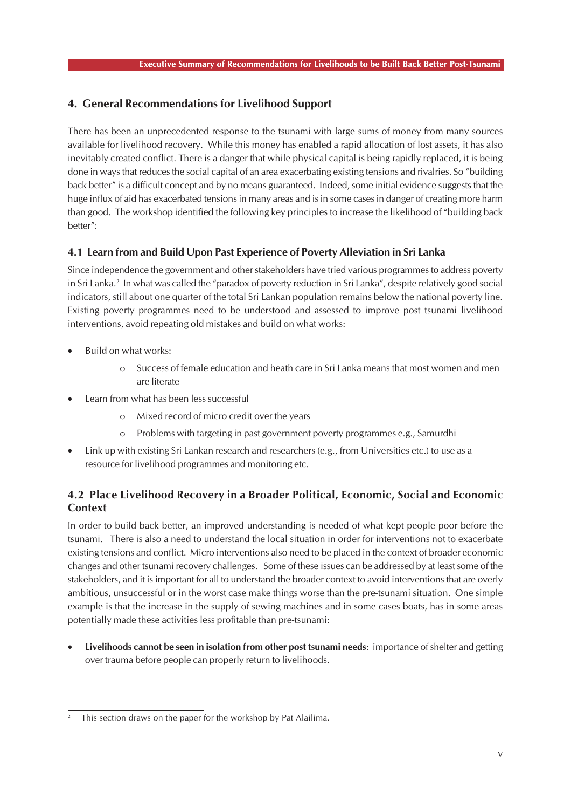### **4. General Recommendations for Livelihood Support**

There has been an unprecedented response to the tsunami with large sums of money from many sources available for livelihood recovery. While this money has enabled a rapid allocation of lost assets, it has also inevitably created conflict. There is a danger that while physical capital is being rapidly replaced, it is being done in ways that reduces the social capital of an area exacerbating existing tensions and rivalries. So "building back better" is a difficult concept and by no means guaranteed. Indeed, some initial evidence suggests that the huge influx of aid has exacerbated tensions in many areas and is in some cases in danger of creating more harm than good. The workshop identified the following key principles to increase the likelihood of "building back better":

### **4.1 Learn from and Build Upon Past Experience of Poverty Alleviation in Sri Lanka**

Since independence the government and other stakeholders have tried various programmes to address poverty in Sri Lanka.2 In what was called the "paradox of poverty reduction in Sri Lanka", despite relatively good social indicators, still about one quarter of the total Sri Lankan population remains below the national poverty line. Existing poverty programmes need to be understood and assessed to improve post tsunami livelihood interventions, avoid repeating old mistakes and build on what works:

- Build on what works:
	- o Success of female education and heath care in Sri Lanka means that most women and men are literate
- Learn from what has been less successful
	- o Mixed record of micro credit over the years
	- o Problems with targeting in past government poverty programmes e.g., Samurdhi
- Link up with existing Sri Lankan research and researchers (e.g., from Universities etc.) to use as a resource for livelihood programmes and monitoring etc.

### **4.2 Place Livelihood Recovery in a Broader Political, Economic, Social and Economic Context**

In order to build back better, an improved understanding is needed of what kept people poor before the tsunami. There is also a need to understand the local situation in order for interventions not to exacerbate existing tensions and conflict. Micro interventions also need to be placed in the context of broader economic changes and other tsunami recovery challenges. Some of these issues can be addressed by at least some of the stakeholders, and it is important for all to understand the broader context to avoid interventions that are overly ambitious, unsuccessful or in the worst case make things worse than the pre-tsunami situation. One simple example is that the increase in the supply of sewing machines and in some cases boats, has in some areas potentially made these activities less profitable than pre-tsunami:

• **Livelihoods cannot be seen in isolation from other post tsunami needs**: importance of shelter and getting over trauma before people can properly return to livelihoods.

This section draws on the paper for the workshop by Pat Alailima.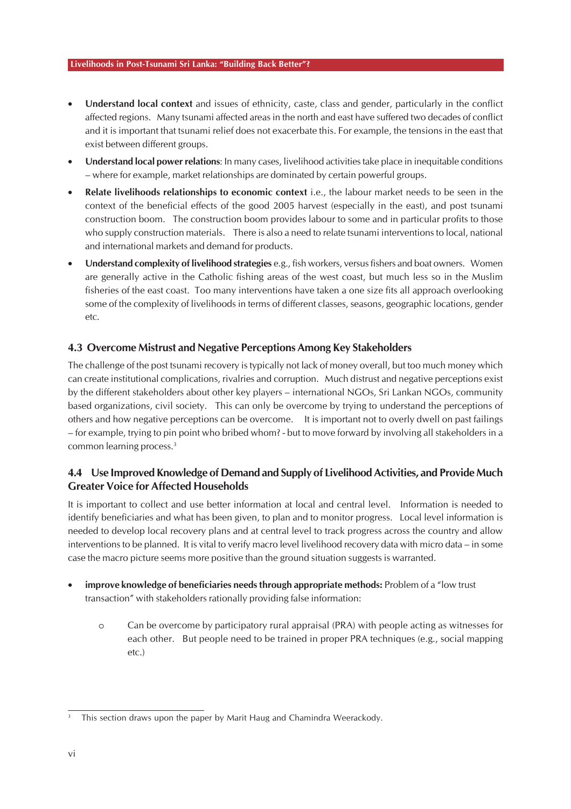- **Understand local context** and issues of ethnicity, caste, class and gender, particularly in the conflict affected regions. Many tsunami affected areas in the north and east have suffered two decades of conflict and it is important that tsunami relief does not exacerbate this. For example, the tensions in the east that exist between different groups.
- **Understand local power relations**: In many cases, livelihood activities take place in inequitable conditions – where for example, market relationships are dominated by certain powerful groups.
- **Relate livelihoods relationships to economic context** i.e., the labour market needs to be seen in the context of the beneficial effects of the good 2005 harvest (especially in the east), and post tsunami construction boom. The construction boom provides labour to some and in particular profits to those who supply construction materials. There is also a need to relate tsunami interventions to local, national and international markets and demand for products.
- **Understand complexity of livelihood strategies** e.g., fish workers, versus fishers and boat owners. Women are generally active in the Catholic fishing areas of the west coast, but much less so in the Muslim fisheries of the east coast. Too many interventions have taken a one size fits all approach overlooking some of the complexity of livelihoods in terms of different classes, seasons, geographic locations, gender etc.

### **4.3 Overcome Mistrust and Negative Perceptions Among Key Stakeholders**

The challenge of the post tsunami recovery is typically not lack of money overall, but too much money which can create institutional complications, rivalries and corruption. Much distrust and negative perceptions exist by the different stakeholders about other key players – international NGOs, Sri Lankan NGOs, community based organizations, civil society. This can only be overcome by trying to understand the perceptions of others and how negative perceptions can be overcome. It is important not to overly dwell on past failings – for example, trying to pin point who bribed whom? - but to move forward by involving all stakeholders in a common learning process.<sup>3</sup>

### **4.4 Use Improved Knowledge of Demand and Supply of Livelihood Activities, and Provide Much Greater Voice for Affected Households**

It is important to collect and use better information at local and central level. Information is needed to identify beneficiaries and what has been given, to plan and to monitor progress. Local level information is needed to develop local recovery plans and at central level to track progress across the country and allow interventions to be planned. It is vital to verify macro level livelihood recovery data with micro data – in some case the macro picture seems more positive than the ground situation suggests is warranted.

- **improve knowledge of beneficiaries needs through appropriate methods:** Problem of a "low trust transaction" with stakeholders rationally providing false information:
	- o Can be overcome by participatory rural appraisal (PRA) with people acting as witnesses for each other. But people need to be trained in proper PRA techniques (e.g., social mapping etc.)

This section draws upon the paper by Marit Haug and Chamindra Weerackody.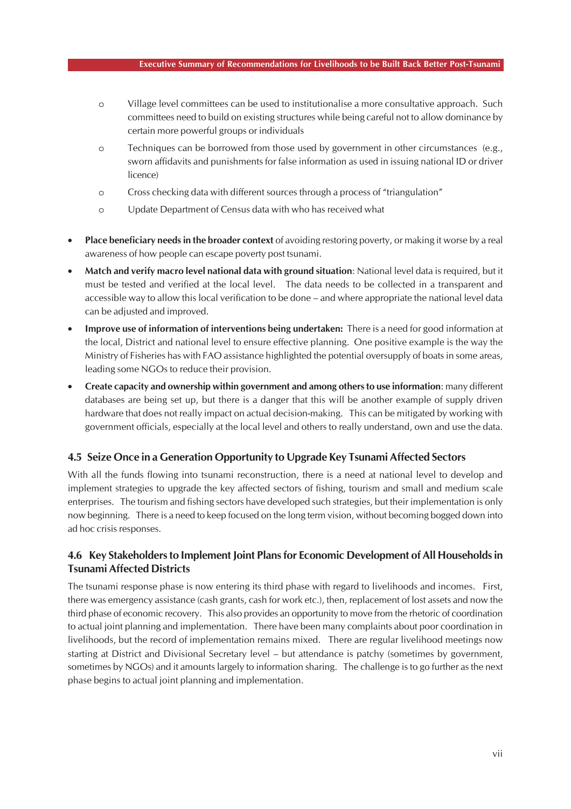- o Village level committees can be used to institutionalise a more consultative approach. Such committees need to build on existing structures while being careful not to allow dominance by certain more powerful groups or individuals
- o Techniques can be borrowed from those used by government in other circumstances (e.g., sworn affidavits and punishments for false information as used in issuing national ID or driver licence)
- o Cross checking data with different sources through a process of "triangulation"
- o Update Department of Census data with who has received what
- **Place beneficiary needs in the broader context** of avoiding restoring poverty, or making it worse by a real awareness of how people can escape poverty post tsunami.
- **Match and verify macro level national data with ground situation**: National level data is required, but it must be tested and verified at the local level. The data needs to be collected in a transparent and accessible way to allow this local verification to be done – and where appropriate the national level data can be adjusted and improved.
- **Improve use of information of interventions being undertaken:** There is a need for good information at the local, District and national level to ensure effective planning. One positive example is the way the Ministry of Fisheries has with FAO assistance highlighted the potential oversupply of boats in some areas, leading some NGOs to reduce their provision.
- **Create capacity and ownership within government and among others to use information**: many different databases are being set up, but there is a danger that this will be another example of supply driven hardware that does not really impact on actual decision-making. This can be mitigated by working with government officials, especially at the local level and others to really understand, own and use the data.

### **4.5 Seize Once in a Generation Opportunity to Upgrade Key Tsunami Affected Sectors**

With all the funds flowing into tsunami reconstruction, there is a need at national level to develop and implement strategies to upgrade the key affected sectors of fishing, tourism and small and medium scale enterprises. The tourism and fishing sectors have developed such strategies, but their implementation is only now beginning. There is a need to keep focused on the long term vision, without becoming bogged down into ad hoc crisis responses.

### **4.6 Key Stakeholders to Implement Joint Plans for Economic Development of All Households in Tsunami Affected Districts**

The tsunami response phase is now entering its third phase with regard to livelihoods and incomes. First, there was emergency assistance (cash grants, cash for work etc.), then, replacement of lost assets and now the third phase of economic recovery. This also provides an opportunity to move from the rhetoric of coordination to actual joint planning and implementation. There have been many complaints about poor coordination in livelihoods, but the record of implementation remains mixed. There are regular livelihood meetings now starting at District and Divisional Secretary level – but attendance is patchy (sometimes by government, sometimes by NGOs) and it amounts largely to information sharing. The challenge is to go further as the next phase begins to actual joint planning and implementation.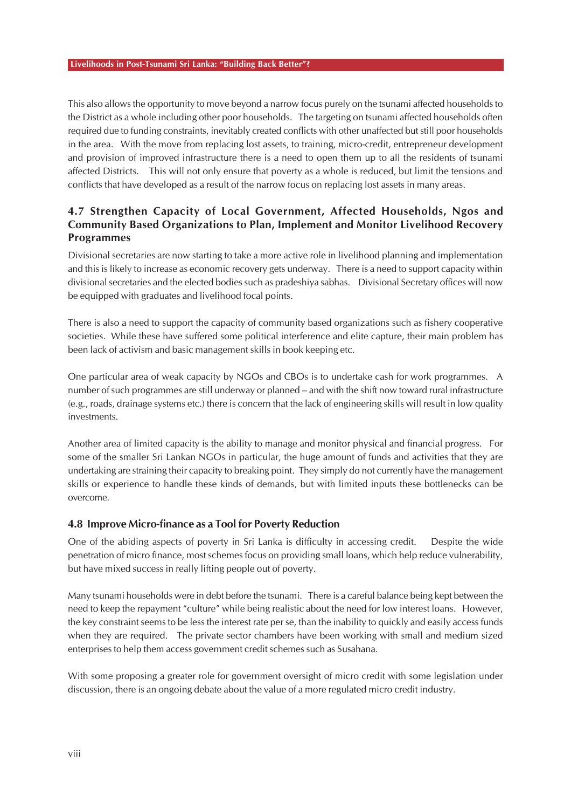This also allows the opportunity to move beyond a narrow focus purely on the tsunami affected households to the District as a whole including other poor households. The targeting on tsunami affected households often required due to funding constraints, inevitably created conflicts with other unaffected but still poor households in the area. With the move from replacing lost assets, to training, micro-credit, entrepreneur development and provision of improved infrastructure there is a need to open them up to all the residents of tsunami affected Districts. This will not only ensure that poverty as a whole is reduced, but limit the tensions and conflicts that have developed as a result of the narrow focus on replacing lost assets in many areas.

### **4.7 Strengthen Capacity of Local Government, Affected Households, Ngos and Community Based Organizations to Plan, Implement and Monitor Livelihood Recovery Programmes**

Divisional secretaries are now starting to take a more active role in livelihood planning and implementation and this is likely to increase as economic recovery gets underway. There is a need to support capacity within divisional secretaries and the elected bodies such as pradeshiya sabhas. Divisional Secretary offices will now be equipped with graduates and livelihood focal points.

There is also a need to support the capacity of community based organizations such as fishery cooperative societies. While these have suffered some political interference and elite capture, their main problem has been lack of activism and basic management skills in book keeping etc.

One particular area of weak capacity by NGOs and CBOs is to undertake cash for work programmes. A number of such programmes are still underway or planned – and with the shift now toward rural infrastructure (e.g., roads, drainage systems etc.) there is concern that the lack of engineering skills will result in low quality investments.

Another area of limited capacity is the ability to manage and monitor physical and financial progress. For some of the smaller Sri Lankan NGOs in particular, the huge amount of funds and activities that they are undertaking are straining their capacity to breaking point. They simply do not currently have the management skills or experience to handle these kinds of demands, but with limited inputs these bottlenecks can be overcome.

### **4.8 Improve Micro-finance as a Tool for Poverty Reduction**

One of the abiding aspects of poverty in Sri Lanka is difficulty in accessing credit. Despite the wide penetration of micro finance, most schemes focus on providing small loans, which help reduce vulnerability, but have mixed success in really lifting people out of poverty.

Many tsunami households were in debt before the tsunami. There is a careful balance being kept between the need to keep the repayment "culture" while being realistic about the need for low interest loans. However, the key constraint seems to be less the interest rate per se, than the inability to quickly and easily access funds when they are required. The private sector chambers have been working with small and medium sized enterprises to help them access government credit schemes such as Susahana.

With some proposing a greater role for government oversight of micro credit with some legislation under discussion, there is an ongoing debate about the value of a more regulated micro credit industry.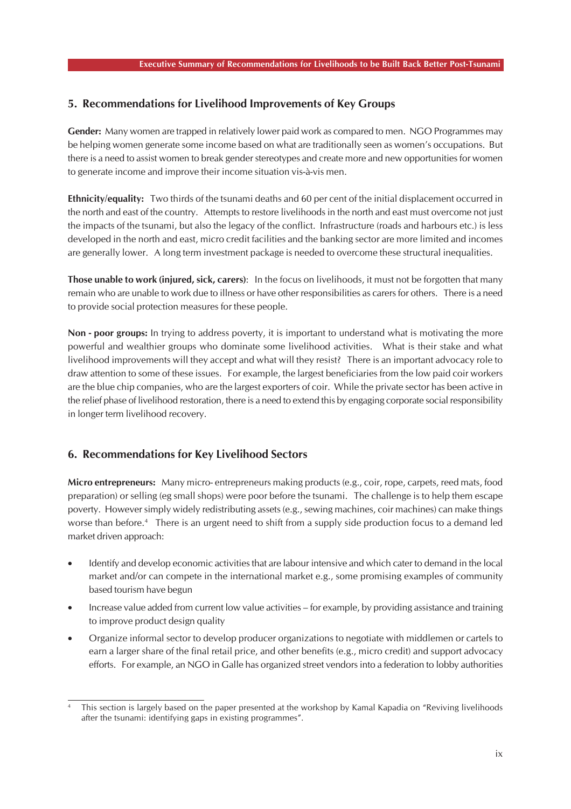### **5. Recommendations for Livelihood Improvements of Key Groups**

**Gender:** Many women are trapped in relatively lower paid work as compared to men. NGO Programmes may be helping women generate some income based on what are traditionally seen as women's occupations. But there is a need to assist women to break gender stereotypes and create more and new opportunities for women to generate income and improve their income situation vis-à-vis men.

**Ethnicity/equality:** Two thirds of the tsunami deaths and 60 per cent of the initial displacement occurred in the north and east of the country. Attempts to restore livelihoods in the north and east must overcome not just the impacts of the tsunami, but also the legacy of the conflict. Infrastructure (roads and harbours etc.) is less developed in the north and east, micro credit facilities and the banking sector are more limited and incomes are generally lower. A long term investment package is needed to overcome these structural inequalities.

**Those unable to work (injured, sick, carers)**: In the focus on livelihoods, it must not be forgotten that many remain who are unable to work due to illness or have other responsibilities as carers for others. There is a need to provide social protection measures for these people.

**Non - poor groups:** In trying to address poverty, it is important to understand what is motivating the more powerful and wealthier groups who dominate some livelihood activities. What is their stake and what livelihood improvements will they accept and what will they resist? There is an important advocacy role to draw attention to some of these issues. For example, the largest beneficiaries from the low paid coir workers are the blue chip companies, who are the largest exporters of coir. While the private sector has been active in the relief phase of livelihood restoration, there is a need to extend this by engaging corporate social responsibility in longer term livelihood recovery.

### **6. Recommendations for Key Livelihood Sectors**

**Micro entrepreneurs:** Many micro- entrepreneurs making products (e.g., coir, rope, carpets, reed mats, food preparation) or selling (eg small shops) were poor before the tsunami. The challenge is to help them escape poverty. However simply widely redistributing assets (e.g., sewing machines, coir machines) can make things worse than before.4 There is an urgent need to shift from a supply side production focus to a demand led market driven approach:

- Identify and develop economic activities that are labour intensive and which cater to demand in the local market and/or can compete in the international market e.g., some promising examples of community based tourism have begun
- Increase value added from current low value activities for example, by providing assistance and training to improve product design quality
- Organize informal sector to develop producer organizations to negotiate with middlemen or cartels to earn a larger share of the final retail price, and other benefits (e.g., micro credit) and support advocacy efforts. For example, an NGO in Galle has organized street vendors into a federation to lobby authorities

This section is largely based on the paper presented at the workshop by Kamal Kapadia on "Reviving livelihoods after the tsunami: identifying gaps in existing programmes".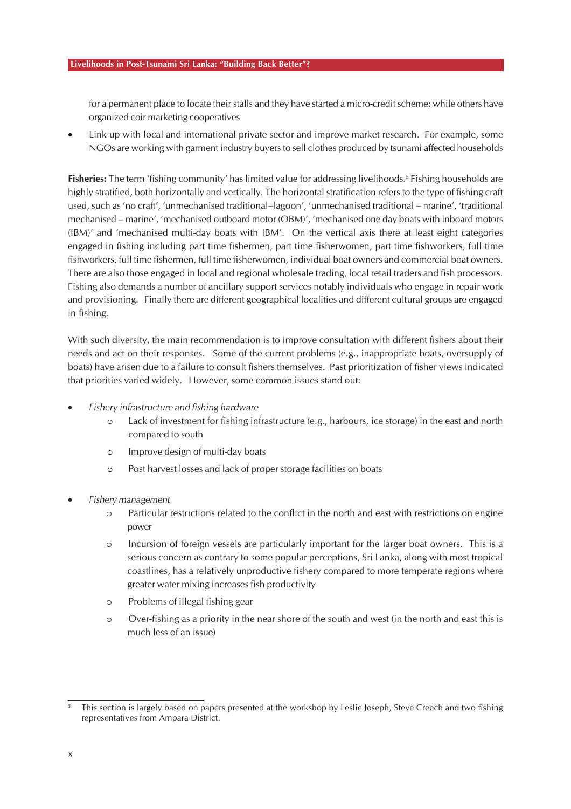for a permanent place to locate their stalls and they have started a micro-credit scheme; while others have organized coir marketing cooperatives

• Link up with local and international private sector and improve market research. For example, some NGOs are working with garment industry buyers to sell clothes produced by tsunami affected households

**Fisheries:** The term 'fishing community' has limited value for addressing livelihoods.<sup>5</sup> Fishing households are highly stratified, both horizontally and vertically. The horizontal stratification refers to the type of fishing craft used, such as 'no craft', 'unmechanised traditional–lagoon', 'unmechanised traditional – marine', 'traditional mechanised – marine', 'mechanised outboard motor (OBM)', 'mechanised one day boats with inboard motors (IBM)' and 'mechanised multi-day boats with IBM'. On the vertical axis there at least eight categories engaged in fishing including part time fishermen, part time fisherwomen, part time fishworkers, full time fishworkers, full time fishermen, full time fisherwomen, individual boat owners and commercial boat owners. There are also those engaged in local and regional wholesale trading, local retail traders and fish processors. Fishing also demands a number of ancillary support services notably individuals who engage in repair work and provisioning. Finally there are different geographical localities and different cultural groups are engaged in fishing.

With such diversity, the main recommendation is to improve consultation with different fishers about their needs and act on their responses. Some of the current problems (e.g., inappropriate boats, oversupply of boats) have arisen due to a failure to consult fishers themselves. Past prioritization of fisher views indicated that priorities varied widely. However, some common issues stand out:

- *Fishery infrastructure and fishing hardware*
	- o Lack of investment for fishing infrastructure (e.g., harbours, ice storage) in the east and north compared to south
	- o Improve design of multi-day boats
	- o Post harvest losses and lack of proper storage facilities on boats
- *Fishery management*
	- o Particular restrictions related to the conflict in the north and east with restrictions on engine power
	- o Incursion of foreign vessels are particularly important for the larger boat owners. This is a serious concern as contrary to some popular perceptions, Sri Lanka, along with most tropical coastlines, has a relatively unproductive fishery compared to more temperate regions where greater water mixing increases fish productivity
	- o Problems of illegal fishing gear
	- o Over-fishing as a priority in the near shore of the south and west (in the north and east this is much less of an issue)

This section is largely based on papers presented at the workshop by Leslie Joseph, Steve Creech and two fishing representatives from Ampara District.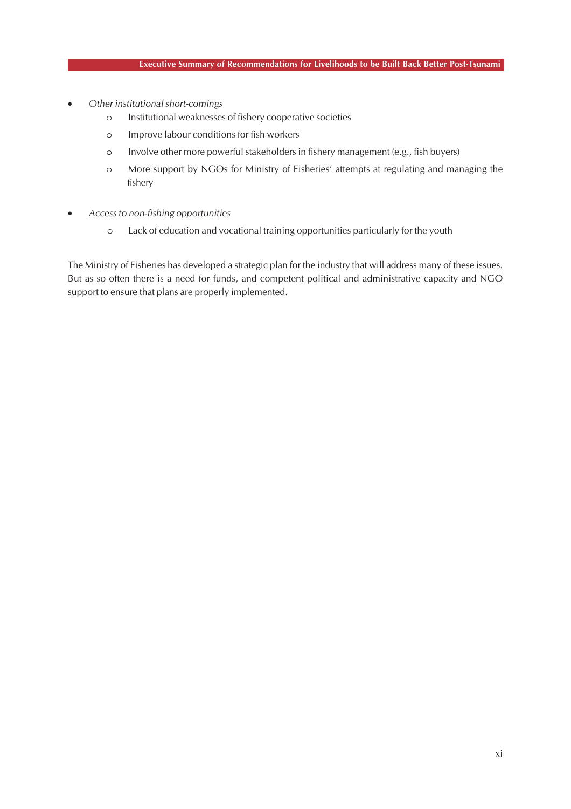- *Other institutional short-comings*
	- o Institutional weaknesses of fishery cooperative societies
	- o Improve labour conditions for fish workers
	- o Involve other more powerful stakeholders in fishery management (e.g., fish buyers)
	- o More support by NGOs for Ministry of Fisheries' attempts at regulating and managing the fishery
- *Access to non-fishing opportunities*
	- o Lack of education and vocational training opportunities particularly for the youth

The Ministry of Fisheries has developed a strategic plan for the industry that will address many of these issues. But as so often there is a need for funds, and competent political and administrative capacity and NGO support to ensure that plans are properly implemented.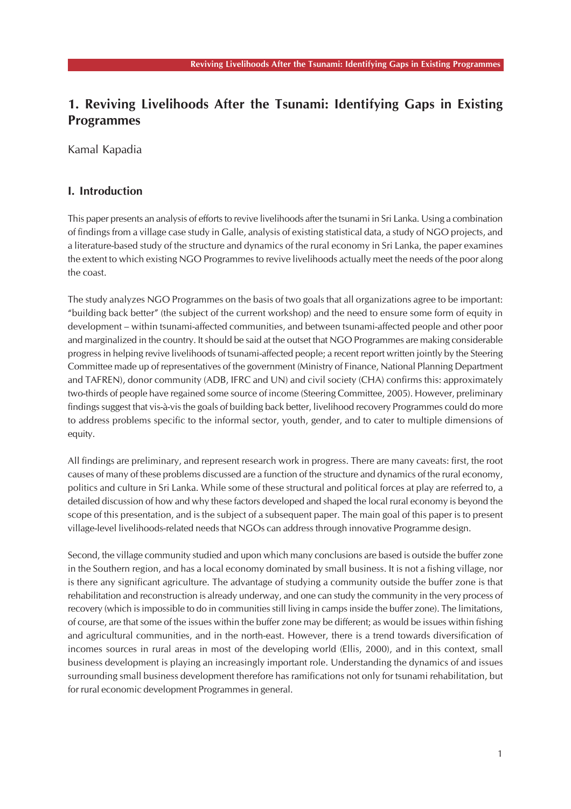# **1. Reviving Livelihoods After the Tsunami: Identifying Gaps in Existing Programmes**

Kamal Kapadia

### **I. Introduction**

This paper presents an analysis of efforts to revive livelihoods after the tsunami in Sri Lanka. Using a combination of findings from a village case study in Galle, analysis of existing statistical data, a study of NGO projects, and a literature-based study of the structure and dynamics of the rural economy in Sri Lanka, the paper examines the extent to which existing NGO Programmes to revive livelihoods actually meet the needs of the poor along the coast.

The study analyzes NGO Programmes on the basis of two goals that all organizations agree to be important: "building back better" (the subject of the current workshop) and the need to ensure some form of equity in development – within tsunami-affected communities, and between tsunami-affected people and other poor and marginalized in the country. It should be said at the outset that NGO Programmes are making considerable progress in helping revive livelihoods of tsunami-affected people; a recent report written jointly by the Steering Committee made up of representatives of the government (Ministry of Finance, National Planning Department and TAFREN), donor community (ADB, IFRC and UN) and civil society (CHA) confirms this: approximately two-thirds of people have regained some source of income (Steering Committee, 2005). However, preliminary findings suggest that vis-à-vis the goals of building back better, livelihood recovery Programmes could do more to address problems specific to the informal sector, youth, gender, and to cater to multiple dimensions of equity.

All findings are preliminary, and represent research work in progress. There are many caveats: first, the root causes of many of these problems discussed are a function of the structure and dynamics of the rural economy, politics and culture in Sri Lanka. While some of these structural and political forces at play are referred to, a detailed discussion of how and why these factors developed and shaped the local rural economy is beyond the scope of this presentation, and is the subject of a subsequent paper. The main goal of this paper is to present village-level livelihoods-related needs that NGOs can address through innovative Programme design.

Second, the village community studied and upon which many conclusions are based is outside the buffer zone in the Southern region, and has a local economy dominated by small business. It is not a fishing village, nor is there any significant agriculture. The advantage of studying a community outside the buffer zone is that rehabilitation and reconstruction is already underway, and one can study the community in the very process of recovery (which is impossible to do in communities still living in camps inside the buffer zone). The limitations, of course, are that some of the issues within the buffer zone may be different; as would be issues within fishing and agricultural communities, and in the north-east. However, there is a trend towards diversification of incomes sources in rural areas in most of the developing world (Ellis, 2000), and in this context, small business development is playing an increasingly important role. Understanding the dynamics of and issues surrounding small business development therefore has ramifications not only for tsunami rehabilitation, but for rural economic development Programmes in general.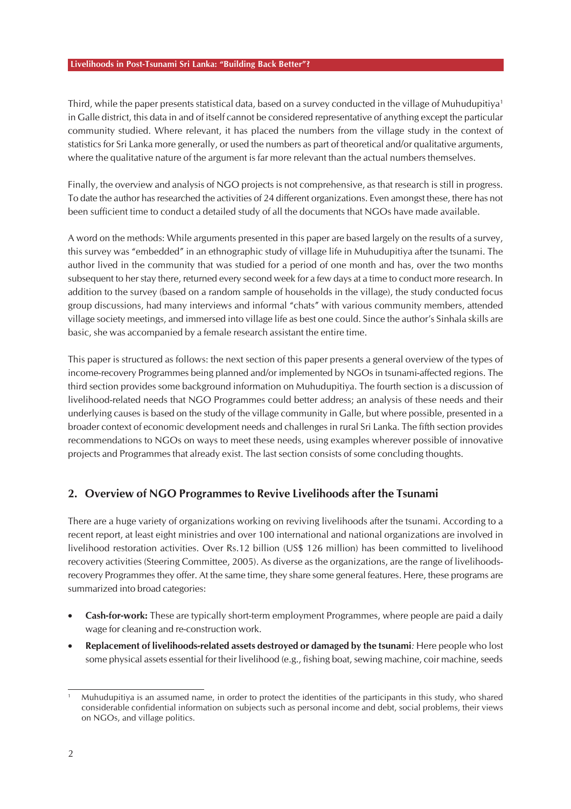Third, while the paper presents statistical data, based on a survey conducted in the village of Muhudupitiya1 in Galle district, this data in and of itself cannot be considered representative of anything except the particular community studied. Where relevant, it has placed the numbers from the village study in the context of statistics for Sri Lanka more generally, or used the numbers as part of theoretical and/or qualitative arguments, where the qualitative nature of the argument is far more relevant than the actual numbers themselves.

Finally, the overview and analysis of NGO projects is not comprehensive, as that research is still in progress. To date the author has researched the activities of 24 different organizations. Even amongst these, there has not been sufficient time to conduct a detailed study of all the documents that NGOs have made available.

A word on the methods: While arguments presented in this paper are based largely on the results of a survey, this survey was "embedded" in an ethnographic study of village life in Muhudupitiya after the tsunami. The author lived in the community that was studied for a period of one month and has, over the two months subsequent to her stay there, returned every second week for a few days at a time to conduct more research. In addition to the survey (based on a random sample of households in the village), the study conducted focus group discussions, had many interviews and informal "chats" with various community members, attended village society meetings, and immersed into village life as best one could. Since the author's Sinhala skills are basic, she was accompanied by a female research assistant the entire time.

This paper is structured as follows: the next section of this paper presents a general overview of the types of income-recovery Programmes being planned and/or implemented by NGOs in tsunami-affected regions. The third section provides some background information on Muhudupitiya. The fourth section is a discussion of livelihood-related needs that NGO Programmes could better address; an analysis of these needs and their underlying causes is based on the study of the village community in Galle, but where possible, presented in a broader context of economic development needs and challenges in rural Sri Lanka. The fifth section provides recommendations to NGOs on ways to meet these needs, using examples wherever possible of innovative projects and Programmes that already exist. The last section consists of some concluding thoughts.

### **2. Overview of NGO Programmes to Revive Livelihoods after the Tsunami**

There are a huge variety of organizations working on reviving livelihoods after the tsunami. According to a recent report, at least eight ministries and over 100 international and national organizations are involved in livelihood restoration activities. Over Rs.12 billion (US\$ 126 million) has been committed to livelihood recovery activities (Steering Committee, 2005). As diverse as the organizations, are the range of livelihoodsrecovery Programmes they offer. At the same time, they share some general features. Here, these programs are summarized into broad categories:

- **Cash-for-work:** These are typically short-term employment Programmes, where people are paid a daily wage for cleaning and re-construction work.
- **Replacement of livelihoods-related assets destroyed or damaged by the tsunami***:* Here people who lost some physical assets essential for their livelihood (e.g., fishing boat, sewing machine, coir machine, seeds

<sup>1</sup> Muhudupitiya is an assumed name, in order to protect the identities of the participants in this study, who shared considerable confidential information on subjects such as personal income and debt, social problems, their views on NGOs, and village politics.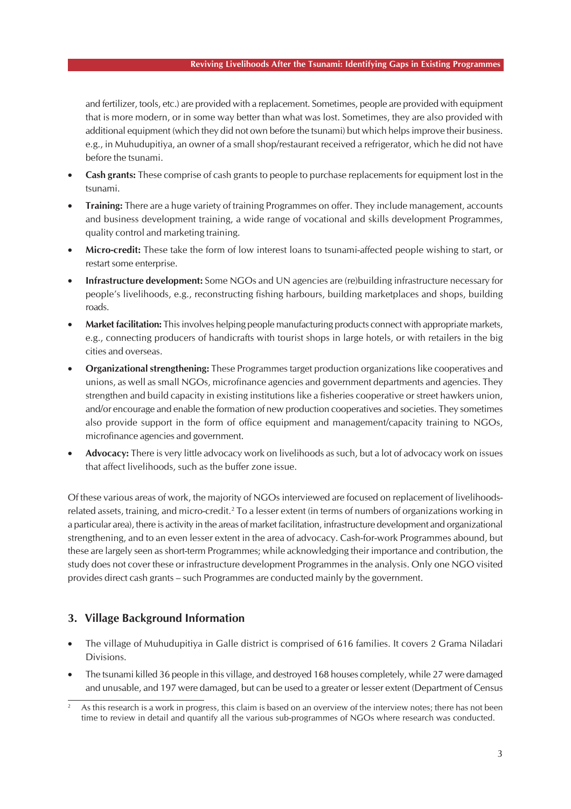#### **Reviving Livelihoods After the Tsunami: Identifying Gaps in Existing Programmes**

and fertilizer, tools, etc.) are provided with a replacement. Sometimes, people are provided with equipment that is more modern, or in some way better than what was lost. Sometimes, they are also provided with additional equipment (which they did not own before the tsunami) but which helps improve their business. e.g., in Muhudupitiya, an owner of a small shop/restaurant received a refrigerator, which he did not have before the tsunami.

- **Cash grants:** These comprise of cash grants to people to purchase replacements for equipment lost in the tsunami.
- **Training:** There are a huge variety of training Programmes on offer. They include management, accounts and business development training, a wide range of vocational and skills development Programmes, quality control and marketing training.
- **Micro-credit:** These take the form of low interest loans to tsunami-affected people wishing to start, or restart some enterprise.
- **Infrastructure development:** Some NGOs and UN agencies are (re)building infrastructure necessary for people's livelihoods, e.g., reconstructing fishing harbours, building marketplaces and shops, building roads.
- **Market facilitation:** This involves helping people manufacturing products connect with appropriate markets, e.g., connecting producers of handicrafts with tourist shops in large hotels, or with retailers in the big cities and overseas.
- **Organizational strengthening:** These Programmes target production organizations like cooperatives and unions, as well as small NGOs, microfinance agencies and government departments and agencies. They strengthen and build capacity in existing institutions like a fisheries cooperative or street hawkers union, and/or encourage and enable the formation of new production cooperatives and societies. They sometimes also provide support in the form of office equipment and management/capacity training to NGOs, microfinance agencies and government.
- **Advocacy:** There is very little advocacy work on livelihoods as such, but a lot of advocacy work on issues that affect livelihoods, such as the buffer zone issue.

Of these various areas of work, the majority of NGOs interviewed are focused on replacement of livelihoodsrelated assets, training, and micro-credit.<sup>2</sup> To a lesser extent (in terms of numbers of organizations working in a particular area), there is activity in the areas of market facilitation, infrastructure development and organizational strengthening, and to an even lesser extent in the area of advocacy. Cash-for-work Programmes abound, but these are largely seen as short-term Programmes; while acknowledging their importance and contribution, the study does not cover these or infrastructure development Programmes in the analysis. Only one NGO visited provides direct cash grants – such Programmes are conducted mainly by the government.

### **3. Village Background Information**

- The village of Muhudupitiya in Galle district is comprised of 616 families. It covers 2 Grama Niladari Divisions.
- The tsunami killed 36 people in this village, and destroyed 168 houses completely, while 27 were damaged and unusable, and 197 were damaged, but can be used to a greater or lesser extent (Department of Census

<sup>2</sup> As this research is a work in progress, this claim is based on an overview of the interview notes; there has not been time to review in detail and quantify all the various sub-programmes of NGOs where research was conducted.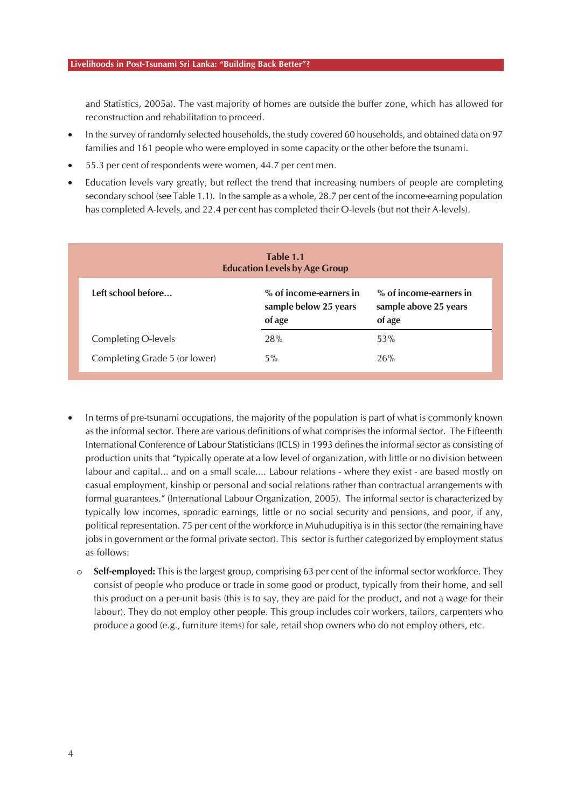and Statistics, 2005a). The vast majority of homes are outside the buffer zone, which has allowed for reconstruction and rehabilitation to proceed.

- In the survey of randomly selected households, the study covered 60 households, and obtained data on 97 families and 161 people who were employed in some capacity or the other before the tsunami.
- 55.3 per cent of respondents were women, 44.7 per cent men.
- Education levels vary greatly, but reflect the trend that increasing numbers of people are completing secondary school (see Table 1.1). In the sample as a whole, 28.7 per cent of the income-earning population has completed A-levels, and 22.4 per cent has completed their O-levels (but not their A-levels).

| Table 1.1<br><b>Education Levels by Age Group</b> |                                                           |                                                           |  |  |  |  |
|---------------------------------------------------|-----------------------------------------------------------|-----------------------------------------------------------|--|--|--|--|
| Left school before                                | % of income-earners in<br>sample below 25 years<br>of age | % of income-earners in<br>sample above 25 years<br>of age |  |  |  |  |
| Completing O-levels                               | 28%                                                       | 53%                                                       |  |  |  |  |
| Completing Grade 5 (or lower)                     | 5%                                                        | 26%                                                       |  |  |  |  |

- In terms of pre-tsunami occupations, the majority of the population is part of what is commonly known as the informal sector. There are various definitions of what comprises the informal sector. The Fifteenth International Conference of Labour Statisticians (ICLS) in 1993 defines the informal sector as consisting of production units that "typically operate at a low level of organization, with little or no division between labour and capital... and on a small scale.... Labour relations - where they exist - are based mostly on casual employment, kinship or personal and social relations rather than contractual arrangements with formal guarantees." (International Labour Organization, 2005). The informal sector is characterized by typically low incomes, sporadic earnings, little or no social security and pensions, and poor, if any, political representation. 75 per cent of the workforce in Muhudupitiya is in this sector (the remaining have jobs in government or the formal private sector). This sector is further categorized by employment status as follows:
	- o **Self-employed:** This is the largest group, comprising 63 per cent of the informal sector workforce. They consist of people who produce or trade in some good or product, typically from their home, and sell this product on a per-unit basis (this is to say, they are paid for the product, and not a wage for their labour). They do not employ other people. This group includes coir workers, tailors, carpenters who produce a good (e.g., furniture items) for sale, retail shop owners who do not employ others, etc.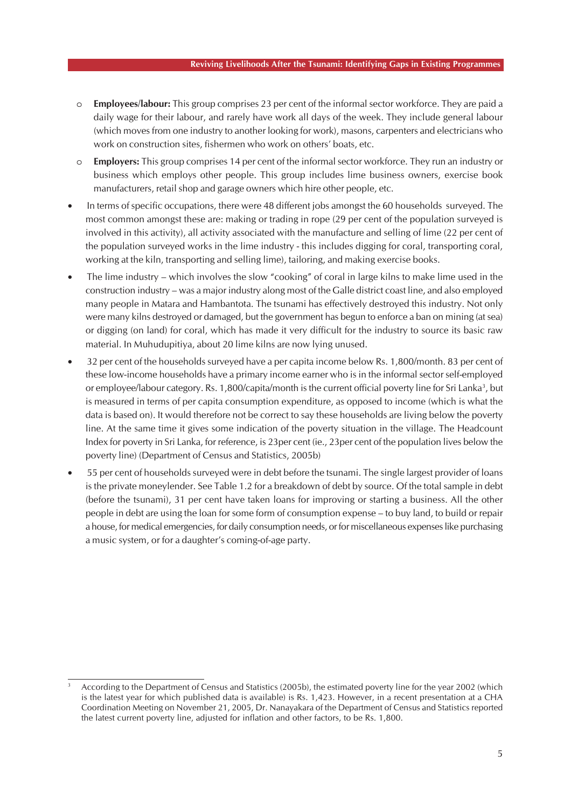- **Employees/labour:** This group comprises 23 per cent of the informal sector workforce. They are paid a daily wage for their labour, and rarely have work all days of the week. They include general labour (which moves from one industry to another looking for work), masons, carpenters and electricians who work on construction sites, fishermen who work on others' boats, etc.
- o **Employers:** This group comprises 14 per cent of the informal sector workforce. They run an industry or business which employs other people. This group includes lime business owners, exercise book manufacturers, retail shop and garage owners which hire other people, etc.
- In terms of specific occupations, there were 48 different jobs amongst the 60 households surveyed. The most common amongst these are: making or trading in rope (29 per cent of the population surveyed is involved in this activity), all activity associated with the manufacture and selling of lime (22 per cent of the population surveyed works in the lime industry - this includes digging for coral, transporting coral, working at the kiln, transporting and selling lime), tailoring, and making exercise books.
- The lime industry which involves the slow "cooking" of coral in large kilns to make lime used in the construction industry – was a major industry along most of the Galle district coast line, and also employed many people in Matara and Hambantota. The tsunami has effectively destroyed this industry. Not only were many kilns destroyed or damaged, but the government has begun to enforce a ban on mining (at sea) or digging (on land) for coral, which has made it very difficult for the industry to source its basic raw material. In Muhudupitiya, about 20 lime kilns are now lying unused.
- 32 per cent of the households surveyed have a per capita income below Rs. 1,800/month. 83 per cent of these low-income households have a primary income earner who is in the informal sector self-employed or employee/labour category. Rs. 1,800/capita/month is the current official poverty line for Sri Lanka<sup>3</sup>, but is measured in terms of per capita consumption expenditure, as opposed to income (which is what the data is based on). It would therefore not be correct to say these households are living below the poverty line. At the same time it gives some indication of the poverty situation in the village. The Headcount Index for poverty in Sri Lanka, for reference, is 23per cent (ie., 23per cent of the population lives below the poverty line) (Department of Census and Statistics, 2005b)
- 55 per cent of households surveyed were in debt before the tsunami. The single largest provider of loans is the private moneylender. See Table 1.2 for a breakdown of debt by source. Of the total sample in debt (before the tsunami), 31 per cent have taken loans for improving or starting a business. All the other people in debt are using the loan for some form of consumption expense – to buy land, to build or repair a house, for medical emergencies, for daily consumption needs, or for miscellaneous expenses like purchasing a music system, or for a daughter's coming-of-age party.

<sup>3</sup> According to the Department of Census and Statistics (2005b), the estimated poverty line for the year 2002 (which is the latest year for which published data is available) is Rs. 1,423. However, in a recent presentation at a CHA Coordination Meeting on November 21, 2005, Dr. Nanayakara of the Department of Census and Statistics reported the latest current poverty line, adjusted for inflation and other factors, to be Rs. 1,800.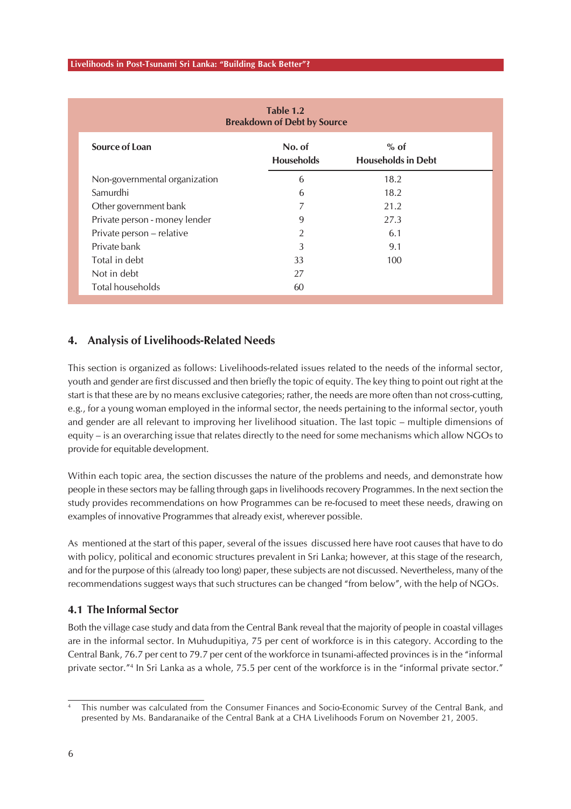| Table 1.2<br><b>Breakdown of Debt by Source</b> |                             |                                     |  |  |  |
|-------------------------------------------------|-----------------------------|-------------------------------------|--|--|--|
| Source of Loan                                  | No. of<br><b>Households</b> | $%$ of<br><b>Households in Debt</b> |  |  |  |
| Non-governmental organization                   | 6                           | 18.2                                |  |  |  |
| Samurdhi                                        | 6                           | 18.2                                |  |  |  |
| Other government bank                           | 7                           | 21.2                                |  |  |  |
| Private person - money lender                   | 9                           | 27.3                                |  |  |  |
| Private person - relative                       | 2                           | 6.1                                 |  |  |  |
| Private bank                                    | 3                           | 9.1                                 |  |  |  |
| Total in debt                                   | 33                          | 100                                 |  |  |  |
| Not in debt                                     | 27                          |                                     |  |  |  |
| Total households                                | 60                          |                                     |  |  |  |

### **4. Analysis of Livelihoods-Related Needs**

This section is organized as follows: Livelihoods-related issues related to the needs of the informal sector, youth and gender are first discussed and then briefly the topic of equity. The key thing to point out right at the start is that these are by no means exclusive categories; rather, the needs are more often than not cross-cutting, e.g., for a young woman employed in the informal sector, the needs pertaining to the informal sector, youth and gender are all relevant to improving her livelihood situation. The last topic – multiple dimensions of equity – is an overarching issue that relates directly to the need for some mechanisms which allow NGOs to provide for equitable development.

Within each topic area, the section discusses the nature of the problems and needs, and demonstrate how people in these sectors may be falling through gaps in livelihoods recovery Programmes. In the next section the study provides recommendations on how Programmes can be re-focused to meet these needs, drawing on examples of innovative Programmes that already exist, wherever possible.

As mentioned at the start of this paper, several of the issues discussed here have root causes that have to do with policy, political and economic structures prevalent in Sri Lanka; however, at this stage of the research, and for the purpose of this (already too long) paper, these subjects are not discussed. Nevertheless, many of the recommendations suggest ways that such structures can be changed "from below", with the help of NGOs.

### **4.1 The Informal Sector**

Both the village case study and data from the Central Bank reveal that the majority of people in coastal villages are in the informal sector. In Muhudupitiya, 75 per cent of workforce is in this category. According to the Central Bank, 76.7 per cent to 79.7 per cent of the workforce in tsunami-affected provinces is in the "informal private sector."4 In Sri Lanka as a whole, 75.5 per cent of the workforce is in the "informal private sector."

<sup>4</sup> This number was calculated from the Consumer Finances and Socio-Economic Survey of the Central Bank, and presented by Ms. Bandaranaike of the Central Bank at a CHA Livelihoods Forum on November 21, 2005.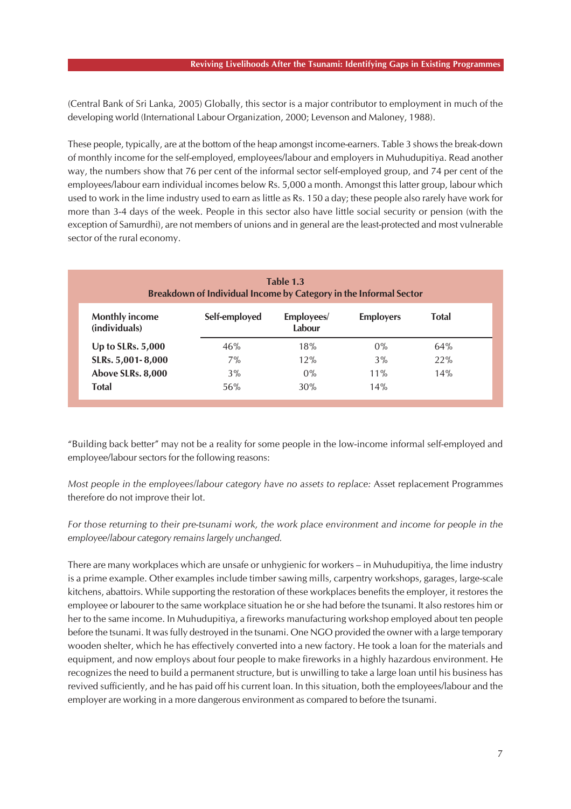(Central Bank of Sri Lanka, 2005) Globally, this sector is a major contributor to employment in much of the developing world (International Labour Organization, 2000; Levenson and Maloney, 1988).

These people, typically, are at the bottom of the heap amongst income-earners. Table 3 shows the break-down of monthly income for the self-employed, employees/labour and employers in Muhudupitiya. Read another way, the numbers show that 76 per cent of the informal sector self-employed group, and 74 per cent of the employees/labour earn individual incomes below Rs. 5,000 a month. Amongst this latter group, labour which used to work in the lime industry used to earn as little as Rs. 150 a day; these people also rarely have work for more than 3-4 days of the week. People in this sector also have little social security or pension (with the exception of Samurdhi), are not members of unions and in general are the least-protected and most vulnerable sector of the rural economy.

| Table 1.3<br>Breakdown of Individual Income by Category in the Informal Sector |               |                      |                  |              |  |  |  |  |
|--------------------------------------------------------------------------------|---------------|----------------------|------------------|--------------|--|--|--|--|
| <b>Monthly income</b><br>(individuals)                                         | Self-employed | Employees/<br>Labour | <b>Employers</b> | <b>Total</b> |  |  |  |  |
| Up to SLRs. 5,000                                                              | 46%           | 18%                  | 0%               | 64%          |  |  |  |  |
| SLRs. 5,001-8,000                                                              | 7%            | 12%                  | 3%               | 22%          |  |  |  |  |
| Above SLRs. 8,000                                                              | 3%            | $0\%$                | $11\%$           | 14%          |  |  |  |  |
| <b>Total</b>                                                                   | 56%           | 30%                  | 14%              |              |  |  |  |  |

"Building back better" may not be a reality for some people in the low-income informal self-employed and employee/labour sectors for the following reasons:

*Most people in the employees/labour category have no assets to replace:* Asset replacement Programmes therefore do not improve their lot.

*For those returning to their pre-tsunami work, the work place environment and income for people in the employee/labour category remains largely unchanged.*

There are many workplaces which are unsafe or unhygienic for workers – in Muhudupitiya, the lime industry is a prime example. Other examples include timber sawing mills, carpentry workshops, garages, large-scale kitchens, abattoirs. While supporting the restoration of these workplaces benefits the employer, it restores the employee or labourer to the same workplace situation he or she had before the tsunami. It also restores him or her to the same income. In Muhudupitiya, a fireworks manufacturing workshop employed about ten people before the tsunami. It was fully destroyed in the tsunami. One NGO provided the owner with a large temporary wooden shelter, which he has effectively converted into a new factory. He took a loan for the materials and equipment, and now employs about four people to make fireworks in a highly hazardous environment. He recognizes the need to build a permanent structure, but is unwilling to take a large loan until his business has revived sufficiently, and he has paid off his current loan. In this situation, both the employees/labour and the employer are working in a more dangerous environment as compared to before the tsunami.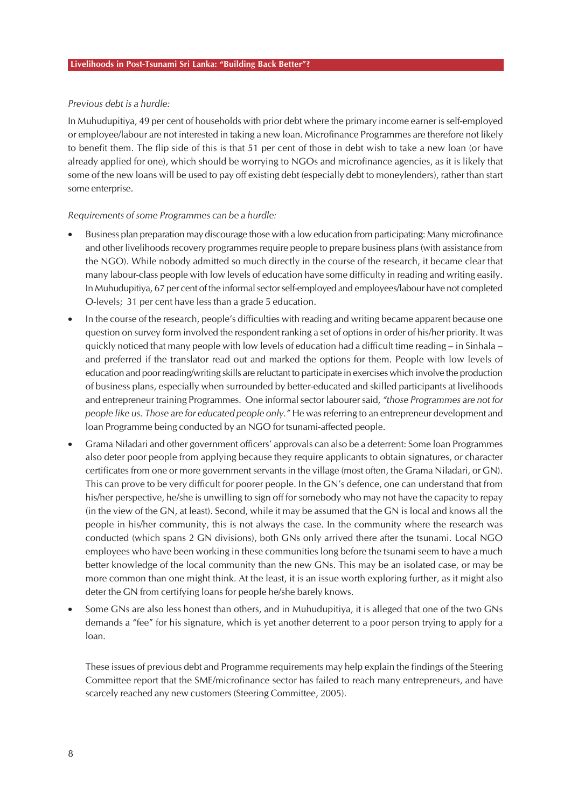#### *Previous debt is a hurdle:*

In Muhudupitiya, 49 per cent of households with prior debt where the primary income earner is self-employed or employee/labour are not interested in taking a new loan. Microfinance Programmes are therefore not likely to benefit them. The flip side of this is that 51 per cent of those in debt wish to take a new loan (or have already applied for one), which should be worrying to NGOs and microfinance agencies, as it is likely that some of the new loans will be used to pay off existing debt (especially debt to moneylenders), rather than start some enterprise.

#### *Requirements of some Programmes can be a hurdle:*

- Business plan preparation may discourage those with a low education from participating: Many microfinance and other livelihoods recovery programmes require people to prepare business plans (with assistance from the NGO). While nobody admitted so much directly in the course of the research, it became clear that many labour-class people with low levels of education have some difficulty in reading and writing easily. In Muhudupitiya, 67 per cent of the informal sector self-employed and employees/labour have not completed O-levels; 31 per cent have less than a grade 5 education.
- In the course of the research, people's difficulties with reading and writing became apparent because one question on survey form involved the respondent ranking a set of options in order of his/her priority. It was quickly noticed that many people with low levels of education had a difficult time reading – in Sinhala – and preferred if the translator read out and marked the options for them. People with low levels of education and poor reading/writing skills are reluctant to participate in exercises which involve the production of business plans, especially when surrounded by better-educated and skilled participants at livelihoods and entrepreneur training Programmes. One informal sector labourer said, *"those Programmes are not for people like us. Those are for educated people only."* He was referring to an entrepreneur development and loan Programme being conducted by an NGO for tsunami-affected people.
- Grama Niladari and other government officers' approvals can also be a deterrent: Some loan Programmes also deter poor people from applying because they require applicants to obtain signatures, or character certificates from one or more government servants in the village (most often, the Grama Niladari, or GN). This can prove to be very difficult for poorer people. In the GN's defence, one can understand that from his/her perspective, he/she is unwilling to sign off for somebody who may not have the capacity to repay (in the view of the GN, at least). Second, while it may be assumed that the GN is local and knows all the people in his/her community, this is not always the case. In the community where the research was conducted (which spans 2 GN divisions), both GNs only arrived there after the tsunami. Local NGO employees who have been working in these communities long before the tsunami seem to have a much better knowledge of the local community than the new GNs. This may be an isolated case, or may be more common than one might think. At the least, it is an issue worth exploring further, as it might also deter the GN from certifying loans for people he/she barely knows.
- Some GNs are also less honest than others, and in Muhudupitiya, it is alleged that one of the two GNs demands a "fee" for his signature, which is yet another deterrent to a poor person trying to apply for a loan.

These issues of previous debt and Programme requirements may help explain the findings of the Steering Committee report that the SME/microfinance sector has failed to reach many entrepreneurs, and have scarcely reached any new customers (Steering Committee, 2005).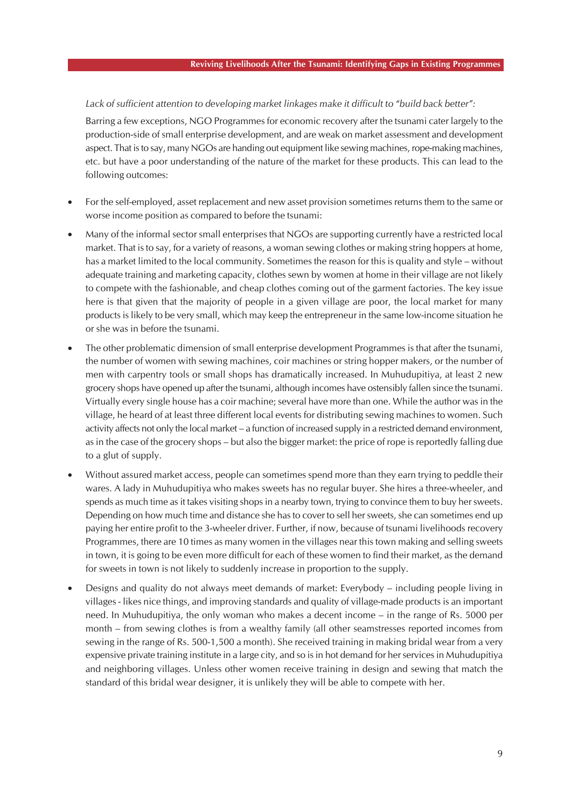#### *Lack of sufficient attention to developing market linkages make it difficult to "build back better":*

Barring a few exceptions, NGO Programmes for economic recovery after the tsunami cater largely to the production-side of small enterprise development, and are weak on market assessment and development aspect. That is to say, many NGOs are handing out equipment like sewing machines, rope-making machines, etc. but have a poor understanding of the nature of the market for these products. This can lead to the following outcomes:

- For the self-employed, asset replacement and new asset provision sometimes returns them to the same or worse income position as compared to before the tsunami:
- Many of the informal sector small enterprises that NGOs are supporting currently have a restricted local market. That is to say, for a variety of reasons, a woman sewing clothes or making string hoppers at home, has a market limited to the local community. Sometimes the reason for this is quality and style – without adequate training and marketing capacity, clothes sewn by women at home in their village are not likely to compete with the fashionable, and cheap clothes coming out of the garment factories. The key issue here is that given that the majority of people in a given village are poor, the local market for many products is likely to be very small, which may keep the entrepreneur in the same low-income situation he or she was in before the tsunami.
- The other problematic dimension of small enterprise development Programmes is that after the tsunami, the number of women with sewing machines, coir machines or string hopper makers, or the number of men with carpentry tools or small shops has dramatically increased. In Muhudupitiya, at least 2 new grocery shops have opened up after the tsunami, although incomes have ostensibly fallen since the tsunami. Virtually every single house has a coir machine; several have more than one. While the author was in the village, he heard of at least three different local events for distributing sewing machines to women. Such activity affects not only the local market – a function of increased supply in a restricted demand environment, as in the case of the grocery shops – but also the bigger market: the price of rope is reportedly falling due to a glut of supply.
- Without assured market access, people can sometimes spend more than they earn trying to peddle their wares. A lady in Muhudupitiya who makes sweets has no regular buyer. She hires a three-wheeler, and spends as much time as it takes visiting shops in a nearby town, trying to convince them to buy her sweets. Depending on how much time and distance she has to cover to sell her sweets, she can sometimes end up paying her entire profit to the 3-wheeler driver. Further, if now, because of tsunami livelihoods recovery Programmes, there are 10 times as many women in the villages near this town making and selling sweets in town, it is going to be even more difficult for each of these women to find their market, as the demand for sweets in town is not likely to suddenly increase in proportion to the supply.
- Designs and quality do not always meet demands of market: Everybody including people living in villages - likes nice things, and improving standards and quality of village-made products is an important need. In Muhudupitiya, the only woman who makes a decent income – in the range of Rs. 5000 per month – from sewing clothes is from a wealthy family (all other seamstresses reported incomes from sewing in the range of Rs. 500-1,500 a month). She received training in making bridal wear from a very expensive private training institute in a large city, and so is in hot demand for her services in Muhudupitiya and neighboring villages. Unless other women receive training in design and sewing that match the standard of this bridal wear designer, it is unlikely they will be able to compete with her.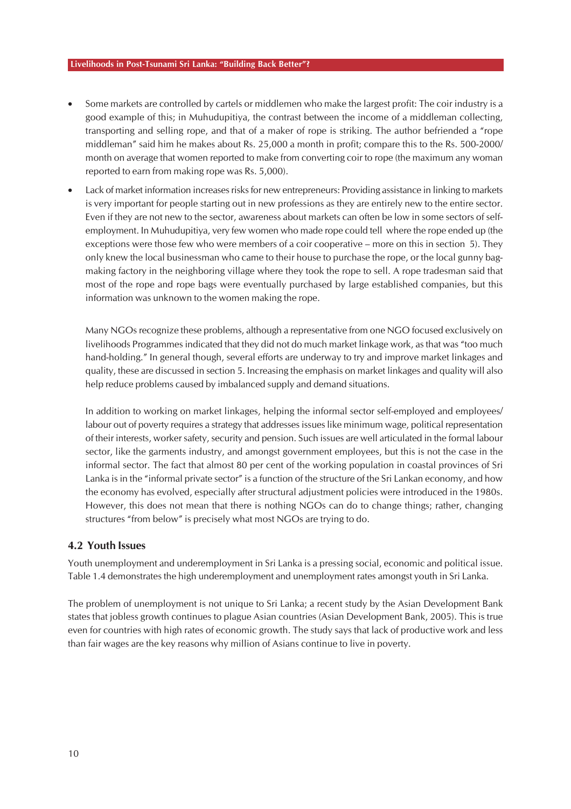- Some markets are controlled by cartels or middlemen who make the largest profit: The coir industry is a good example of this; in Muhudupitiya, the contrast between the income of a middleman collecting, transporting and selling rope, and that of a maker of rope is striking. The author befriended a "rope middleman" said him he makes about Rs. 25,000 a month in profit; compare this to the Rs. 500-2000/ month on average that women reported to make from converting coir to rope (the maximum any woman reported to earn from making rope was Rs. 5,000).
- Lack of market information increases risks for new entrepreneurs: Providing assistance in linking to markets is very important for people starting out in new professions as they are entirely new to the entire sector. Even if they are not new to the sector, awareness about markets can often be low in some sectors of selfemployment. In Muhudupitiya, very few women who made rope could tell where the rope ended up (the exceptions were those few who were members of a coir cooperative – more on this in section 5). They only knew the local businessman who came to their house to purchase the rope, or the local gunny bagmaking factory in the neighboring village where they took the rope to sell. A rope tradesman said that most of the rope and rope bags were eventually purchased by large established companies, but this information was unknown to the women making the rope.

Many NGOs recognize these problems, although a representative from one NGO focused exclusively on livelihoods Programmes indicated that they did not do much market linkage work, as that was "too much hand-holding." In general though, several efforts are underway to try and improve market linkages and quality, these are discussed in section 5. Increasing the emphasis on market linkages and quality will also help reduce problems caused by imbalanced supply and demand situations.

In addition to working on market linkages, helping the informal sector self-employed and employees/ labour out of poverty requires a strategy that addresses issues like minimum wage, political representation of their interests, worker safety, security and pension. Such issues are well articulated in the formal labour sector, like the garments industry, and amongst government employees, but this is not the case in the informal sector. The fact that almost 80 per cent of the working population in coastal provinces of Sri Lanka is in the "informal private sector" is a function of the structure of the Sri Lankan economy, and how the economy has evolved, especially after structural adjustment policies were introduced in the 1980s. However, this does not mean that there is nothing NGOs can do to change things; rather, changing structures "from below" is precisely what most NGOs are trying to do.

#### **4.2 Youth Issues**

Youth unemployment and underemployment in Sri Lanka is a pressing social, economic and political issue. Table 1.4 demonstrates the high underemployment and unemployment rates amongst youth in Sri Lanka.

The problem of unemployment is not unique to Sri Lanka; a recent study by the Asian Development Bank states that jobless growth continues to plague Asian countries (Asian Development Bank, 2005). This is true even for countries with high rates of economic growth. The study says that lack of productive work and less than fair wages are the key reasons why million of Asians continue to live in poverty.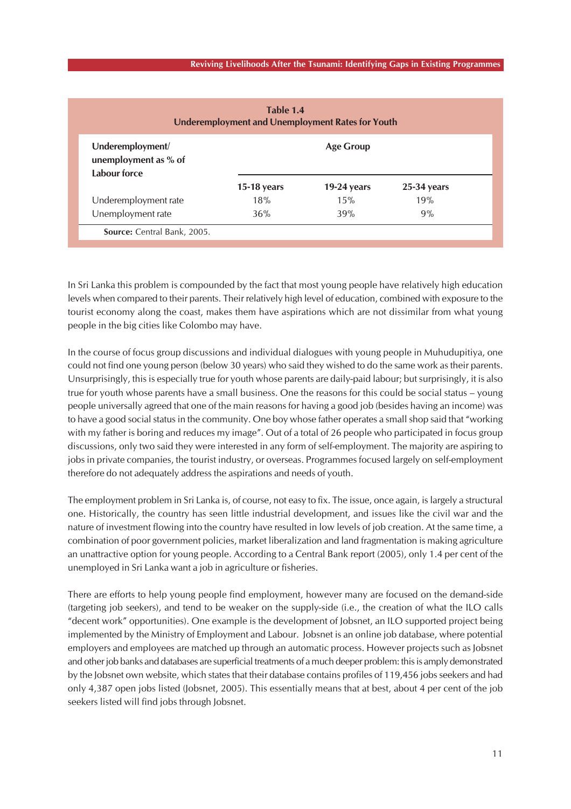|                                                          | <b>Underemployment and Unemployment Rates for Youth</b> |                  |               |  |  |  |
|----------------------------------------------------------|---------------------------------------------------------|------------------|---------------|--|--|--|
| Underemployment/<br>unemployment as % of<br>Labour force |                                                         | <b>Age Group</b> |               |  |  |  |
|                                                          | $15-18$ years                                           | 19-24 years      | $25-34$ years |  |  |  |
| Underemployment rate                                     | 18%                                                     | 15%              | 19%           |  |  |  |
| Unemployment rate                                        | 36%                                                     | 39%              | 9%            |  |  |  |

In Sri Lanka this problem is compounded by the fact that most young people have relatively high education levels when compared to their parents. Their relatively high level of education, combined with exposure to the tourist economy along the coast, makes them have aspirations which are not dissimilar from what young people in the big cities like Colombo may have.

In the course of focus group discussions and individual dialogues with young people in Muhudupitiya, one could not find one young person (below 30 years) who said they wished to do the same work as their parents. Unsurprisingly, this is especially true for youth whose parents are daily-paid labour; but surprisingly, it is also true for youth whose parents have a small business. One the reasons for this could be social status – young people universally agreed that one of the main reasons for having a good job (besides having an income) was to have a good social status in the community. One boy whose father operates a small shop said that "working with my father is boring and reduces my image". Out of a total of 26 people who participated in focus group discussions, only two said they were interested in any form of self-employment. The majority are aspiring to jobs in private companies, the tourist industry, or overseas. Programmes focused largely on self-employment therefore do not adequately address the aspirations and needs of youth.

The employment problem in Sri Lanka is, of course, not easy to fix. The issue, once again, is largely a structural one. Historically, the country has seen little industrial development, and issues like the civil war and the nature of investment flowing into the country have resulted in low levels of job creation. At the same time, a combination of poor government policies, market liberalization and land fragmentation is making agriculture an unattractive option for young people. According to a Central Bank report (2005), only 1.4 per cent of the unemployed in Sri Lanka want a job in agriculture or fisheries.

There are efforts to help young people find employment, however many are focused on the demand-side (targeting job seekers), and tend to be weaker on the supply-side (i.e., the creation of what the ILO calls "decent work" opportunities). One example is the development of Jobsnet, an ILO supported project being implemented by the Ministry of Employment and Labour. Jobsnet is an online job database, where potential employers and employees are matched up through an automatic process. However projects such as Jobsnet and other job banks and databases are superficial treatments of a much deeper problem: this is amply demonstrated by the Jobsnet own website, which states that their database contains profiles of 119,456 jobs seekers and had only 4,387 open jobs listed (Jobsnet, 2005). This essentially means that at best, about 4 per cent of the job seekers listed will find jobs through Jobsnet.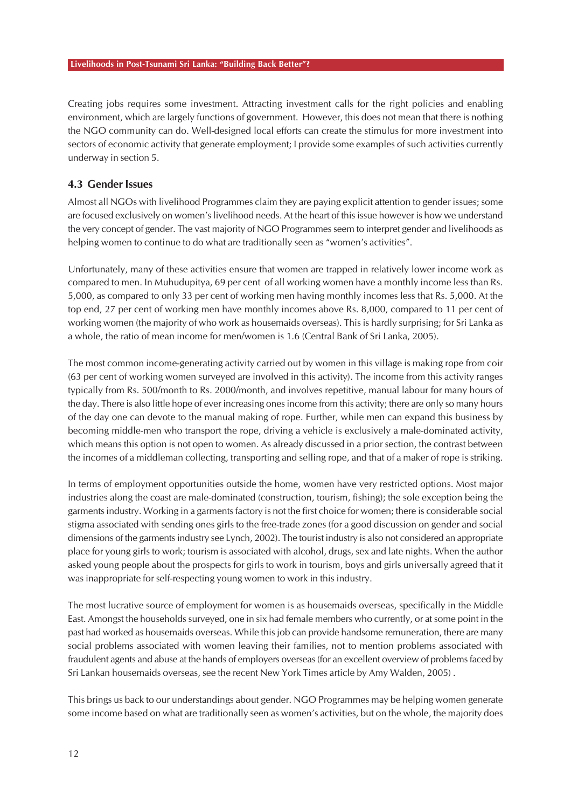Creating jobs requires some investment. Attracting investment calls for the right policies and enabling environment, which are largely functions of government. However, this does not mean that there is nothing the NGO community can do. Well-designed local efforts can create the stimulus for more investment into sectors of economic activity that generate employment; I provide some examples of such activities currently underway in section 5.

#### **4.3 Gender Issues**

Almost all NGOs with livelihood Programmes claim they are paying explicit attention to gender issues; some are focused exclusively on women's livelihood needs. At the heart of this issue however is how we understand the very concept of gender. The vast majority of NGO Programmes seem to interpret gender and livelihoods as helping women to continue to do what are traditionally seen as "women's activities".

Unfortunately, many of these activities ensure that women are trapped in relatively lower income work as compared to men. In Muhudupitya, 69 per cent of all working women have a monthly income less than Rs. 5,000, as compared to only 33 per cent of working men having monthly incomes less that Rs. 5,000. At the top end, 27 per cent of working men have monthly incomes above Rs. 8,000, compared to 11 per cent of working women (the majority of who work as housemaids overseas). This is hardly surprising; for Sri Lanka as a whole, the ratio of mean income for men/women is 1.6 (Central Bank of Sri Lanka, 2005).

The most common income-generating activity carried out by women in this village is making rope from coir (63 per cent of working women surveyed are involved in this activity). The income from this activity ranges typically from Rs. 500/month to Rs. 2000/month, and involves repetitive, manual labour for many hours of the day. There is also little hope of ever increasing ones income from this activity; there are only so many hours of the day one can devote to the manual making of rope. Further, while men can expand this business by becoming middle-men who transport the rope, driving a vehicle is exclusively a male-dominated activity, which means this option is not open to women. As already discussed in a prior section, the contrast between the incomes of a middleman collecting, transporting and selling rope, and that of a maker of rope is striking.

In terms of employment opportunities outside the home, women have very restricted options. Most major industries along the coast are male-dominated (construction, tourism, fishing); the sole exception being the garments industry. Working in a garments factory is not the first choice for women; there is considerable social stigma associated with sending ones girls to the free-trade zones (for a good discussion on gender and social dimensions of the garments industry see Lynch, 2002). The tourist industry is also not considered an appropriate place for young girls to work; tourism is associated with alcohol, drugs, sex and late nights. When the author asked young people about the prospects for girls to work in tourism, boys and girls universally agreed that it was inappropriate for self-respecting young women to work in this industry.

The most lucrative source of employment for women is as housemaids overseas, specifically in the Middle East. Amongst the households surveyed, one in six had female members who currently, or at some point in the past had worked as housemaids overseas. While this job can provide handsome remuneration, there are many social problems associated with women leaving their families, not to mention problems associated with fraudulent agents and abuse at the hands of employers overseas (for an excellent overview of problems faced by Sri Lankan housemaids overseas, see the recent New York Times article by Amy Walden, 2005) .

This brings us back to our understandings about gender. NGO Programmes may be helping women generate some income based on what are traditionally seen as women's activities, but on the whole, the majority does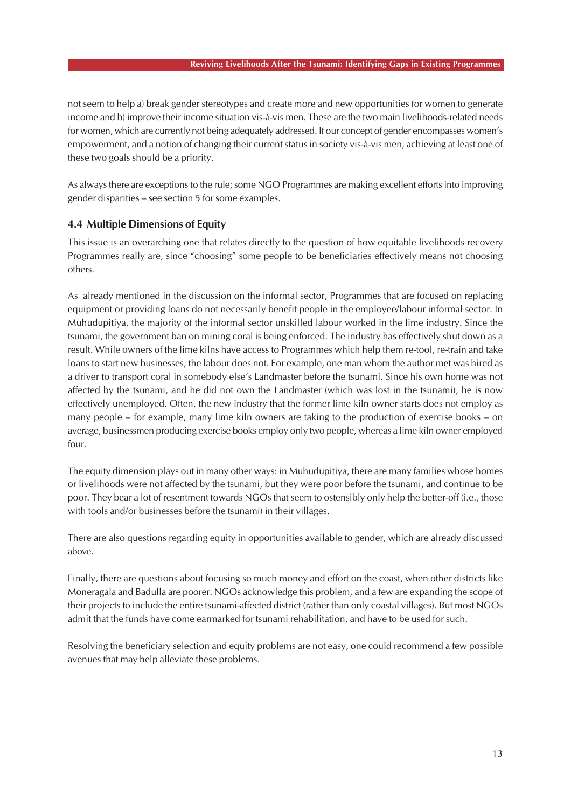#### **Reviving Livelihoods After the Tsunami: Identifying Gaps in Existing Programmes**

not seem to help a) break gender stereotypes and create more and new opportunities for women to generate income and b) improve their income situation vis-à-vis men. These are the two main livelihoods-related needs for women, which are currently not being adequately addressed. If our concept of gender encompasses women's empowerment, and a notion of changing their current status in society vis-à-vis men, achieving at least one of these two goals should be a priority.

As always there are exceptions to the rule; some NGO Programmes are making excellent efforts into improving gender disparities – see section 5 for some examples.

### **4.4 Multiple Dimensions of Equity**

This issue is an overarching one that relates directly to the question of how equitable livelihoods recovery Programmes really are, since "choosing" some people to be beneficiaries effectively means not choosing others.

As already mentioned in the discussion on the informal sector, Programmes that are focused on replacing equipment or providing loans do not necessarily benefit people in the employee/labour informal sector. In Muhudupitiya, the majority of the informal sector unskilled labour worked in the lime industry. Since the tsunami, the government ban on mining coral is being enforced. The industry has effectively shut down as a result. While owners of the lime kilns have access to Programmes which help them re-tool, re-train and take loans to start new businesses, the labour does not. For example, one man whom the author met was hired as a driver to transport coral in somebody else's Landmaster before the tsunami. Since his own home was not affected by the tsunami, and he did not own the Landmaster (which was lost in the tsunami), he is now effectively unemployed. Often, the new industry that the former lime kiln owner starts does not employ as many people – for example, many lime kiln owners are taking to the production of exercise books – on average, businessmen producing exercise books employ only two people, whereas a lime kiln owner employed four.

The equity dimension plays out in many other ways: in Muhudupitiya, there are many families whose homes or livelihoods were not affected by the tsunami, but they were poor before the tsunami, and continue to be poor. They bear a lot of resentment towards NGOs that seem to ostensibly only help the better-off (i.e., those with tools and/or businesses before the tsunami) in their villages.

There are also questions regarding equity in opportunities available to gender, which are already discussed above.

Finally, there are questions about focusing so much money and effort on the coast, when other districts like Moneragala and Badulla are poorer. NGOs acknowledge this problem, and a few are expanding the scope of their projects to include the entire tsunami-affected district (rather than only coastal villages). But most NGOs admit that the funds have come earmarked for tsunami rehabilitation, and have to be used for such.

Resolving the beneficiary selection and equity problems are not easy, one could recommend a few possible avenues that may help alleviate these problems.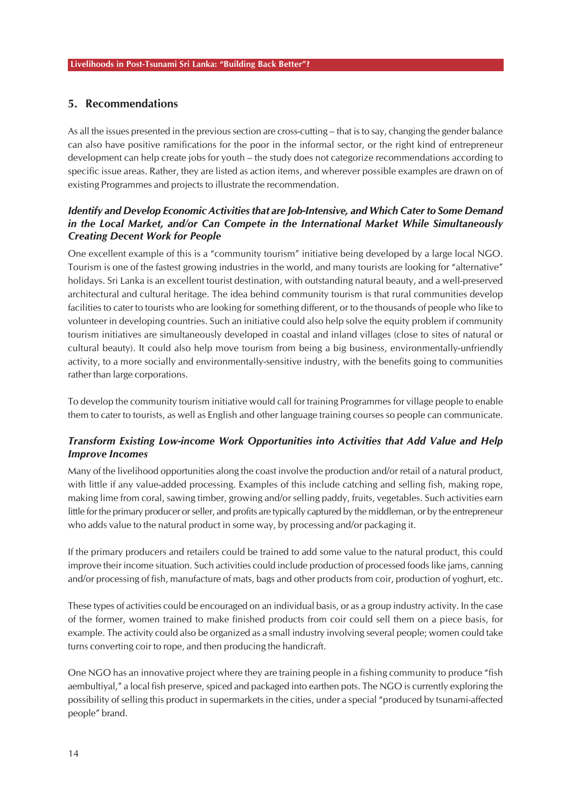### **5. Recommendations**

As all the issues presented in the previous section are cross-cutting – that is to say, changing the gender balance can also have positive ramifications for the poor in the informal sector, or the right kind of entrepreneur development can help create jobs for youth – the study does not categorize recommendations according to specific issue areas. Rather, they are listed as action items, and wherever possible examples are drawn on of existing Programmes and projects to illustrate the recommendation.

### *Identify and Develop Economic Activities that are Job-Intensive, and Which Cater to Some Demand in the Local Market, and/or Can Compete in the International Market While Simultaneously Creating Decent Work for People*

One excellent example of this is a "community tourism" initiative being developed by a large local NGO. Tourism is one of the fastest growing industries in the world, and many tourists are looking for "alternative" holidays. Sri Lanka is an excellent tourist destination, with outstanding natural beauty, and a well-preserved architectural and cultural heritage. The idea behind community tourism is that rural communities develop facilities to cater to tourists who are looking for something different, or to the thousands of people who like to volunteer in developing countries. Such an initiative could also help solve the equity problem if community tourism initiatives are simultaneously developed in coastal and inland villages (close to sites of natural or cultural beauty). It could also help move tourism from being a big business, environmentally-unfriendly activity, to a more socially and environmentally-sensitive industry, with the benefits going to communities rather than large corporations.

To develop the community tourism initiative would call for training Programmes for village people to enable them to cater to tourists, as well as English and other language training courses so people can communicate.

### *Transform Existing Low-income Work Opportunities into Activities that Add Value and Help Improve Incomes*

Many of the livelihood opportunities along the coast involve the production and/or retail of a natural product, with little if any value-added processing. Examples of this include catching and selling fish, making rope, making lime from coral, sawing timber, growing and/or selling paddy, fruits, vegetables. Such activities earn little for the primary producer or seller, and profits are typically captured by the middleman, or by the entrepreneur who adds value to the natural product in some way, by processing and/or packaging it.

If the primary producers and retailers could be trained to add some value to the natural product, this could improve their income situation. Such activities could include production of processed foods like jams, canning and/or processing of fish, manufacture of mats, bags and other products from coir, production of yoghurt, etc.

These types of activities could be encouraged on an individual basis, or as a group industry activity. In the case of the former, women trained to make finished products from coir could sell them on a piece basis, for example. The activity could also be organized as a small industry involving several people; women could take turns converting coir to rope, and then producing the handicraft.

One NGO has an innovative project where they are training people in a fishing community to produce "fish aembultiyal," a local fish preserve, spiced and packaged into earthen pots. The NGO is currently exploring the possibility of selling this product in supermarkets in the cities, under a special "produced by tsunami-affected people" brand.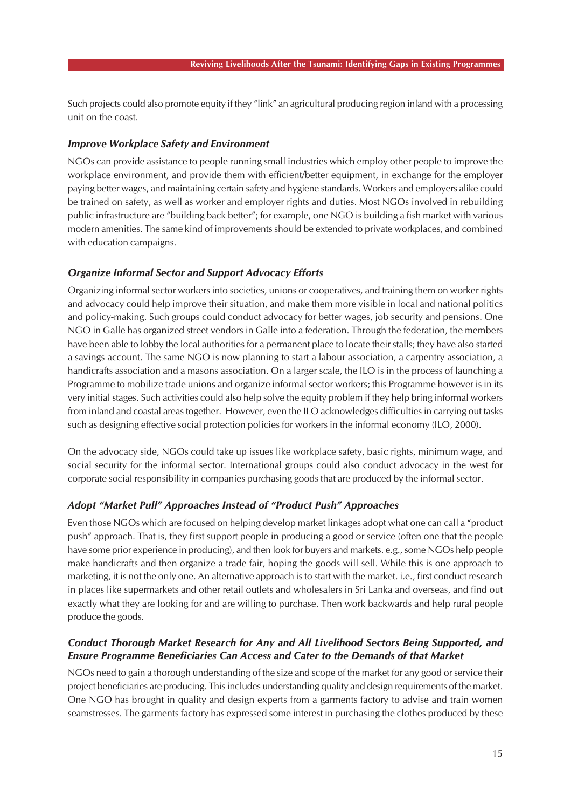Such projects could also promote equity if they "link" an agricultural producing region inland with a processing unit on the coast.

#### *Improve Workplace Safety and Environment*

NGOs can provide assistance to people running small industries which employ other people to improve the workplace environment, and provide them with efficient/better equipment, in exchange for the employer paying better wages, and maintaining certain safety and hygiene standards. Workers and employers alike could be trained on safety, as well as worker and employer rights and duties. Most NGOs involved in rebuilding public infrastructure are "building back better"; for example, one NGO is building a fish market with various modern amenities. The same kind of improvements should be extended to private workplaces, and combined with education campaigns.

#### *Organize Informal Sector and Support Advocacy Efforts*

Organizing informal sector workers into societies, unions or cooperatives, and training them on worker rights and advocacy could help improve their situation, and make them more visible in local and national politics and policy-making. Such groups could conduct advocacy for better wages, job security and pensions. One NGO in Galle has organized street vendors in Galle into a federation. Through the federation, the members have been able to lobby the local authorities for a permanent place to locate their stalls; they have also started a savings account. The same NGO is now planning to start a labour association, a carpentry association, a handicrafts association and a masons association. On a larger scale, the ILO is in the process of launching a Programme to mobilize trade unions and organize informal sector workers; this Programme however is in its very initial stages. Such activities could also help solve the equity problem if they help bring informal workers from inland and coastal areas together. However, even the ILO acknowledges difficulties in carrying out tasks such as designing effective social protection policies for workers in the informal economy (ILO, 2000).

On the advocacy side, NGOs could take up issues like workplace safety, basic rights, minimum wage, and social security for the informal sector. International groups could also conduct advocacy in the west for corporate social responsibility in companies purchasing goods that are produced by the informal sector.

#### *Adopt "Market Pull" Approaches Instead of "Product Push" Approaches*

Even those NGOs which are focused on helping develop market linkages adopt what one can call a "product push" approach. That is, they first support people in producing a good or service (often one that the people have some prior experience in producing), and then look for buyers and markets. e.g., some NGOs help people make handicrafts and then organize a trade fair, hoping the goods will sell. While this is one approach to marketing, it is not the only one. An alternative approach is to start with the market. i.e., first conduct research in places like supermarkets and other retail outlets and wholesalers in Sri Lanka and overseas, and find out exactly what they are looking for and are willing to purchase. Then work backwards and help rural people produce the goods.

#### *Conduct Thorough Market Research for Any and All Livelihood Sectors Being Supported, and Ensure Programme Beneficiaries Can Access and Cater to the Demands of that Market*

NGOs need to gain a thorough understanding of the size and scope of the market for any good or service their project beneficiaries are producing. This includes understanding quality and design requirements of the market. One NGO has brought in quality and design experts from a garments factory to advise and train women seamstresses. The garments factory has expressed some interest in purchasing the clothes produced by these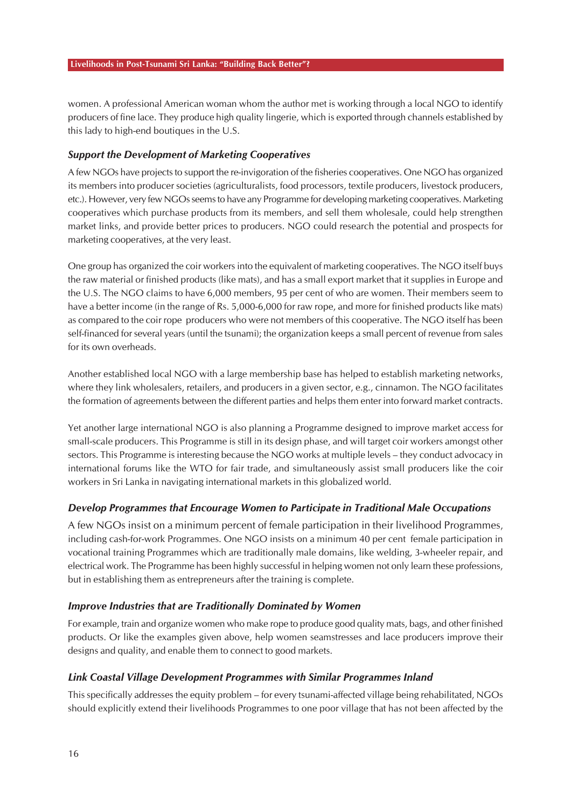women. A professional American woman whom the author met is working through a local NGO to identify producers of fine lace. They produce high quality lingerie, which is exported through channels established by this lady to high-end boutiques in the U.S.

#### *Support the Development of Marketing Cooperatives*

A few NGOs have projects to support the re-invigoration of the fisheries cooperatives. One NGO has organized its members into producer societies (agriculturalists, food processors, textile producers, livestock producers, etc.). However, very few NGOs seems to have any Programme for developing marketing cooperatives. Marketing cooperatives which purchase products from its members, and sell them wholesale, could help strengthen market links, and provide better prices to producers. NGO could research the potential and prospects for marketing cooperatives, at the very least.

One group has organized the coir workers into the equivalent of marketing cooperatives. The NGO itself buys the raw material or finished products (like mats), and has a small export market that it supplies in Europe and the U.S. The NGO claims to have 6,000 members, 95 per cent of who are women. Their members seem to have a better income (in the range of Rs. 5,000-6,000 for raw rope, and more for finished products like mats) as compared to the coir rope producers who were not members of this cooperative. The NGO itself has been self-financed for several years (until the tsunami); the organization keeps a small percent of revenue from sales for its own overheads.

Another established local NGO with a large membership base has helped to establish marketing networks, where they link wholesalers, retailers, and producers in a given sector, e.g., cinnamon. The NGO facilitates the formation of agreements between the different parties and helps them enter into forward market contracts.

Yet another large international NGO is also planning a Programme designed to improve market access for small-scale producers. This Programme is still in its design phase, and will target coir workers amongst other sectors. This Programme is interesting because the NGO works at multiple levels – they conduct advocacy in international forums like the WTO for fair trade, and simultaneously assist small producers like the coir workers in Sri Lanka in navigating international markets in this globalized world.

#### *Develop Programmes that Encourage Women to Participate in Traditional Male Occupations*

A few NGOs insist on a minimum percent of female participation in their livelihood Programmes, including cash-for-work Programmes. One NGO insists on a minimum 40 per cent female participation in vocational training Programmes which are traditionally male domains, like welding, 3-wheeler repair, and electrical work. The Programme has been highly successful in helping women not only learn these professions, but in establishing them as entrepreneurs after the training is complete.

#### *Improve Industries that are Traditionally Dominated by Women*

For example, train and organize women who make rope to produce good quality mats, bags, and other finished products. Or like the examples given above, help women seamstresses and lace producers improve their designs and quality, and enable them to connect to good markets.

#### *Link Coastal Village Development Programmes with Similar Programmes Inland*

This specifically addresses the equity problem – for every tsunami-affected village being rehabilitated, NGOs should explicitly extend their livelihoods Programmes to one poor village that has not been affected by the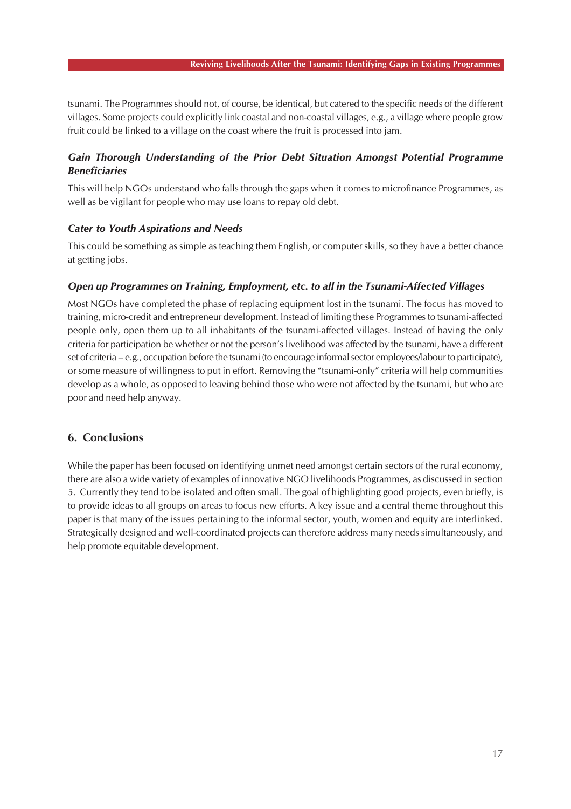tsunami. The Programmes should not, of course, be identical, but catered to the specific needs of the different villages. Some projects could explicitly link coastal and non-coastal villages, e.g., a village where people grow fruit could be linked to a village on the coast where the fruit is processed into jam.

### *Gain Thorough Understanding of the Prior Debt Situation Amongst Potential Programme Beneficiaries*

This will help NGOs understand who falls through the gaps when it comes to microfinance Programmes, as well as be vigilant for people who may use loans to repay old debt.

#### *Cater to Youth Aspirations and Needs*

This could be something as simple as teaching them English, or computer skills, so they have a better chance at getting jobs.

#### *Open up Programmes on Training, Employment, etc. to all in the Tsunami-Affected Villages*

Most NGOs have completed the phase of replacing equipment lost in the tsunami. The focus has moved to training, micro-credit and entrepreneur development. Instead of limiting these Programmes to tsunami-affected people only, open them up to all inhabitants of the tsunami-affected villages. Instead of having the only criteria for participation be whether or not the person's livelihood was affected by the tsunami, have a different set of criteria – e.g., occupation before the tsunami (to encourage informal sector employees/labour to participate), or some measure of willingness to put in effort. Removing the "tsunami-only" criteria will help communities develop as a whole, as opposed to leaving behind those who were not affected by the tsunami, but who are poor and need help anyway.

### **6. Conclusions**

While the paper has been focused on identifying unmet need amongst certain sectors of the rural economy, there are also a wide variety of examples of innovative NGO livelihoods Programmes, as discussed in section 5. Currently they tend to be isolated and often small. The goal of highlighting good projects, even briefly, is to provide ideas to all groups on areas to focus new efforts. A key issue and a central theme throughout this paper is that many of the issues pertaining to the informal sector, youth, women and equity are interlinked. Strategically designed and well-coordinated projects can therefore address many needs simultaneously, and help promote equitable development.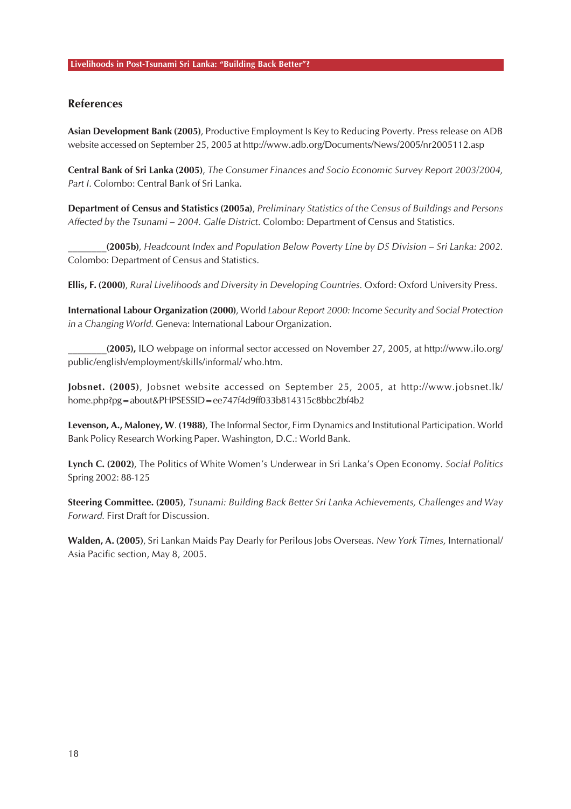### **References**

**Asian Development Bank (2005)**, Productive Employment Is Key to Reducing Poverty. Press release on ADB website accessed on September 25, 2005 at http://www.adb.org/Documents/News/2005/nr2005112.asp

**Central Bank of Sri Lanka (2005)**, *The Consumer Finances and Socio Economic Survey Report 2003/2004, Part I.* Colombo: Central Bank of Sri Lanka.

**Department of Census and Statistics (2005a)**, *Preliminary Statistics of the Census of Buildings and Persons Affected by the Tsunami – 2004. Galle District.* Colombo: Department of Census and Statistics.

**\_\_\_\_\_\_\_\_(2005b)**, *Headcount Index and Population Below Poverty Line by DS Division – Sri Lanka: 2002.* Colombo: Department of Census and Statistics.

**Ellis, F. (2000)**, *Rural Livelihoods and Diversity in Developing Countries.* Oxford: Oxford University Press.

**International Labour Organization (2000)**, World *Labour Report 2000: Income Security and Social Protection in a Changing World.* Geneva: International Labour Organization.

**\_\_\_\_\_\_\_\_(2005),** ILO webpage on informal sector accessed on November 27, 2005, at http://www.ilo.org/ public/english/employment/skills/informal/ who.htm.

**Jobsnet. (2005)**, Jobsnet website accessed on September 25, 2005, at http://www.jobsnet.lk/ home.php?pg=about&PHPSESSID=ee747f4d9ff033b814315c8bbc2bf4b2

**Levenson, A., Maloney, W**. **(1988)**, The Informal Sector, Firm Dynamics and Institutional Participation. World Bank Policy Research Working Paper. Washington, D.C.: World Bank.

**Lynch C. (2002)**, The Politics of White Women's Underwear in Sri Lanka's Open Economy. *Social Politics* Spring 2002: 88-125

**Steering Committee. (2005)**, *Tsunami: Building Back Better Sri Lanka Achievements, Challenges and Way Forward.* First Draft for Discussion.

**Walden, A. (2005)**, Sri Lankan Maids Pay Dearly for Perilous Jobs Overseas. *New York Times,* International/ Asia Pacific section, May 8, 2005.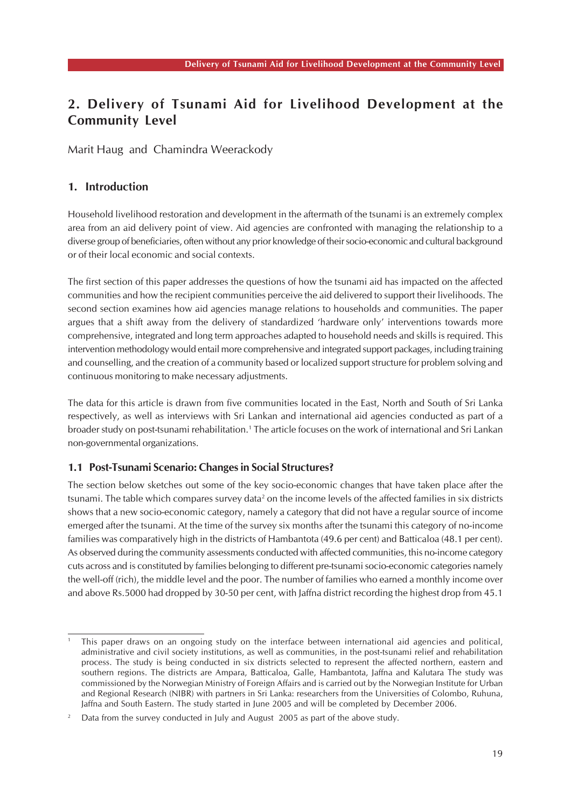# **2. Delivery of Tsunami Aid for Livelihood Development at the Community Level**

Marit Haug and Chamindra Weerackody

### **1. Introduction**

Household livelihood restoration and development in the aftermath of the tsunami is an extremely complex area from an aid delivery point of view. Aid agencies are confronted with managing the relationship to a diverse group of beneficiaries, often without any prior knowledge of their socio-economic and cultural background or of their local economic and social contexts.

The first section of this paper addresses the questions of how the tsunami aid has impacted on the affected communities and how the recipient communities perceive the aid delivered to support their livelihoods. The second section examines how aid agencies manage relations to households and communities. The paper argues that a shift away from the delivery of standardized 'hardware only' interventions towards more comprehensive, integrated and long term approaches adapted to household needs and skills is required. This intervention methodology would entail more comprehensive and integrated support packages, including training and counselling, and the creation of a community based or localized support structure for problem solving and continuous monitoring to make necessary adjustments.

The data for this article is drawn from five communities located in the East, North and South of Sri Lanka respectively, as well as interviews with Sri Lankan and international aid agencies conducted as part of a broader study on post-tsunami rehabilitation.<sup>1</sup> The article focuses on the work of international and Sri Lankan non-governmental organizations.

#### **1.1 Post-Tsunami Scenario: Changes in Social Structures?**

The section below sketches out some of the key socio-economic changes that have taken place after the tsunami. The table which compares survey data<sup>2</sup> on the income levels of the affected families in six districts shows that a new socio-economic category, namely a category that did not have a regular source of income emerged after the tsunami. At the time of the survey six months after the tsunami this category of no-income families was comparatively high in the districts of Hambantota (49.6 per cent) and Batticaloa (48.1 per cent). As observed during the community assessments conducted with affected communities, this no-income category cuts across and is constituted by families belonging to different pre-tsunami socio-economic categories namely the well-off (rich), the middle level and the poor. The number of families who earned a monthly income over and above Rs.5000 had dropped by 30-50 per cent, with Jaffna district recording the highest drop from 45.1

<sup>1</sup> This paper draws on an ongoing study on the interface between international aid agencies and political, administrative and civil society institutions, as well as communities, in the post-tsunami relief and rehabilitation process. The study is being conducted in six districts selected to represent the affected northern, eastern and southern regions. The districts are Ampara, Batticaloa, Galle, Hambantota, Jaffna and Kalutara The study was commissioned by the Norwegian Ministry of Foreign Affairs and is carried out by the Norwegian Institute for Urban and Regional Research (NIBR) with partners in Sri Lanka: researchers from the Universities of Colombo, Ruhuna, Jaffna and South Eastern. The study started in June 2005 and will be completed by December 2006.

<sup>2</sup> Data from the survey conducted in July and August 2005 as part of the above study.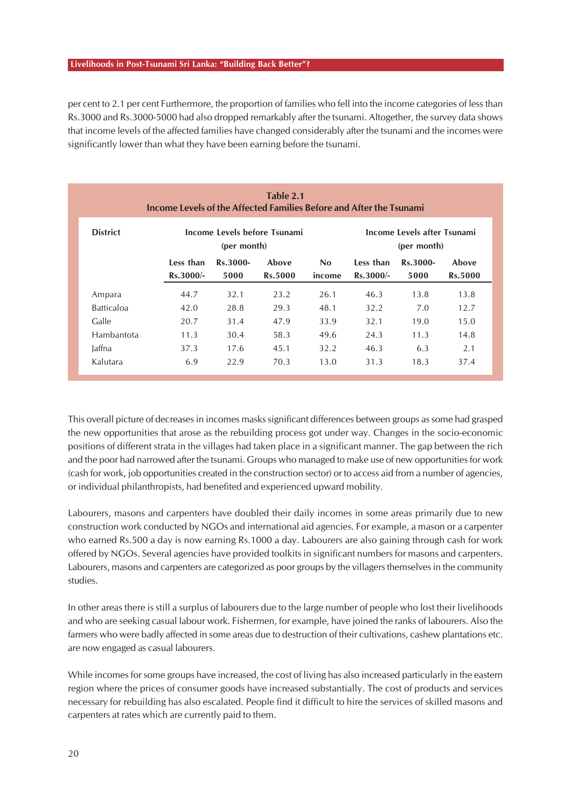per cent to 2.1 per cent Furthermore, the proportion of families who fell into the income categories of less than Rs.3000 and Rs.3000-5000 had also dropped remarkably after the tsunami. Altogether, the survey data shows that income levels of the affected families have changed considerably after the tsunami and the incomes were significantly lower than what they have been earning before the tsunami.

| Table 2.1<br>Income Levels of the Affected Families Before and After the Tsunami |             |          |                |                |                                            |          |                |
|----------------------------------------------------------------------------------|-------------|----------|----------------|----------------|--------------------------------------------|----------|----------------|
| <b>District</b><br>Income Levels before Tsunami<br>(per month)                   |             |          |                |                | Income Levels after Tsunami<br>(per month) |          |                |
|                                                                                  | Less than   | Rs.3000- | Above          | N <sub>0</sub> | Less than                                  | Rs.3000- | Above          |
|                                                                                  | $Rs.3000/-$ | 5000     | <b>Rs.5000</b> | income         | $Rs.3000/-$                                | 5000     | <b>Rs.5000</b> |
| Ampara                                                                           | 44.7        | 32.1     | 23.2           | 26.1           | 46.3                                       | 13.8     | 13.8           |
| <b>Batticaloa</b>                                                                | 42.0        | 28.8     | 29.3           | 48.1           | 32.2                                       | 7.0      | 12.7           |
| Galle                                                                            | 20.7        | 31.4     | 47.9           | 33.9           | 32.1                                       | 19.0     | 15.0           |
| Hambantota                                                                       | 11.3        | 30.4     | 58.3           | 49.6           | 24.3                                       | 11.3     | 14.8           |
| Jaffna                                                                           | 37.3        | 17.6     | 45.1           | 32.2           | 46.3                                       | 6.3      | 2.1            |
| Kalutara                                                                         | 6.9         | 22.9     | 70.3           | 13.0           | 31.3                                       | 18.3     | 37.4           |

This overall picture of decreases in incomes masks significant differences between groups as some had grasped the new opportunities that arose as the rebuilding process got under way. Changes in the socio-economic positions of different strata in the villages had taken place in a significant manner. The gap between the rich and the poor had narrowed after the tsunami. Groups who managed to make use of new opportunities for work (cash for work, job opportunities created in the construction sector) or to access aid from a number of agencies, or individual philanthropists, had benefited and experienced upward mobility.

Labourers, masons and carpenters have doubled their daily incomes in some areas primarily due to new construction work conducted by NGOs and international aid agencies. For example, a mason or a carpenter who earned Rs.500 a day is now earning Rs.1000 a day. Labourers are also gaining through cash for work offered by NGOs. Several agencies have provided toolkits in significant numbers for masons and carpenters. Labourers, masons and carpenters are categorized as poor groups by the villagers themselves in the community studies.

In other areas there is still a surplus of labourers due to the large number of people who lost their livelihoods and who are seeking casual labour work. Fishermen, for example, have joined the ranks of labourers. Also the farmers who were badly affected in some areas due to destruction of their cultivations, cashew plantations etc. are now engaged as casual labourers.

While incomes for some groups have increased, the cost of living has also increased particularly in the eastern region where the prices of consumer goods have increased substantially. The cost of products and services necessary for rebuilding has also escalated. People find it difficult to hire the services of skilled masons and carpenters at rates which are currently paid to them.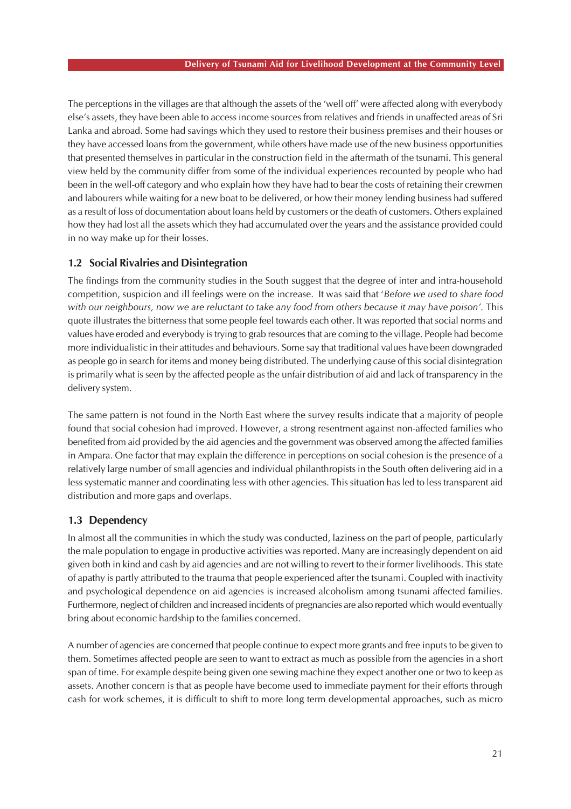The perceptions in the villages are that although the assets of the 'well off' were affected along with everybody else's assets, they have been able to access income sources from relatives and friends in unaffected areas of Sri Lanka and abroad. Some had savings which they used to restore their business premises and their houses or they have accessed loans from the government, while others have made use of the new business opportunities that presented themselves in particular in the construction field in the aftermath of the tsunami. This general view held by the community differ from some of the individual experiences recounted by people who had been in the well-off category and who explain how they have had to bear the costs of retaining their crewmen and labourers while waiting for a new boat to be delivered, or how their money lending business had suffered as a result of loss of documentation about loans held by customers or the death of customers. Others explained how they had lost all the assets which they had accumulated over the years and the assistance provided could in no way make up for their losses.

#### **1.2 Social Rivalries and Disintegration**

The findings from the community studies in the South suggest that the degree of inter and intra-household competition, suspicion and ill feelings were on the increase. It was said that '*Before we used to share food* with our neighbours, now we are reluctant to take any food from others because it may have poison'. This quote illustrates the bitterness that some people feel towards each other. It was reported that social norms and values have eroded and everybody is trying to grab resources that are coming to the village. People had become more individualistic in their attitudes and behaviours. Some say that traditional values have been downgraded as people go in search for items and money being distributed. The underlying cause of this social disintegration is primarily what is seen by the affected people as the unfair distribution of aid and lack of transparency in the delivery system.

The same pattern is not found in the North East where the survey results indicate that a majority of people found that social cohesion had improved. However, a strong resentment against non-affected families who benefited from aid provided by the aid agencies and the government was observed among the affected families in Ampara. One factor that may explain the difference in perceptions on social cohesion is the presence of a relatively large number of small agencies and individual philanthropists in the South often delivering aid in a less systematic manner and coordinating less with other agencies. This situation has led to less transparent aid distribution and more gaps and overlaps.

#### **1.3 Dependency**

In almost all the communities in which the study was conducted, laziness on the part of people, particularly the male population to engage in productive activities was reported. Many are increasingly dependent on aid given both in kind and cash by aid agencies and are not willing to revert to their former livelihoods. This state of apathy is partly attributed to the trauma that people experienced after the tsunami. Coupled with inactivity and psychological dependence on aid agencies is increased alcoholism among tsunami affected families. Furthermore, neglect of children and increased incidents of pregnancies are also reported which would eventually bring about economic hardship to the families concerned.

A number of agencies are concerned that people continue to expect more grants and free inputs to be given to them. Sometimes affected people are seen to want to extract as much as possible from the agencies in a short span of time. For example despite being given one sewing machine they expect another one or two to keep as assets. Another concern is that as people have become used to immediate payment for their efforts through cash for work schemes, it is difficult to shift to more long term developmental approaches, such as micro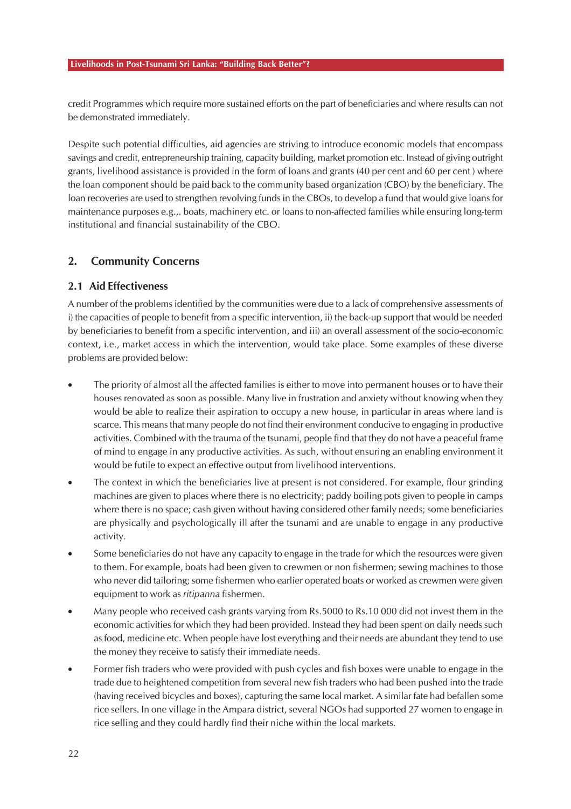credit Programmes which require more sustained efforts on the part of beneficiaries and where results can not be demonstrated immediately.

Despite such potential difficulties, aid agencies are striving to introduce economic models that encompass savings and credit, entrepreneurship training, capacity building, market promotion etc. Instead of giving outright grants, livelihood assistance is provided in the form of loans and grants (40 per cent and 60 per cent ) where the loan component should be paid back to the community based organization (CBO) by the beneficiary. The loan recoveries are used to strengthen revolving funds in the CBOs, to develop a fund that would give loans for maintenance purposes e.g.,. boats, machinery etc. or loans to non-affected families while ensuring long-term institutional and financial sustainability of the CBO.

### **2. Community Concerns**

### **2.1 Aid Effectiveness**

A number of the problems identified by the communities were due to a lack of comprehensive assessments of i) the capacities of people to benefit from a specific intervention, ii) the back-up support that would be needed by beneficiaries to benefit from a specific intervention, and iii) an overall assessment of the socio-economic context, i.e., market access in which the intervention, would take place. Some examples of these diverse problems are provided below:

- The priority of almost all the affected families is either to move into permanent houses or to have their houses renovated as soon as possible. Many live in frustration and anxiety without knowing when they would be able to realize their aspiration to occupy a new house, in particular in areas where land is scarce. This means that many people do not find their environment conducive to engaging in productive activities. Combined with the trauma of the tsunami, people find that they do not have a peaceful frame of mind to engage in any productive activities. As such, without ensuring an enabling environment it would be futile to expect an effective output from livelihood interventions.
- The context in which the beneficiaries live at present is not considered. For example, flour grinding machines are given to places where there is no electricity; paddy boiling pots given to people in camps where there is no space; cash given without having considered other family needs; some beneficiaries are physically and psychologically ill after the tsunami and are unable to engage in any productive activity.
- Some beneficiaries do not have any capacity to engage in the trade for which the resources were given to them. For example, boats had been given to crewmen or non fishermen; sewing machines to those who never did tailoring; some fishermen who earlier operated boats or worked as crewmen were given equipment to work as *ritipanna* fishermen.
- Many people who received cash grants varying from Rs.5000 to Rs.10 000 did not invest them in the economic activities for which they had been provided. Instead they had been spent on daily needs such as food, medicine etc. When people have lost everything and their needs are abundant they tend to use the money they receive to satisfy their immediate needs.
- Former fish traders who were provided with push cycles and fish boxes were unable to engage in the trade due to heightened competition from several new fish traders who had been pushed into the trade (having received bicycles and boxes), capturing the same local market. A similar fate had befallen some rice sellers. In one village in the Ampara district, several NGOs had supported 27 women to engage in rice selling and they could hardly find their niche within the local markets.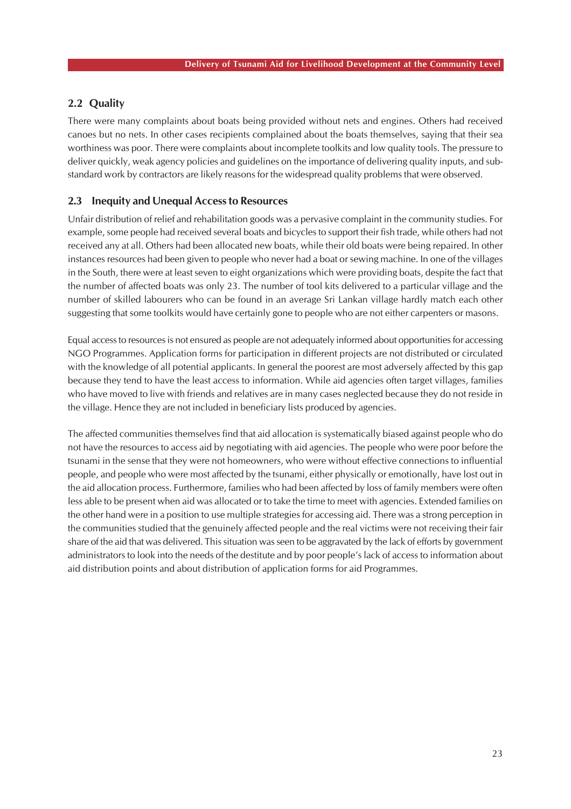### **2.2 Quality**

There were many complaints about boats being provided without nets and engines. Others had received canoes but no nets. In other cases recipients complained about the boats themselves, saying that their sea worthiness was poor. There were complaints about incomplete toolkits and low quality tools. The pressure to deliver quickly, weak agency policies and guidelines on the importance of delivering quality inputs, and substandard work by contractors are likely reasons for the widespread quality problems that were observed.

### **2.3 Inequity and Unequal Access to Resources**

Unfair distribution of relief and rehabilitation goods was a pervasive complaint in the community studies. For example, some people had received several boats and bicycles to support their fish trade, while others had not received any at all. Others had been allocated new boats, while their old boats were being repaired. In other instances resources had been given to people who never had a boat or sewing machine. In one of the villages in the South, there were at least seven to eight organizations which were providing boats, despite the fact that the number of affected boats was only 23. The number of tool kits delivered to a particular village and the number of skilled labourers who can be found in an average Sri Lankan village hardly match each other suggesting that some toolkits would have certainly gone to people who are not either carpenters or masons.

Equal access to resources is not ensured as people are not adequately informed about opportunities for accessing NGO Programmes. Application forms for participation in different projects are not distributed or circulated with the knowledge of all potential applicants. In general the poorest are most adversely affected by this gap because they tend to have the least access to information. While aid agencies often target villages, families who have moved to live with friends and relatives are in many cases neglected because they do not reside in the village. Hence they are not included in beneficiary lists produced by agencies.

The affected communities themselves find that aid allocation is systematically biased against people who do not have the resources to access aid by negotiating with aid agencies. The people who were poor before the tsunami in the sense that they were not homeowners, who were without effective connections to influential people, and people who were most affected by the tsunami, either physically or emotionally, have lost out in the aid allocation process. Furthermore, families who had been affected by loss of family members were often less able to be present when aid was allocated or to take the time to meet with agencies. Extended families on the other hand were in a position to use multiple strategies for accessing aid. There was a strong perception in the communities studied that the genuinely affected people and the real victims were not receiving their fair share of the aid that was delivered. This situation was seen to be aggravated by the lack of efforts by government administrators to look into the needs of the destitute and by poor people's lack of access to information about aid distribution points and about distribution of application forms for aid Programmes.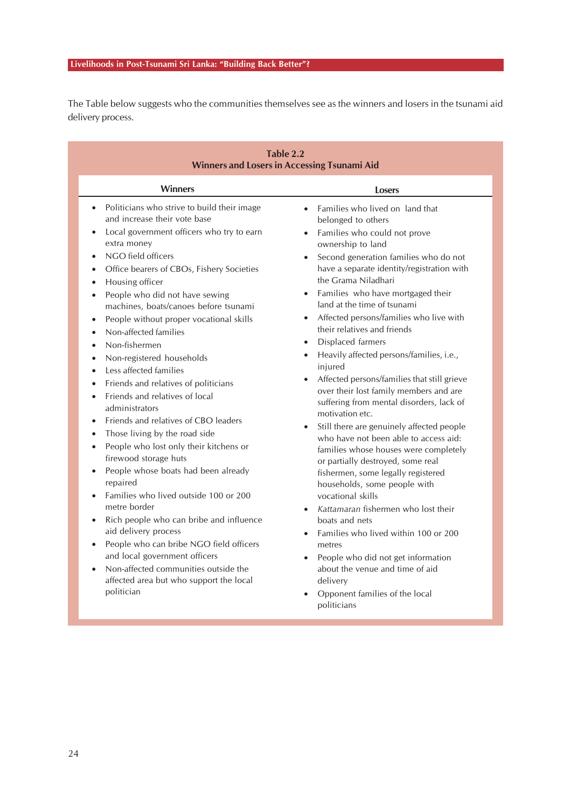The Table below suggests who the communities themselves see as the winners and losers in the tsunami aid delivery process.

| Table 2.2<br><b>Winners and Losers in Accessing Tsunami Aid</b>                                                                                                                                                                                                                                                                                                                                                                                                                                                                                                                                                                                                                                                                                                                                                                                                                                                                                                                                                                                                                                                                                                                                                                                                                                                              |                                                                                                                                                                                                                                                                                                                                                                                                                                                                                                                                                                                                                                                                                                                                                                                                                                                                                                                                                                                                                                                                                                                                                              |  |  |  |  |  |
|------------------------------------------------------------------------------------------------------------------------------------------------------------------------------------------------------------------------------------------------------------------------------------------------------------------------------------------------------------------------------------------------------------------------------------------------------------------------------------------------------------------------------------------------------------------------------------------------------------------------------------------------------------------------------------------------------------------------------------------------------------------------------------------------------------------------------------------------------------------------------------------------------------------------------------------------------------------------------------------------------------------------------------------------------------------------------------------------------------------------------------------------------------------------------------------------------------------------------------------------------------------------------------------------------------------------------|--------------------------------------------------------------------------------------------------------------------------------------------------------------------------------------------------------------------------------------------------------------------------------------------------------------------------------------------------------------------------------------------------------------------------------------------------------------------------------------------------------------------------------------------------------------------------------------------------------------------------------------------------------------------------------------------------------------------------------------------------------------------------------------------------------------------------------------------------------------------------------------------------------------------------------------------------------------------------------------------------------------------------------------------------------------------------------------------------------------------------------------------------------------|--|--|--|--|--|
| <b>Winners</b>                                                                                                                                                                                                                                                                                                                                                                                                                                                                                                                                                                                                                                                                                                                                                                                                                                                                                                                                                                                                                                                                                                                                                                                                                                                                                                               | Losers                                                                                                                                                                                                                                                                                                                                                                                                                                                                                                                                                                                                                                                                                                                                                                                                                                                                                                                                                                                                                                                                                                                                                       |  |  |  |  |  |
| Politicians who strive to build their image<br>$\bullet$<br>and increase their vote base<br>Local government officers who try to earn<br>$\bullet$<br>extra money<br>NGO field officers<br>$\bullet$<br>Office bearers of CBOs, Fishery Societies<br>$\bullet$<br>Housing officer<br>$\bullet$<br>People who did not have sewing<br>machines, boats/canoes before tsunami<br>People without proper vocational skills<br>$\bullet$<br>Non-affected families<br>$\bullet$<br>Non-fishermen<br>$\bullet$<br>Non-registered households<br>$\bullet$<br>Less affected families<br>$\bullet$<br>Friends and relatives of politicians<br>$\bullet$<br>Friends and relatives of local<br>$\bullet$<br>administrators<br>Friends and relatives of CBO leaders<br>$\bullet$<br>Those living by the road side<br>$\bullet$<br>People who lost only their kitchens or<br>$\bullet$<br>firewood storage huts<br>People whose boats had been already<br>$\bullet$<br>repaired<br>Families who lived outside 100 or 200<br>$\bullet$<br>metre border<br>Rich people who can bribe and influence<br>$\bullet$<br>aid delivery process<br>People who can bribe NGO field officers<br>$\bullet$<br>and local government officers<br>Non-affected communities outside the<br>$\bullet$<br>affected area but who support the local<br>politician | Families who lived on land that<br>$\bullet$<br>belonged to others<br>• Families who could not prove<br>ownership to land<br>• Second generation families who do not<br>have a separate identity/registration with<br>the Grama Niladhari<br>• Families who have mortgaged their<br>land at the time of tsunami<br>• Affected persons/families who live with<br>their relatives and friends<br>Displaced farmers<br>Heavily affected persons/families, i.e.,<br>$\bullet$<br>injured<br>Affected persons/families that still grieve<br>over their lost family members and are<br>suffering from mental disorders, lack of<br>motivation etc.<br>Still there are genuinely affected people<br>who have not been able to access aid:<br>families whose houses were completely<br>or partially destroyed, some real<br>fishermen, some legally registered<br>households, some people with<br>vocational skills<br>Kattamaran fishermen who lost their<br>boats and nets<br>Families who lived within 100 or 200<br>metres<br>People who did not get information<br>about the venue and time of aid<br>delivery<br>Opponent families of the local<br>politicians |  |  |  |  |  |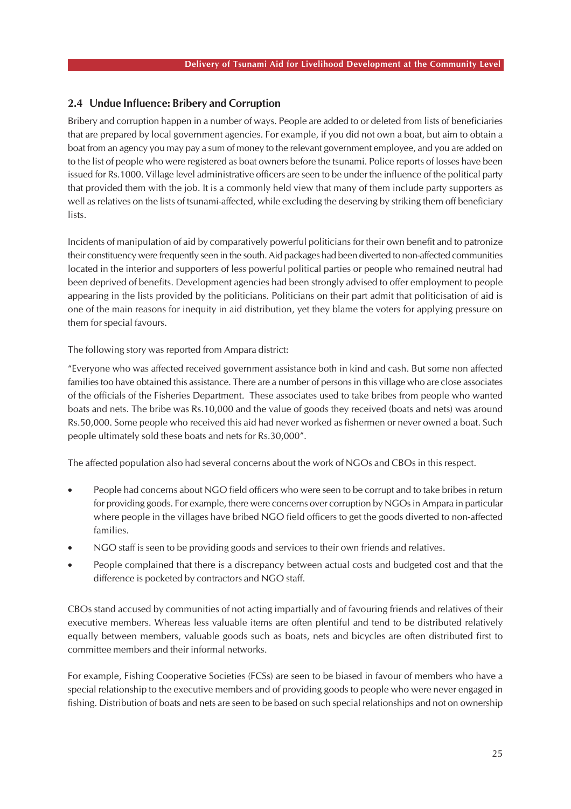### **2.4 Undue Influence: Bribery and Corruption**

Bribery and corruption happen in a number of ways. People are added to or deleted from lists of beneficiaries that are prepared by local government agencies. For example, if you did not own a boat, but aim to obtain a boat from an agency you may pay a sum of money to the relevant government employee, and you are added on to the list of people who were registered as boat owners before the tsunami. Police reports of losses have been issued for Rs.1000. Village level administrative officers are seen to be under the influence of the political party that provided them with the job. It is a commonly held view that many of them include party supporters as well as relatives on the lists of tsunami-affected, while excluding the deserving by striking them off beneficiary lists.

Incidents of manipulation of aid by comparatively powerful politicians for their own benefit and to patronize their constituency were frequently seen in the south. Aid packages had been diverted to non-affected communities located in the interior and supporters of less powerful political parties or people who remained neutral had been deprived of benefits. Development agencies had been strongly advised to offer employment to people appearing in the lists provided by the politicians. Politicians on their part admit that politicisation of aid is one of the main reasons for inequity in aid distribution, yet they blame the voters for applying pressure on them for special favours.

The following story was reported from Ampara district:

"Everyone who was affected received government assistance both in kind and cash. But some non affected families too have obtained this assistance. There are a number of persons in this village who are close associates of the officials of the Fisheries Department. These associates used to take bribes from people who wanted boats and nets. The bribe was Rs.10,000 and the value of goods they received (boats and nets) was around Rs.50,000. Some people who received this aid had never worked as fishermen or never owned a boat. Such people ultimately sold these boats and nets for Rs.30,000".

The affected population also had several concerns about the work of NGOs and CBOs in this respect.

- People had concerns about NGO field officers who were seen to be corrupt and to take bribes in return for providing goods. For example, there were concerns over corruption by NGOs in Ampara in particular where people in the villages have bribed NGO field officers to get the goods diverted to non-affected families.
- NGO staff is seen to be providing goods and services to their own friends and relatives.
- People complained that there is a discrepancy between actual costs and budgeted cost and that the difference is pocketed by contractors and NGO staff.

CBOs stand accused by communities of not acting impartially and of favouring friends and relatives of their executive members. Whereas less valuable items are often plentiful and tend to be distributed relatively equally between members, valuable goods such as boats, nets and bicycles are often distributed first to committee members and their informal networks.

For example, Fishing Cooperative Societies (FCSs) are seen to be biased in favour of members who have a special relationship to the executive members and of providing goods to people who were never engaged in fishing. Distribution of boats and nets are seen to be based on such special relationships and not on ownership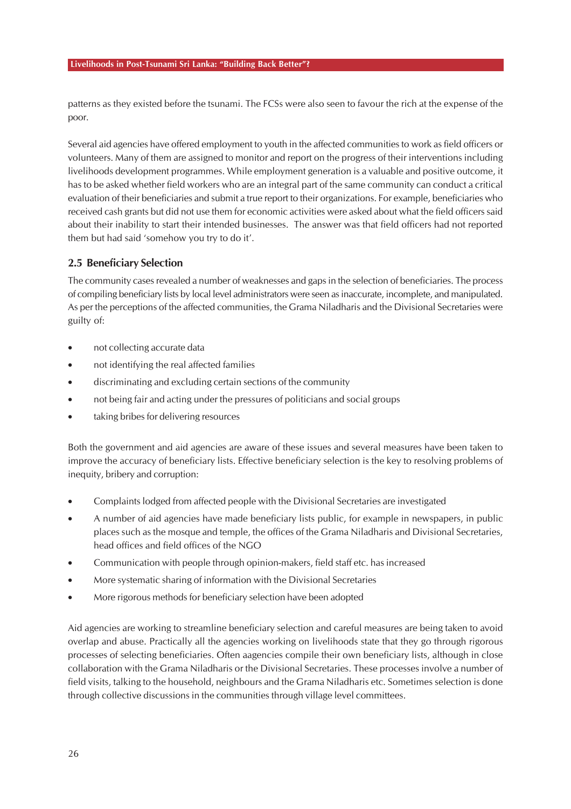patterns as they existed before the tsunami. The FCSs were also seen to favour the rich at the expense of the poor.

Several aid agencies have offered employment to youth in the affected communities to work as field officers or volunteers. Many of them are assigned to monitor and report on the progress of their interventions including livelihoods development programmes. While employment generation is a valuable and positive outcome, it has to be asked whether field workers who are an integral part of the same community can conduct a critical evaluation of their beneficiaries and submit a true report to their organizations. For example, beneficiaries who received cash grants but did not use them for economic activities were asked about what the field officers said about their inability to start their intended businesses. The answer was that field officers had not reported them but had said 'somehow you try to do it'.

### **2.5 Beneficiary Selection**

The community cases revealed a number of weaknesses and gaps in the selection of beneficiaries. The process of compiling beneficiary lists by local level administrators were seen as inaccurate, incomplete, and manipulated. As per the perceptions of the affected communities, the Grama Niladharis and the Divisional Secretaries were guilty of:

- not collecting accurate data
- not identifying the real affected families
- discriminating and excluding certain sections of the community
- not being fair and acting under the pressures of politicians and social groups
- taking bribes for delivering resources

Both the government and aid agencies are aware of these issues and several measures have been taken to improve the accuracy of beneficiary lists. Effective beneficiary selection is the key to resolving problems of inequity, bribery and corruption:

- Complaints lodged from affected people with the Divisional Secretaries are investigated
- A number of aid agencies have made beneficiary lists public, for example in newspapers, in public places such as the mosque and temple, the offices of the Grama Niladharis and Divisional Secretaries, head offices and field offices of the NGO
- Communication with people through opinion-makers, field staff etc. has increased
- More systematic sharing of information with the Divisional Secretaries
- More rigorous methods for beneficiary selection have been adopted

Aid agencies are working to streamline beneficiary selection and careful measures are being taken to avoid overlap and abuse. Practically all the agencies working on livelihoods state that they go through rigorous processes of selecting beneficiaries. Often aagencies compile their own beneficiary lists, although in close collaboration with the Grama Niladharis or the Divisional Secretaries. These processes involve a number of field visits, talking to the household, neighbours and the Grama Niladharis etc. Sometimes selection is done through collective discussions in the communities through village level committees.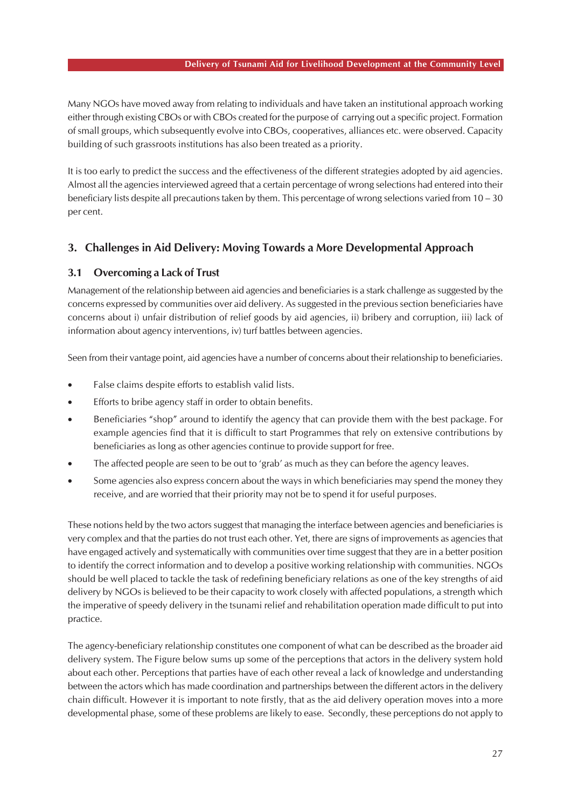#### **Delivery of Tsunami Aid for Livelihood Development at the Community Level**

Many NGOs have moved away from relating to individuals and have taken an institutional approach working either through existing CBOs or with CBOs created for the purpose of carrying out a specific project. Formation of small groups, which subsequently evolve into CBOs, cooperatives, alliances etc. were observed. Capacity building of such grassroots institutions has also been treated as a priority.

It is too early to predict the success and the effectiveness of the different strategies adopted by aid agencies. Almost all the agencies interviewed agreed that a certain percentage of wrong selections had entered into their beneficiary lists despite all precautions taken by them. This percentage of wrong selections varied from 10 – 30 per cent.

# **3. Challenges in Aid Delivery: Moving Towards a More Developmental Approach**

# **3.1 Overcoming a Lack of Trust**

Management of the relationship between aid agencies and beneficiaries is a stark challenge as suggested by the concerns expressed by communities over aid delivery. As suggested in the previous section beneficiaries have concerns about i) unfair distribution of relief goods by aid agencies, ii) bribery and corruption, iii) lack of information about agency interventions, iv) turf battles between agencies.

Seen from their vantage point, aid agencies have a number of concerns about their relationship to beneficiaries.

- False claims despite efforts to establish valid lists.
- Efforts to bribe agency staff in order to obtain benefits.
- Beneficiaries "shop" around to identify the agency that can provide them with the best package. For example agencies find that it is difficult to start Programmes that rely on extensive contributions by beneficiaries as long as other agencies continue to provide support for free.
- The affected people are seen to be out to 'grab' as much as they can before the agency leaves.
- Some agencies also express concern about the ways in which beneficiaries may spend the money they receive, and are worried that their priority may not be to spend it for useful purposes.

These notions held by the two actors suggest that managing the interface between agencies and beneficiaries is very complex and that the parties do not trust each other. Yet, there are signs of improvements as agencies that have engaged actively and systematically with communities over time suggest that they are in a better position to identify the correct information and to develop a positive working relationship with communities. NGOs should be well placed to tackle the task of redefining beneficiary relations as one of the key strengths of aid delivery by NGOs is believed to be their capacity to work closely with affected populations, a strength which the imperative of speedy delivery in the tsunami relief and rehabilitation operation made difficult to put into practice.

The agency-beneficiary relationship constitutes one component of what can be described as the broader aid delivery system. The Figure below sums up some of the perceptions that actors in the delivery system hold about each other. Perceptions that parties have of each other reveal a lack of knowledge and understanding between the actors which has made coordination and partnerships between the different actors in the delivery chain difficult. However it is important to note firstly, that as the aid delivery operation moves into a more developmental phase, some of these problems are likely to ease. Secondly, these perceptions do not apply to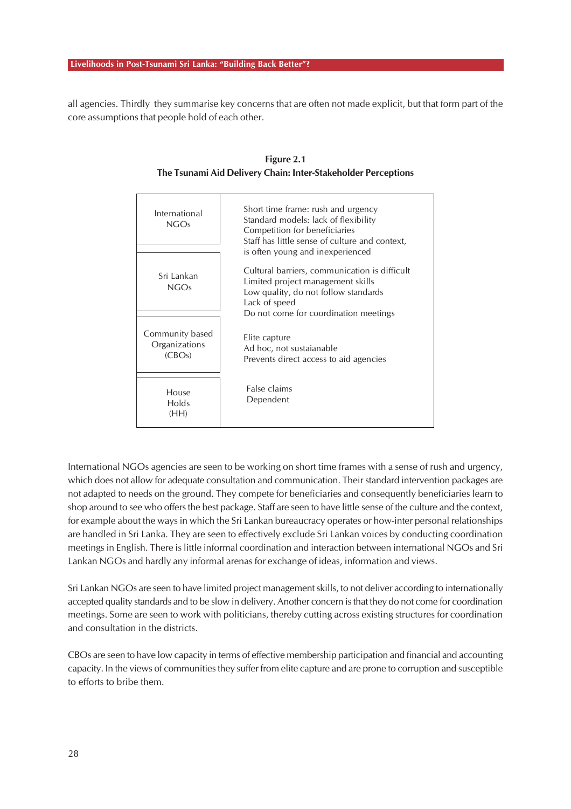all agencies. Thirdly they summarise key concerns that are often not made explicit, but that form part of the core assumptions that people hold of each other.

| International<br>NGOs                      | Short time frame: rush and urgency<br>Standard models: lack of flexibility<br>Competition for beneficiaries<br>Staff has little sense of culture and context,<br>is often young and inexperienced |
|--------------------------------------------|---------------------------------------------------------------------------------------------------------------------------------------------------------------------------------------------------|
| Sri Lankan<br><b>NGOs</b>                  | Cultural barriers, communication is difficult<br>Limited project management skills<br>Low quality, do not follow standards<br>Lack of speed<br>Do not come for coordination meetings              |
| Community based<br>Organizations<br>(CBOs) | Elite capture<br>Ad hoc, not sustaianable<br>Prevents direct access to aid agencies                                                                                                               |
| House<br>Holds<br>(HH)                     | False claims<br>Dependent                                                                                                                                                                         |

**Figure 2.1 The Tsunami Aid Delivery Chain: Inter-Stakeholder Perceptions**

International NGOs agencies are seen to be working on short time frames with a sense of rush and urgency, which does not allow for adequate consultation and communication. Their standard intervention packages are not adapted to needs on the ground. They compete for beneficiaries and consequently beneficiaries learn to shop around to see who offers the best package. Staff are seen to have little sense of the culture and the context, for example about the ways in which the Sri Lankan bureaucracy operates or how-inter personal relationships are handled in Sri Lanka. They are seen to effectively exclude Sri Lankan voices by conducting coordination meetings in English. There is little informal coordination and interaction between international NGOs and Sri Lankan NGOs and hardly any informal arenas for exchange of ideas, information and views.

Sri Lankan NGOs are seen to have limited project management skills, to not deliver according to internationally accepted quality standards and to be slow in delivery. Another concern is that they do not come for coordination meetings. Some are seen to work with politicians, thereby cutting across existing structures for coordination and consultation in the districts.

CBOs are seen to have low capacity in terms of effective membership participation and financial and accounting capacity. In the views of communities they suffer from elite capture and are prone to corruption and susceptible to efforts to bribe them.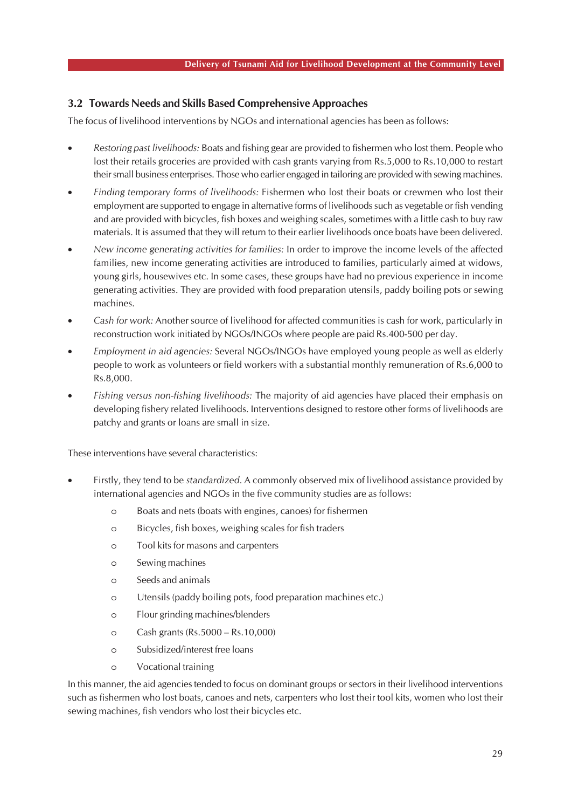### **3.2 Towards Needs and Skills Based Comprehensive Approaches**

The focus of livelihood interventions by NGOs and international agencies has been as follows:

- *Restoring past livelihoods:* Boats and fishing gear are provided to fishermen who lost them. People who lost their retails groceries are provided with cash grants varying from Rs.5,000 to Rs.10,000 to restart their small business enterprises. Those who earlier engaged in tailoring are provided with sewing machines.
- *Finding temporary forms of livelihoods:* Fishermen who lost their boats or crewmen who lost their employment are supported to engage in alternative forms of livelihoods such as vegetable or fish vending and are provided with bicycles, fish boxes and weighing scales, sometimes with a little cash to buy raw materials. It is assumed that they will return to their earlier livelihoods once boats have been delivered.
- *New income generating activities for families:* In order to improve the income levels of the affected families, new income generating activities are introduced to families, particularly aimed at widows, young girls, housewives etc. In some cases, these groups have had no previous experience in income generating activities. They are provided with food preparation utensils, paddy boiling pots or sewing machines.
- *Cash for work:* Another source of livelihood for affected communities is cash for work, particularly in reconstruction work initiated by NGOs/INGOs where people are paid Rs.400-500 per day.
- *Employment in aid agencies:* Several NGOs/INGOs have employed young people as well as elderly people to work as volunteers or field workers with a substantial monthly remuneration of Rs.6,000 to Rs.8,000.
- *Fishing versus non-fishing livelihoods:* The majority of aid agencies have placed their emphasis on developing fishery related livelihoods. Interventions designed to restore other forms of livelihoods are patchy and grants or loans are small in size.

These interventions have several characteristics:

- Firstly, they tend to be *standardized*. A commonly observed mix of livelihood assistance provided by international agencies and NGOs in the five community studies are as follows:
	- o Boats and nets (boats with engines, canoes) for fishermen
	- o Bicycles, fish boxes, weighing scales for fish traders
	- o Tool kits for masons and carpenters
	- o Sewing machines
	- o Seeds and animals
	- o Utensils (paddy boiling pots, food preparation machines etc.)
	- o Flour grinding machines/blenders
	- o Cash grants (Rs.5000 Rs.10,000)
	- o Subsidized/interest free loans
	- o Vocational training

In this manner, the aid agencies tended to focus on dominant groups or sectors in their livelihood interventions such as fishermen who lost boats, canoes and nets, carpenters who lost their tool kits, women who lost their sewing machines, fish vendors who lost their bicycles etc.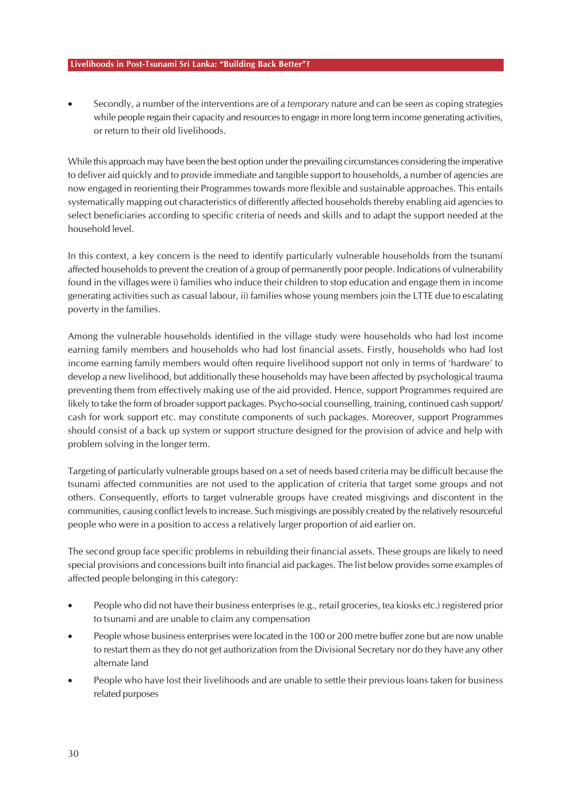• Secondly, a number of the interventions are of a *temporary* nature and can be seen as coping strategies while people regain their capacity and resources to engage in more long term income generating activities, or return to their old livelihoods.

While this approach may have been the best option under the prevailing circumstances considering the imperative to deliver aid quickly and to provide immediate and tangible support to households, a number of agencies are now engaged in reorienting their Programmes towards more flexible and sustainable approaches. This entails systematically mapping out characteristics of differently affected households thereby enabling aid agencies to select beneficiaries according to specific criteria of needs and skills and to adapt the support needed at the household level.

In this context, a key concern is the need to identify particularly vulnerable households from the tsunami affected households to prevent the creation of a group of permanently poor people. Indications of vulnerability found in the villages were i) families who induce their children to stop education and engage them in income generating activities such as casual labour, ii) families whose young members join the LTTE due to escalating poverty in the families.

Among the vulnerable households identified in the village study were households who had lost income earning family members and households who had lost financial assets. Firstly, households who had lost income earning family members would often require livelihood support not only in terms of 'hardware' to develop a new livelihood, but additionally these households may have been affected by psychological trauma preventing them from effectively making use of the aid provided. Hence, support Programmes required are likely to take the form of broader support packages. Psycho-social counselling, training, continued cash support/ cash for work support etc. may constitute components of such packages. Moreover, support Programmes should consist of a back up system or support structure designed for the provision of advice and help with problem solving in the longer term.

Targeting of particularly vulnerable groups based on a set of needs based criteria may be difficult because the tsunami affected communities are not used to the application of criteria that target some groups and not others. Consequently, efforts to target vulnerable groups have created misgivings and discontent in the communities, causing conflict levels to increase. Such misgivings are possibly created by the relatively resourceful people who were in a position to access a relatively larger proportion of aid earlier on.

The second group face specific problems in rebuilding their financial assets. These groups are likely to need special provisions and concessions built into financial aid packages. The list below provides some examples of affected people belonging in this category:

- People who did not have their business enterprises (e.g., retail groceries, tea kiosks etc.) registered prior to tsunami and are unable to claim any compensation
- People whose business enterprises were located in the 100 or 200 metre buffer zone but are now unable to restart them as they do not get authorization from the Divisional Secretary nor do they have any other alternate land
- People who have lost their livelihoods and are unable to settle their previous loans taken for business related purposes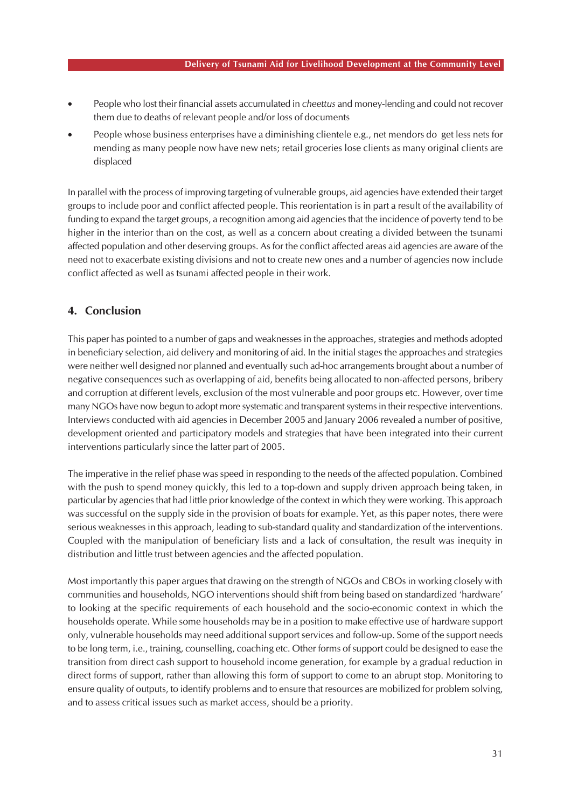- People who lost their financial assets accumulated in *cheettus* and money-lending and could not recover them due to deaths of relevant people and/or loss of documents
- People whose business enterprises have a diminishing clientele e.g., net mendors do get less nets for mending as many people now have new nets; retail groceries lose clients as many original clients are displaced

In parallel with the process of improving targeting of vulnerable groups, aid agencies have extended their target groups to include poor and conflict affected people. This reorientation is in part a result of the availability of funding to expand the target groups, a recognition among aid agencies that the incidence of poverty tend to be higher in the interior than on the cost, as well as a concern about creating a divided between the tsunami affected population and other deserving groups. As for the conflict affected areas aid agencies are aware of the need not to exacerbate existing divisions and not to create new ones and a number of agencies now include conflict affected as well as tsunami affected people in their work.

# **4. Conclusion**

This paper has pointed to a number of gaps and weaknesses in the approaches, strategies and methods adopted in beneficiary selection, aid delivery and monitoring of aid. In the initial stages the approaches and strategies were neither well designed nor planned and eventually such ad-hoc arrangements brought about a number of negative consequences such as overlapping of aid, benefits being allocated to non-affected persons, bribery and corruption at different levels, exclusion of the most vulnerable and poor groups etc. However, over time many NGOs have now begun to adopt more systematic and transparent systems in their respective interventions. Interviews conducted with aid agencies in December 2005 and January 2006 revealed a number of positive, development oriented and participatory models and strategies that have been integrated into their current interventions particularly since the latter part of 2005.

The imperative in the relief phase was speed in responding to the needs of the affected population. Combined with the push to spend money quickly, this led to a top-down and supply driven approach being taken, in particular by agencies that had little prior knowledge of the context in which they were working. This approach was successful on the supply side in the provision of boats for example. Yet, as this paper notes, there were serious weaknesses in this approach, leading to sub-standard quality and standardization of the interventions. Coupled with the manipulation of beneficiary lists and a lack of consultation, the result was inequity in distribution and little trust between agencies and the affected population.

Most importantly this paper argues that drawing on the strength of NGOs and CBOs in working closely with communities and households, NGO interventions should shift from being based on standardized 'hardware' to looking at the specific requirements of each household and the socio-economic context in which the households operate. While some households may be in a position to make effective use of hardware support only, vulnerable households may need additional support services and follow-up. Some of the support needs to be long term, i.e., training, counselling, coaching etc. Other forms of support could be designed to ease the transition from direct cash support to household income generation, for example by a gradual reduction in direct forms of support, rather than allowing this form of support to come to an abrupt stop. Monitoring to ensure quality of outputs, to identify problems and to ensure that resources are mobilized for problem solving, and to assess critical issues such as market access, should be a priority.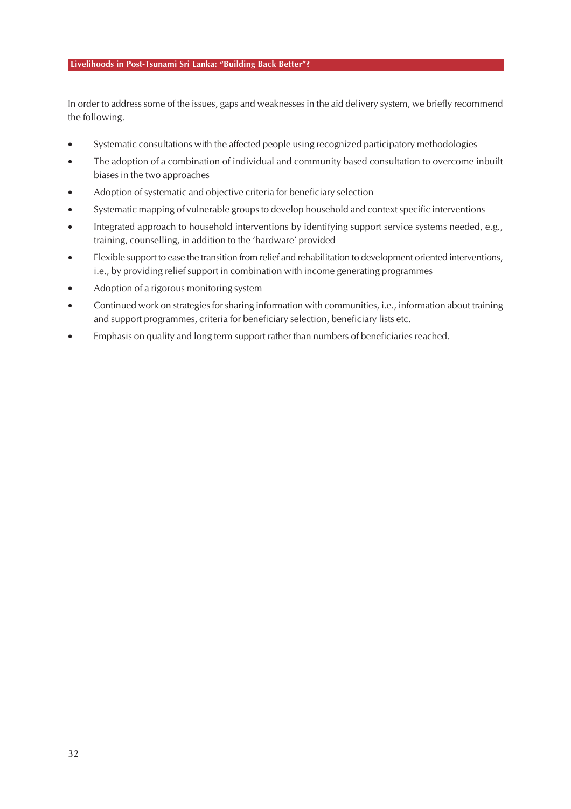In order to address some of the issues, gaps and weaknesses in the aid delivery system, we briefly recommend the following.

- Systematic consultations with the affected people using recognized participatory methodologies
- The adoption of a combination of individual and community based consultation to overcome inbuilt biases in the two approaches
- Adoption of systematic and objective criteria for beneficiary selection
- Systematic mapping of vulnerable groups to develop household and context specific interventions
- Integrated approach to household interventions by identifying support service systems needed, e.g., training, counselling, in addition to the 'hardware' provided
- Flexible support to ease the transition from relief and rehabilitation to development oriented interventions, i.e., by providing relief support in combination with income generating programmes
- Adoption of a rigorous monitoring system
- Continued work on strategies for sharing information with communities, i.e., information about training and support programmes, criteria for beneficiary selection, beneficiary lists etc.
- Emphasis on quality and long term support rather than numbers of beneficiaries reached.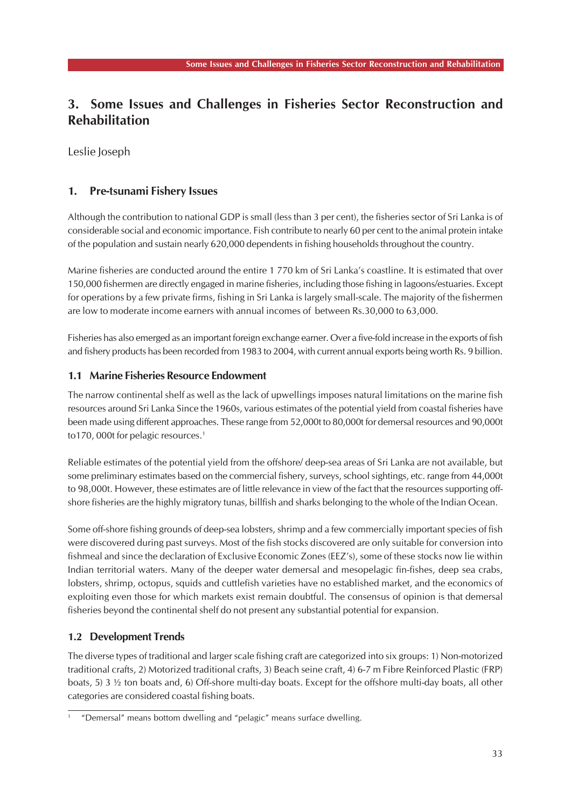# **3. Some Issues and Challenges in Fisheries Sector Reconstruction and Rehabilitation**

Leslie Joseph

# **1. Pre-tsunami Fishery Issues**

Although the contribution to national GDP is small (less than 3 per cent), the fisheries sector of Sri Lanka is of considerable social and economic importance. Fish contribute to nearly 60 per cent to the animal protein intake of the population and sustain nearly 620,000 dependents in fishing households throughout the country.

Marine fisheries are conducted around the entire 1 770 km of Sri Lanka's coastline. It is estimated that over 150,000 fishermen are directly engaged in marine fisheries, including those fishing in lagoons/estuaries. Except for operations by a few private firms, fishing in Sri Lanka is largely small-scale. The majority of the fishermen are low to moderate income earners with annual incomes of between Rs.30,000 to 63,000.

Fisheries has also emerged as an important foreign exchange earner. Over a five-fold increase in the exports of fish and fishery products has been recorded from 1983 to 2004, with current annual exports being worth Rs. 9 billion.

## **1.1 Marine Fisheries Resource Endowment**

The narrow continental shelf as well as the lack of upwellings imposes natural limitations on the marine fish resources around Sri Lanka Since the 1960s, various estimates of the potential yield from coastal fisheries have been made using different approaches. These range from 52,000t to 80,000t for demersal resources and 90,000t to170, 000t for pelagic resources.<sup>1</sup>

Reliable estimates of the potential yield from the offshore/ deep-sea areas of Sri Lanka are not available, but some preliminary estimates based on the commercial fishery, surveys, school sightings, etc. range from 44,000t to 98,000t. However, these estimates are of little relevance in view of the fact that the resources supporting offshore fisheries are the highly migratory tunas, billfish and sharks belonging to the whole of the Indian Ocean.

Some off-shore fishing grounds of deep-sea lobsters, shrimp and a few commercially important species of fish were discovered during past surveys. Most of the fish stocks discovered are only suitable for conversion into fishmeal and since the declaration of Exclusive Economic Zones (EEZ's), some of these stocks now lie within Indian territorial waters. Many of the deeper water demersal and mesopelagic fin-fishes, deep sea crabs, lobsters, shrimp, octopus, squids and cuttlefish varieties have no established market, and the economics of exploiting even those for which markets exist remain doubtful. The consensus of opinion is that demersal fisheries beyond the continental shelf do not present any substantial potential for expansion.

# **1.2 Development Trends**

The diverse types of traditional and larger scale fishing craft are categorized into six groups: 1) Non-motorized traditional crafts, 2) Motorized traditional crafts, 3) Beach seine craft, 4) 6-7 m Fibre Reinforced Plastic (FRP) boats, 5) 3 ½ ton boats and, 6) Off-shore multi-day boats. Except for the offshore multi-day boats, all other categories are considered coastal fishing boats.

<sup>1</sup> "Demersal" means bottom dwelling and "pelagic" means surface dwelling.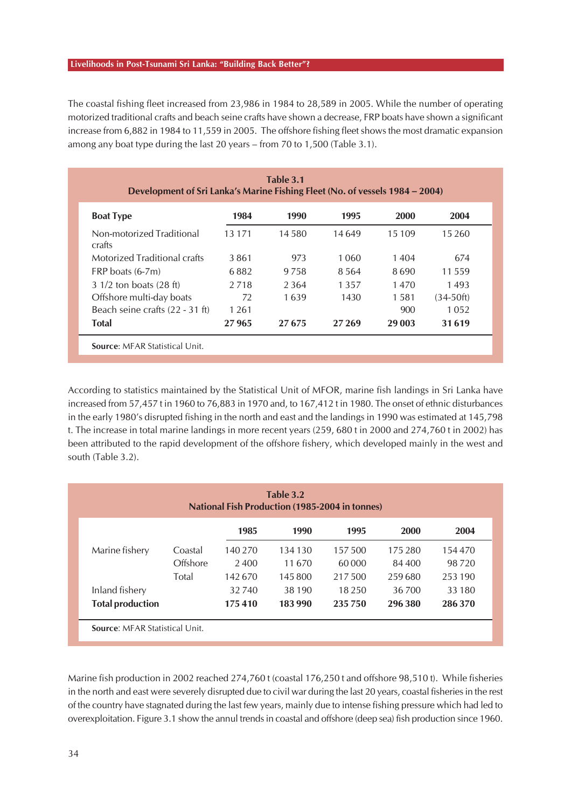The coastal fishing fleet increased from 23,986 in 1984 to 28,589 in 2005. While the number of operating motorized traditional crafts and beach seine crafts have shown a decrease, FRP boats have shown a significant increase from 6,882 in 1984 to 11,559 in 2005. The offshore fishing fleet shows the most dramatic expansion among any boat type during the last 20 years – from 70 to 1,500 (Table 3.1).

| Table 3.1<br>Development of Sri Lanka's Marine Fishing Fleet (No. of vessels 1984 – 2004) |          |         |         |        |             |  |  |
|-------------------------------------------------------------------------------------------|----------|---------|---------|--------|-------------|--|--|
| <b>Boat Type</b>                                                                          | 1984     | 1990    | 1995    | 2000   | 2004        |  |  |
| Non-motorized Traditional<br>crafts                                                       | 13 1 7 1 | 14 580  | 14 649  | 15 109 | 15 2 6 0    |  |  |
| Motorized Traditional crafts                                                              | 3861     | 973     | 1.060   | 1404   | 674         |  |  |
| $FRP$ boats $(6-7m)$                                                                      | 6882     | 9 7 5 8 | 8.564   | 8690   | 11 559      |  |  |
| 3 1/2 ton boats (28 ft)                                                                   | 2718     | 2.364   | 1 3 5 7 | 1470   | 1493        |  |  |
| Offshore multi-day boats                                                                  | 72       | 1639    | 1430    | 1.581  | $(34-50ft)$ |  |  |
| Beach seine crafts (22 - 31 ft)                                                           | 1 2 6 1  |         |         | 900    | 1052        |  |  |
| <b>Total</b>                                                                              | 27965    | 27675   | 27 269  | 29 003 | 31619       |  |  |

According to statistics maintained by the Statistical Unit of MFOR, marine fish landings in Sri Lanka have increased from 57,457 t in 1960 to 76,883 in 1970 and, to 167,412 t in 1980. The onset of ethnic disturbances in the early 1980's disrupted fishing in the north and east and the landings in 1990 was estimated at 145,798 t. The increase in total marine landings in more recent years (259, 680 t in 2000 and 274,760 t in 2002) has been attributed to the rapid development of the offshore fishery, which developed mainly in the west and south (Table 3.2).

| Table 3.2<br><b>National Fish Production (1985-2004 in tonnes)</b> |          |         |         |          |         |         |  |  |
|--------------------------------------------------------------------|----------|---------|---------|----------|---------|---------|--|--|
|                                                                    |          | 1985    | 1990    | 1995     | 2000    | 2004    |  |  |
| Marine fishery                                                     | Coastal  | 140 270 | 134 130 | 157 500  | 175 280 | 154 470 |  |  |
|                                                                    | Offshore | 2400    | 11670   | 60 000   | 84 400  | 98 720  |  |  |
|                                                                    | Total    | 142670  | 145800  | 217.500  | 259680  | 253 190 |  |  |
| Inland fishery                                                     |          | 32740   | 38 190  | 18 2 5 0 | 36 700  | 33 180  |  |  |
| <b>Total production</b>                                            |          | 175410  | 183990  | 235 750  | 296 380 | 286 370 |  |  |

Marine fish production in 2002 reached 274,760 t (coastal 176,250 t and offshore 98,510 t). While fisheries in the north and east were severely disrupted due to civil war during the last 20 years, coastal fisheries in the rest of the country have stagnated during the last few years, mainly due to intense fishing pressure which had led to overexploitation. Figure 3.1 show the annul trends in coastal and offshore (deep sea) fish production since 1960.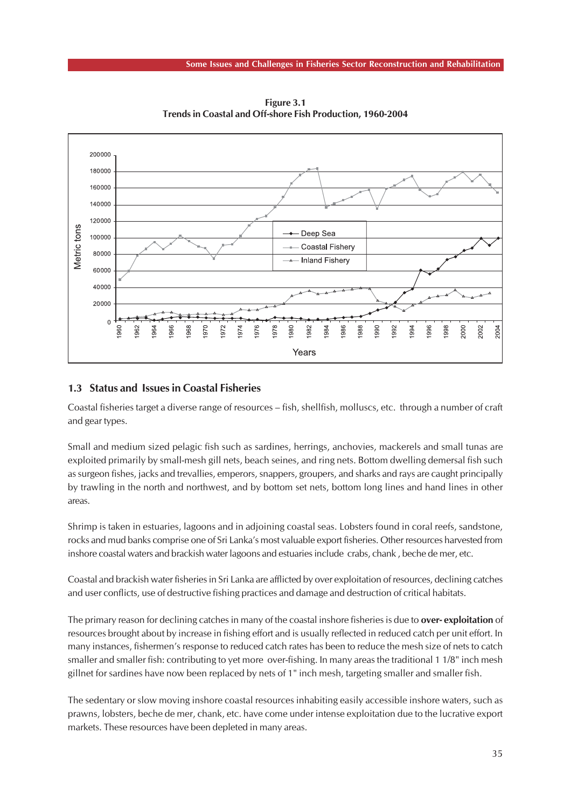

**Figure 3.1 Trends in Coastal and Off-shore Fish Production, 1960-2004**

### **1.3 Status and Issues in Coastal Fisheries**

Coastal fisheries target a diverse range of resources – fish, shellfish, molluscs, etc. through a number of craft and gear types.

Small and medium sized pelagic fish such as sardines, herrings, anchovies, mackerels and small tunas are exploited primarily by small-mesh gill nets, beach seines, and ring nets. Bottom dwelling demersal fish such as surgeon fishes, jacks and trevallies, emperors, snappers, groupers, and sharks and rays are caught principally by trawling in the north and northwest, and by bottom set nets, bottom long lines and hand lines in other areas.

Shrimp is taken in estuaries, lagoons and in adjoining coastal seas. Lobsters found in coral reefs, sandstone, rocks and mud banks comprise one of Sri Lanka's most valuable export fisheries. Other resources harvested from inshore coastal waters and brackish water lagoons and estuaries include crabs, chank , beche de mer, etc.

Coastal and brackish water fisheries in Sri Lanka are afflicted by over exploitation of resources, declining catches and user conflicts, use of destructive fishing practices and damage and destruction of critical habitats.

The primary reason for declining catches in many of the coastal inshore fisheries is due to **over- exploitation** of resources brought about by increase in fishing effort and is usually reflected in reduced catch per unit effort. In many instances, fishermen's response to reduced catch rates has been to reduce the mesh size of nets to catch smaller and smaller fish: contributing to yet more over-fishing. In many areas the traditional 1 1/8" inch mesh gillnet for sardines have now been replaced by nets of 1" inch mesh, targeting smaller and smaller fish.

The sedentary or slow moving inshore coastal resources inhabiting easily accessible inshore waters, such as prawns, lobsters, beche de mer, chank, etc. have come under intense exploitation due to the lucrative export markets. These resources have been depleted in many areas.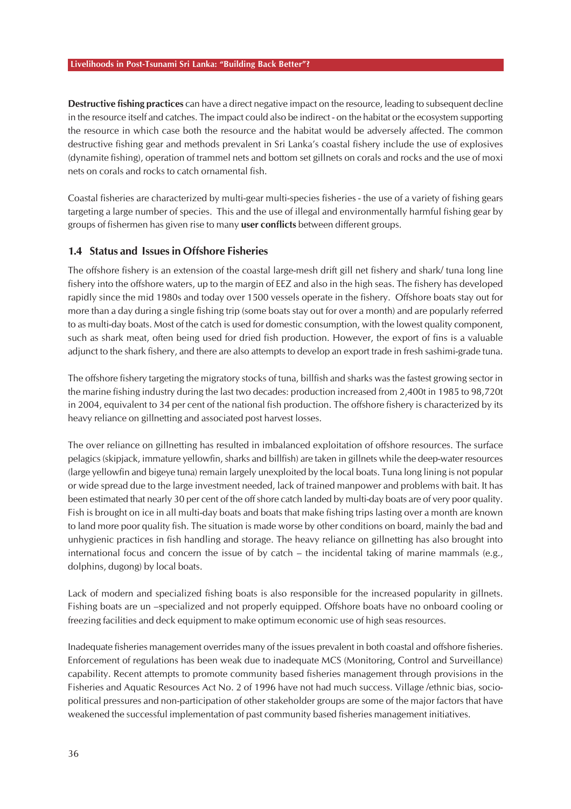**Destructive fishing practices** can have a direct negative impact on the resource, leading to subsequent decline in the resource itself and catches. The impact could also be indirect - on the habitat or the ecosystem supporting the resource in which case both the resource and the habitat would be adversely affected. The common destructive fishing gear and methods prevalent in Sri Lanka's coastal fishery include the use of explosives (dynamite fishing), operation of trammel nets and bottom set gillnets on corals and rocks and the use of moxi nets on corals and rocks to catch ornamental fish.

Coastal fisheries are characterized by multi-gear multi-species fisheries - the use of a variety of fishing gears targeting a large number of species. This and the use of illegal and environmentally harmful fishing gear by groups of fishermen has given rise to many **user conflicts** between different groups.

### **1.4 Status and Issues in Offshore Fisheries**

The offshore fishery is an extension of the coastal large-mesh drift gill net fishery and shark/ tuna long line fishery into the offshore waters, up to the margin of EEZ and also in the high seas. The fishery has developed rapidly since the mid 1980s and today over 1500 vessels operate in the fishery. Offshore boats stay out for more than a day during a single fishing trip (some boats stay out for over a month) and are popularly referred to as multi-day boats. Most of the catch is used for domestic consumption, with the lowest quality component, such as shark meat, often being used for dried fish production. However, the export of fins is a valuable adjunct to the shark fishery, and there are also attempts to develop an export trade in fresh sashimi-grade tuna.

The offshore fishery targeting the migratory stocks of tuna, billfish and sharks was the fastest growing sector in the marine fishing industry during the last two decades: production increased from 2,400t in 1985 to 98,720t in 2004, equivalent to 34 per cent of the national fish production. The offshore fishery is characterized by its heavy reliance on gillnetting and associated post harvest losses.

The over reliance on gillnetting has resulted in imbalanced exploitation of offshore resources. The surface pelagics (skipjack, immature yellowfin, sharks and billfish) are taken in gillnets while the deep-water resources (large yellowfin and bigeye tuna) remain largely unexploited by the local boats. Tuna long lining is not popular or wide spread due to the large investment needed, lack of trained manpower and problems with bait. It has been estimated that nearly 30 per cent of the off shore catch landed by multi-day boats are of very poor quality. Fish is brought on ice in all multi-day boats and boats that make fishing trips lasting over a month are known to land more poor quality fish. The situation is made worse by other conditions on board, mainly the bad and unhygienic practices in fish handling and storage. The heavy reliance on gillnetting has also brought into international focus and concern the issue of by catch – the incidental taking of marine mammals (e.g., dolphins, dugong) by local boats.

Lack of modern and specialized fishing boats is also responsible for the increased popularity in gillnets. Fishing boats are un –specialized and not properly equipped. Offshore boats have no onboard cooling or freezing facilities and deck equipment to make optimum economic use of high seas resources.

Inadequate fisheries management overrides many of the issues prevalent in both coastal and offshore fisheries. Enforcement of regulations has been weak due to inadequate MCS (Monitoring, Control and Surveillance) capability. Recent attempts to promote community based fisheries management through provisions in the Fisheries and Aquatic Resources Act No. 2 of 1996 have not had much success. Village /ethnic bias, sociopolitical pressures and non-participation of other stakeholder groups are some of the major factors that have weakened the successful implementation of past community based fisheries management initiatives.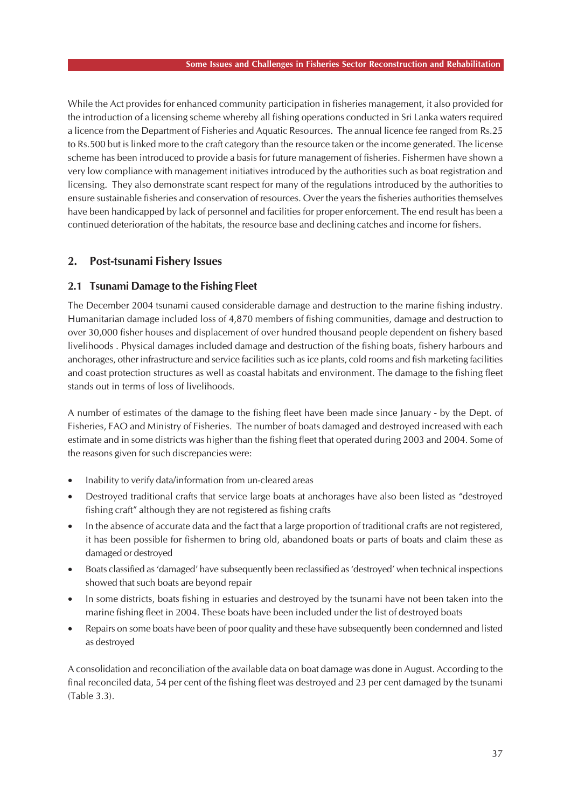While the Act provides for enhanced community participation in fisheries management, it also provided for the introduction of a licensing scheme whereby all fishing operations conducted in Sri Lanka waters required a licence from the Department of Fisheries and Aquatic Resources. The annual licence fee ranged from Rs.25 to Rs.500 but is linked more to the craft category than the resource taken or the income generated. The license scheme has been introduced to provide a basis for future management of fisheries. Fishermen have shown a very low compliance with management initiatives introduced by the authorities such as boat registration and licensing. They also demonstrate scant respect for many of the regulations introduced by the authorities to ensure sustainable fisheries and conservation of resources. Over the years the fisheries authorities themselves have been handicapped by lack of personnel and facilities for proper enforcement. The end result has been a continued deterioration of the habitats, the resource base and declining catches and income for fishers.

### **2. Post-tsunami Fishery Issues**

### **2.1 Tsunami Damage to the Fishing Fleet**

The December 2004 tsunami caused considerable damage and destruction to the marine fishing industry. Humanitarian damage included loss of 4,870 members of fishing communities, damage and destruction to over 30,000 fisher houses and displacement of over hundred thousand people dependent on fishery based livelihoods . Physical damages included damage and destruction of the fishing boats, fishery harbours and anchorages, other infrastructure and service facilities such as ice plants, cold rooms and fish marketing facilities and coast protection structures as well as coastal habitats and environment. The damage to the fishing fleet stands out in terms of loss of livelihoods.

A number of estimates of the damage to the fishing fleet have been made since January - by the Dept. of Fisheries, FAO and Ministry of Fisheries. The number of boats damaged and destroyed increased with each estimate and in some districts was higher than the fishing fleet that operated during 2003 and 2004. Some of the reasons given for such discrepancies were:

- Inability to verify data/information from un-cleared areas
- Destroyed traditional crafts that service large boats at anchorages have also been listed as "destroyed fishing craft" although they are not registered as fishing crafts
- In the absence of accurate data and the fact that a large proportion of traditional crafts are not registered, it has been possible for fishermen to bring old, abandoned boats or parts of boats and claim these as damaged or destroyed
- Boats classified as 'damaged' have subsequently been reclassified as 'destroyed' when technical inspections showed that such boats are beyond repair
- In some districts, boats fishing in estuaries and destroyed by the tsunami have not been taken into the marine fishing fleet in 2004. These boats have been included under the list of destroyed boats
- Repairs on some boats have been of poor quality and these have subsequently been condemned and listed as destroyed

A consolidation and reconciliation of the available data on boat damage was done in August. According to the final reconciled data, 54 per cent of the fishing fleet was destroyed and 23 per cent damaged by the tsunami (Table 3.3).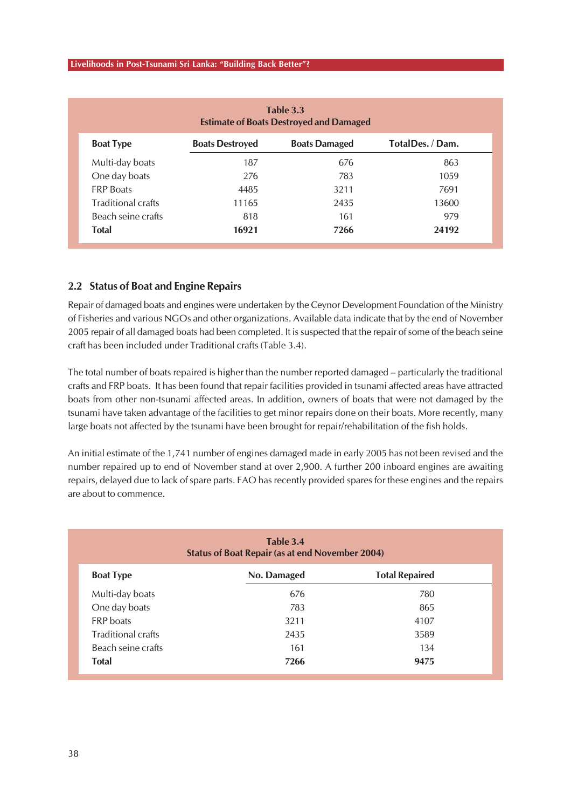| Table 3.3<br><b>Estimate of Boats Destroyed and Damaged</b> |                        |                      |                  |  |  |  |  |  |
|-------------------------------------------------------------|------------------------|----------------------|------------------|--|--|--|--|--|
| <b>Boat Type</b>                                            | <b>Boats Destroyed</b> | <b>Boats Damaged</b> | TotalDes. / Dam. |  |  |  |  |  |
| Multi-day boats                                             | 187                    | 676                  | 863              |  |  |  |  |  |
| One day boats                                               | 276                    | 783                  | 1059             |  |  |  |  |  |
| <b>FRP Boats</b>                                            | 4485                   | 3211                 | 7691             |  |  |  |  |  |
| <b>Traditional crafts</b>                                   | 11165                  | 2435                 | 13600            |  |  |  |  |  |
| Beach seine crafts                                          | 818                    | 161                  | 979              |  |  |  |  |  |
| <b>Total</b>                                                | 16921                  | 7266                 | 24192            |  |  |  |  |  |

### **2.2 Status of Boat and Engine Repairs**

Repair of damaged boats and engines were undertaken by the Ceynor Development Foundation of the Ministry of Fisheries and various NGOs and other organizations. Available data indicate that by the end of November 2005 repair of all damaged boats had been completed. It is suspected that the repair of some of the beach seine craft has been included under Traditional crafts (Table 3.4).

The total number of boats repaired is higher than the number reported damaged – particularly the traditional crafts and FRP boats. It has been found that repair facilities provided in tsunami affected areas have attracted boats from other non-tsunami affected areas. In addition, owners of boats that were not damaged by the tsunami have taken advantage of the facilities to get minor repairs done on their boats. More recently, many large boats not affected by the tsunami have been brought for repair/rehabilitation of the fish holds.

An initial estimate of the 1,741 number of engines damaged made in early 2005 has not been revised and the number repaired up to end of November stand at over 2,900. A further 200 inboard engines are awaiting repairs, delayed due to lack of spare parts. FAO has recently provided spares for these engines and the repairs are about to commence.

| Table 3.4<br><b>Status of Boat Repair (as at end November 2004)</b> |      |      |  |  |  |  |
|---------------------------------------------------------------------|------|------|--|--|--|--|
| <b>Total Repaired</b><br>No. Damaged<br><b>Boat Type</b>            |      |      |  |  |  |  |
| Multi-day boats                                                     | 676  | 780  |  |  |  |  |
| One day boats                                                       | 783  | 865  |  |  |  |  |
| <b>FRP</b> boats                                                    | 3211 | 4107 |  |  |  |  |
| <b>Traditional crafts</b>                                           | 2435 | 3589 |  |  |  |  |
| Beach seine crafts                                                  | 161  | 134  |  |  |  |  |
| <b>Total</b>                                                        | 7266 | 9475 |  |  |  |  |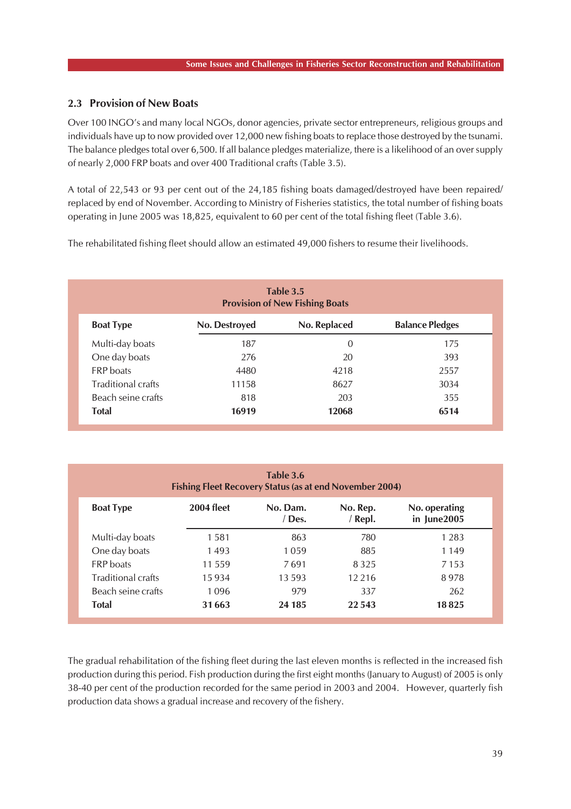### **2.3 Provision of New Boats**

Over 100 INGO's and many local NGOs, donor agencies, private sector entrepreneurs, religious groups and individuals have up to now provided over 12,000 new fishing boats to replace those destroyed by the tsunami. The balance pledges total over 6,500. If all balance pledges materialize, there is a likelihood of an over supply of nearly 2,000 FRP boats and over 400 Traditional crafts (Table 3.5).

A total of 22,543 or 93 per cent out of the 24,185 fishing boats damaged/destroyed have been repaired/ replaced by end of November. According to Ministry of Fisheries statistics, the total number of fishing boats operating in June 2005 was 18,825, equivalent to 60 per cent of the total fishing fleet (Table 3.6).

The rehabilitated fishing fleet should allow an estimated 49,000 fishers to resume their livelihoods.

| Table 3.5<br><b>Provision of New Fishing Boats</b> |               |              |                        |  |  |  |  |
|----------------------------------------------------|---------------|--------------|------------------------|--|--|--|--|
| <b>Boat Type</b>                                   | No. Destroyed | No. Replaced | <b>Balance Pledges</b> |  |  |  |  |
| Multi-day boats                                    | 187           | 0            | 175                    |  |  |  |  |
| One day boats                                      | 276           | 20           | 393                    |  |  |  |  |
| <b>FRP</b> boats                                   | 4480          | 4218         | 2557                   |  |  |  |  |
| <b>Traditional crafts</b>                          | 11158         | 8627         | 3034                   |  |  |  |  |
| Beach seine crafts                                 | 818           | 203          | 355                    |  |  |  |  |
| <b>Total</b>                                       | 16919         | 12068        | 6514                   |  |  |  |  |

| Table 3.6<br><b>Fishing Fleet Recovery Status (as at end November 2004)</b> |                   |                  |                   |                              |  |  |  |  |  |
|-----------------------------------------------------------------------------|-------------------|------------------|-------------------|------------------------------|--|--|--|--|--|
| <b>Boat Type</b>                                                            | <b>2004 fleet</b> | No. Dam.<br>Des. | No. Rep.<br>Repl. | No. operating<br>in June2005 |  |  |  |  |  |
| Multi-day boats                                                             | 1581              | 863              | 780               | 1 2 8 3                      |  |  |  |  |  |
| One day boats                                                               | 1493              | 1059             | 885               | 1 1 4 9                      |  |  |  |  |  |
| <b>FRP</b> boats                                                            | 11559             | 7691             | 8325              | 7 1 5 3                      |  |  |  |  |  |
| <b>Traditional crafts</b>                                                   | 15934             | 13593            | 12 2 16           | 8978                         |  |  |  |  |  |
| Beach seine crafts                                                          | 1096              | 979              | 337               | 262                          |  |  |  |  |  |
| <b>Total</b>                                                                | 31663             | 24 185           | 22 543            | 18825                        |  |  |  |  |  |

The gradual rehabilitation of the fishing fleet during the last eleven months is reflected in the increased fish production during this period. Fish production during the first eight months (January to August) of 2005 is only 38-40 per cent of the production recorded for the same period in 2003 and 2004. However, quarterly fish production data shows a gradual increase and recovery of the fishery.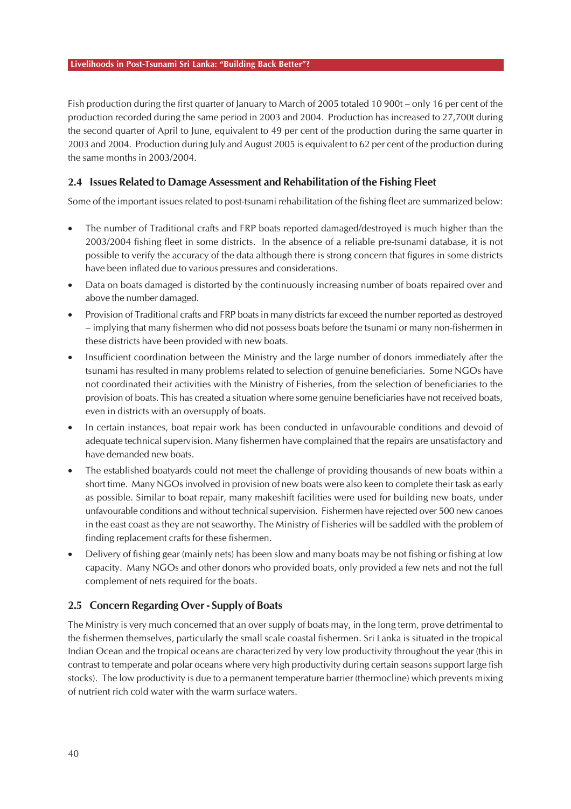Fish production during the first quarter of January to March of 2005 totaled 10 900t – only 16 per cent of the production recorded during the same period in 2003 and 2004. Production has increased to 27,700t during the second quarter of April to June, equivalent to 49 per cent of the production during the same quarter in 2003 and 2004. Production during July and August 2005 is equivalent to 62 per cent of the production during the same months in 2003/2004.

### **2.4 Issues Related to Damage Assessment and Rehabilitation of the Fishing Fleet**

Some of the important issues related to post-tsunami rehabilitation of the fishing fleet are summarized below:

- The number of Traditional crafts and FRP boats reported damaged/destroyed is much higher than the 2003/2004 fishing fleet in some districts. In the absence of a reliable pre-tsunami database, it is not possible to verify the accuracy of the data although there is strong concern that figures in some districts have been inflated due to various pressures and considerations.
- Data on boats damaged is distorted by the continuously increasing number of boats repaired over and above the number damaged.
- Provision of Traditional crafts and FRP boats in many districts far exceed the number reported as destroyed – implying that many fishermen who did not possess boats before the tsunami or many non-fishermen in these districts have been provided with new boats.
- Insufficient coordination between the Ministry and the large number of donors immediately after the tsunami has resulted in many problems related to selection of genuine beneficiaries. Some NGOs have not coordinated their activities with the Ministry of Fisheries, from the selection of beneficiaries to the provision of boats. This has created a situation where some genuine beneficiaries have not received boats, even in districts with an oversupply of boats.
- In certain instances, boat repair work has been conducted in unfavourable conditions and devoid of adequate technical supervision. Many fishermen have complained that the repairs are unsatisfactory and have demanded new boats.
- The established boatyards could not meet the challenge of providing thousands of new boats within a short time. Many NGOs involved in provision of new boats were also keen to complete their task as early as possible. Similar to boat repair, many makeshift facilities were used for building new boats, under unfavourable conditions and without technical supervision. Fishermen have rejected over 500 new canoes in the east coast as they are not seaworthy. The Ministry of Fisheries will be saddled with the problem of finding replacement crafts for these fishermen.
- Delivery of fishing gear (mainly nets) has been slow and many boats may be not fishing or fishing at low capacity. Many NGOs and other donors who provided boats, only provided a few nets and not the full complement of nets required for the boats.

### **2.5 Concern Regarding Over - Supply of Boats**

The Ministry is very much concerned that an over supply of boats may, in the long term, prove detrimental to the fishermen themselves, particularly the small scale coastal fishermen. Sri Lanka is situated in the tropical Indian Ocean and the tropical oceans are characterized by very low productivity throughout the year (this in contrast to temperate and polar oceans where very high productivity during certain seasons support large fish stocks). The low productivity is due to a permanent temperature barrier (thermocline) which prevents mixing of nutrient rich cold water with the warm surface waters.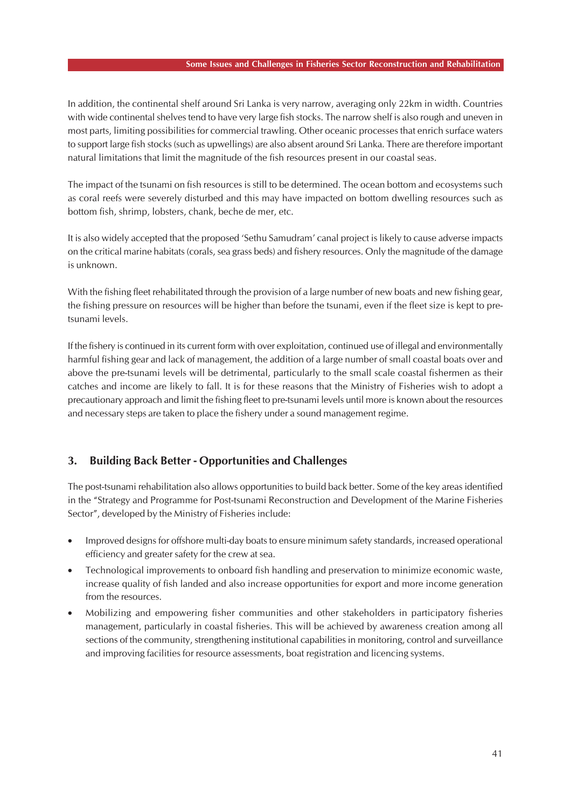#### **Some Issues and Challenges in Fisheries Sector Reconstruction and Rehabilitation**

In addition, the continental shelf around Sri Lanka is very narrow, averaging only 22km in width. Countries with wide continental shelves tend to have very large fish stocks. The narrow shelf is also rough and uneven in most parts, limiting possibilities for commercial trawling. Other oceanic processes that enrich surface waters to support large fish stocks (such as upwellings) are also absent around Sri Lanka. There are therefore important natural limitations that limit the magnitude of the fish resources present in our coastal seas.

The impact of the tsunami on fish resources is still to be determined. The ocean bottom and ecosystems such as coral reefs were severely disturbed and this may have impacted on bottom dwelling resources such as bottom fish, shrimp, lobsters, chank, beche de mer, etc.

It is also widely accepted that the proposed 'Sethu Samudram' canal project is likely to cause adverse impacts on the critical marine habitats (corals, sea grass beds) and fishery resources. Only the magnitude of the damage is unknown.

With the fishing fleet rehabilitated through the provision of a large number of new boats and new fishing gear, the fishing pressure on resources will be higher than before the tsunami, even if the fleet size is kept to pretsunami levels.

If the fishery is continued in its current form with over exploitation, continued use of illegal and environmentally harmful fishing gear and lack of management, the addition of a large number of small coastal boats over and above the pre-tsunami levels will be detrimental, particularly to the small scale coastal fishermen as their catches and income are likely to fall. It is for these reasons that the Ministry of Fisheries wish to adopt a precautionary approach and limit the fishing fleet to pre-tsunami levels until more is known about the resources and necessary steps are taken to place the fishery under a sound management regime.

# **3. Building Back Better - Opportunities and Challenges**

The post-tsunami rehabilitation also allows opportunities to build back better. Some of the key areas identified in the "Strategy and Programme for Post-tsunami Reconstruction and Development of the Marine Fisheries Sector", developed by the Ministry of Fisheries include:

- Improved designs for offshore multi-day boats to ensure minimum safety standards, increased operational efficiency and greater safety for the crew at sea.
- Technological improvements to onboard fish handling and preservation to minimize economic waste, increase quality of fish landed and also increase opportunities for export and more income generation from the resources.
- Mobilizing and empowering fisher communities and other stakeholders in participatory fisheries management, particularly in coastal fisheries. This will be achieved by awareness creation among all sections of the community, strengthening institutional capabilities in monitoring, control and surveillance and improving facilities for resource assessments, boat registration and licencing systems.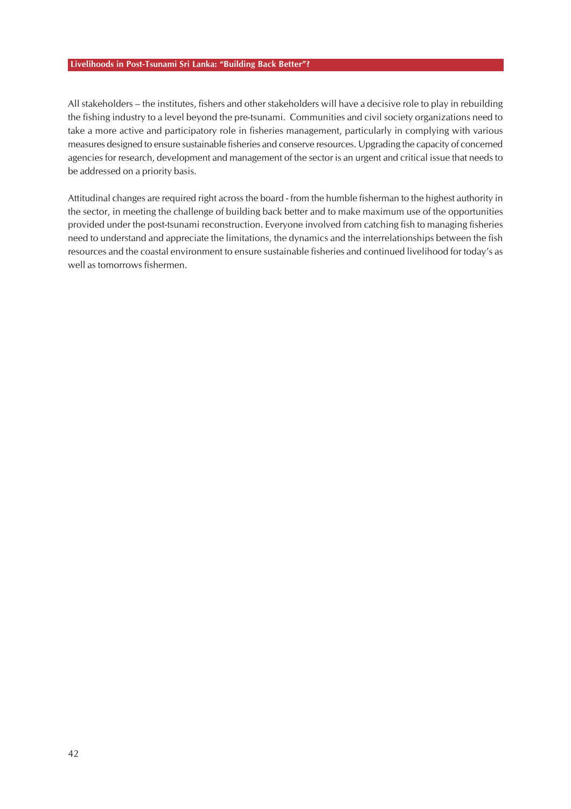All stakeholders – the institutes, fishers and other stakeholders will have a decisive role to play in rebuilding the fishing industry to a level beyond the pre-tsunami. Communities and civil society organizations need to take a more active and participatory role in fisheries management, particularly in complying with various measures designed to ensure sustainable fisheries and conserve resources. Upgrading the capacity of concerned agencies for research, development and management of the sector is an urgent and critical issue that needs to be addressed on a priority basis.

Attitudinal changes are required right across the board - from the humble fisherman to the highest authority in the sector, in meeting the challenge of building back better and to make maximum use of the opportunities provided under the post-tsunami reconstruction. Everyone involved from catching fish to managing fisheries need to understand and appreciate the limitations, the dynamics and the interrelationships between the fish resources and the coastal environment to ensure sustainable fisheries and continued livelihood for today's as well as tomorrows fishermen.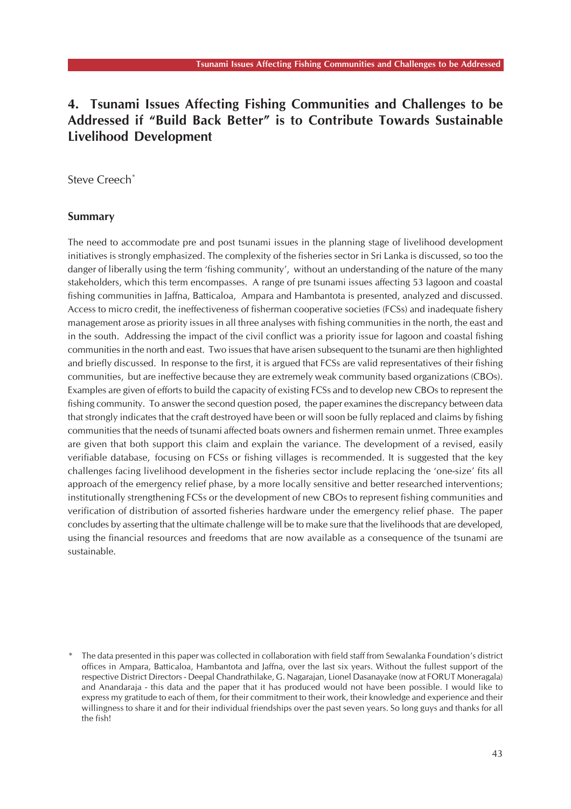# **4. Tsunami Issues Affecting Fishing Communities and Challenges to be Addressed if "Build Back Better" is to Contribute Towards Sustainable Livelihood Development**

Steve Creech<sup>\*</sup>

#### **Summary**

The need to accommodate pre and post tsunami issues in the planning stage of livelihood development initiatives is strongly emphasized. The complexity of the fisheries sector in Sri Lanka is discussed, so too the danger of liberally using the term 'fishing community', without an understanding of the nature of the many stakeholders, which this term encompasses. A range of pre tsunami issues affecting 53 lagoon and coastal fishing communities in Jaffna, Batticaloa, Ampara and Hambantota is presented, analyzed and discussed. Access to micro credit, the ineffectiveness of fisherman cooperative societies (FCSs) and inadequate fishery management arose as priority issues in all three analyses with fishing communities in the north, the east and in the south. Addressing the impact of the civil conflict was a priority issue for lagoon and coastal fishing communities in the north and east. Two issues that have arisen subsequent to the tsunami are then highlighted and briefly discussed. In response to the first, it is argued that FCSs are valid representatives of their fishing communities, but are ineffective because they are extremely weak community based organizations (CBOs). Examples are given of efforts to build the capacity of existing FCSs and to develop new CBOs to represent the fishing community. To answer the second question posed, the paper examines the discrepancy between data that strongly indicates that the craft destroyed have been or will soon be fully replaced and claims by fishing communities that the needs of tsunami affected boats owners and fishermen remain unmet. Three examples are given that both support this claim and explain the variance. The development of a revised, easily verifiable database, focusing on FCSs or fishing villages is recommended. It is suggested that the key challenges facing livelihood development in the fisheries sector include replacing the 'one-size' fits all approach of the emergency relief phase, by a more locally sensitive and better researched interventions; institutionally strengthening FCSs or the development of new CBOs to represent fishing communities and verification of distribution of assorted fisheries hardware under the emergency relief phase. The paper concludes by asserting that the ultimate challenge will be to make sure that the livelihoods that are developed, using the financial resources and freedoms that are now available as a consequence of the tsunami are sustainable.

The data presented in this paper was collected in collaboration with field staff from Sewalanka Foundation's district offices in Ampara, Batticaloa, Hambantota and Jaffna, over the last six years. Without the fullest support of the respective District Directors - Deepal Chandrathilake, G. Nagarajan, Lionel Dasanayake (now at FORUT Moneragala) and Anandaraja - this data and the paper that it has produced would not have been possible. I would like to express my gratitude to each of them, for their commitment to their work, their knowledge and experience and their willingness to share it and for their individual friendships over the past seven years. So long guys and thanks for all the fish!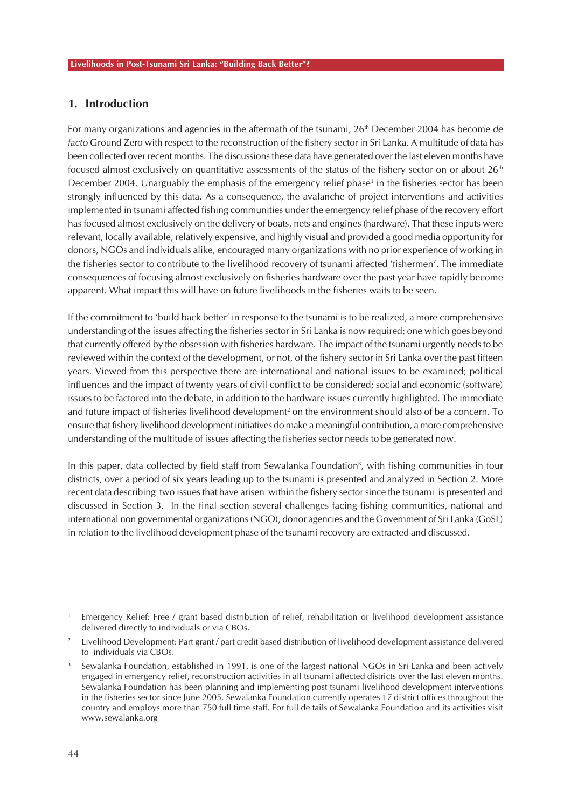## **1. Introduction**

For many organizations and agencies in the aftermath of the tsunami, 26th December 2004 has become *de facto* Ground Zero with respect to the reconstruction of the fishery sector in Sri Lanka. A multitude of data has been collected over recent months. The discussions these data have generated over the last eleven months have focused almost exclusively on quantitative assessments of the status of the fishery sector on or about  $26<sup>th</sup>$ December 2004. Unarguably the emphasis of the emergency relief phase<sup>1</sup> in the fisheries sector has been strongly influenced by this data. As a consequence, the avalanche of project interventions and activities implemented in tsunami affected fishing communities under the emergency relief phase of the recovery effort has focused almost exclusively on the delivery of boats, nets and engines (hardware). That these inputs were relevant, locally available, relatively expensive, and highly visual and provided a good media opportunity for donors, NGOs and individuals alike, encouraged many organizations with no prior experience of working in the fisheries sector to contribute to the livelihood recovery of tsunami affected 'fishermen'. The immediate consequences of focusing almost exclusively on fisheries hardware over the past year have rapidly become apparent. What impact this will have on future livelihoods in the fisheries waits to be seen.

If the commitment to 'build back better' in response to the tsunami is to be realized, a more comprehensive understanding of the issues affecting the fisheries sector in Sri Lanka is now required; one which goes beyond that currently offered by the obsession with fisheries hardware. The impact of the tsunami urgently needs to be reviewed within the context of the development, or not, of the fishery sector in Sri Lanka over the past fifteen years. Viewed from this perspective there are international and national issues to be examined; political influences and the impact of twenty years of civil conflict to be considered; social and economic (software) issues to be factored into the debate, in addition to the hardware issues currently highlighted. The immediate and future impact of fisheries livelihood development<sup>2</sup> on the environment should also of be a concern. To ensure that fishery livelihood development initiatives do make a meaningful contribution, a more comprehensive understanding of the multitude of issues affecting the fisheries sector needs to be generated now.

In this paper, data collected by field staff from Sewalanka Foundation<sup>3</sup>, with fishing communities in four districts, over a period of six years leading up to the tsunami is presented and analyzed in Section 2. More recent data describing two issues that have arisen within the fishery sector since the tsunami is presented and discussed in Section 3. In the final section several challenges facing fishing communities, national and international non governmental organizations (NGO), donor agencies and the Government of Sri Lanka (GoSL) in relation to the livelihood development phase of the tsunami recovery are extracted and discussed.

<sup>1</sup> Emergency Relief: Free / grant based distribution of relief, rehabilitation or livelihood development assistance delivered directly to individuals or via CBOs.

<sup>2</sup> Livelihood Development: Part grant / part credit based distribution of livelihood development assistance delivered to individuals via CBOs.

Sewalanka Foundation, established in 1991, is one of the largest national NGOs in Sri Lanka and been actively engaged in emergency relief, reconstruction activities in all tsunami affected districts over the last eleven months. Sewalanka Foundation has been planning and implementing post tsunami livelihood development interventions in the fisheries sector since June 2005. Sewalanka Foundation currently operates 17 district offices throughout the country and employs more than 750 full time staff. For full de tails of Sewalanka Foundation and its activities visit www.sewalanka.org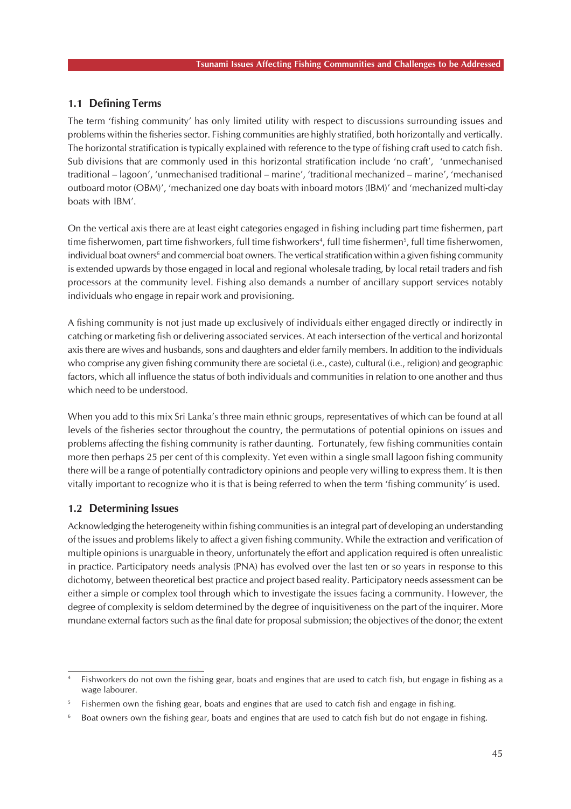### **1.1 Defining Terms**

The term 'fishing community' has only limited utility with respect to discussions surrounding issues and problems within the fisheries sector. Fishing communities are highly stratified, both horizontally and vertically. The horizontal stratification is typically explained with reference to the type of fishing craft used to catch fish. Sub divisions that are commonly used in this horizontal stratification include 'no craft', 'unmechanised traditional – lagoon', 'unmechanised traditional – marine', 'traditional mechanized – marine', 'mechanised outboard motor (OBM)', 'mechanized one day boats with inboard motors (IBM)' and 'mechanized multi-day boats with IBM'.

On the vertical axis there are at least eight categories engaged in fishing including part time fishermen, part time fisherwomen, part time fishworkers, full time fishworkers<sup>4</sup>, full time fishermen<sup>5</sup>, full time fisherwomen, individual boat owners<sup>6</sup> and commercial boat owners. The vertical stratification within a given fishing community is extended upwards by those engaged in local and regional wholesale trading, by local retail traders and fish processors at the community level. Fishing also demands a number of ancillary support services notably individuals who engage in repair work and provisioning.

A fishing community is not just made up exclusively of individuals either engaged directly or indirectly in catching or marketing fish or delivering associated services. At each intersection of the vertical and horizontal axis there are wives and husbands, sons and daughters and elder family members. In addition to the individuals who comprise any given fishing community there are societal (i.e., caste), cultural (i.e., religion) and geographic factors, which all influence the status of both individuals and communities in relation to one another and thus which need to be understood.

When you add to this mix Sri Lanka's three main ethnic groups, representatives of which can be found at all levels of the fisheries sector throughout the country, the permutations of potential opinions on issues and problems affecting the fishing community is rather daunting. Fortunately, few fishing communities contain more then perhaps 25 per cent of this complexity. Yet even within a single small lagoon fishing community there will be a range of potentially contradictory opinions and people very willing to express them. It is then vitally important to recognize who it is that is being referred to when the term 'fishing community' is used.

### **1.2 Determining Issues**

Acknowledging the heterogeneity within fishing communities is an integral part of developing an understanding of the issues and problems likely to affect a given fishing community. While the extraction and verification of multiple opinions is unarguable in theory, unfortunately the effort and application required is often unrealistic in practice. Participatory needs analysis (PNA) has evolved over the last ten or so years in response to this dichotomy, between theoretical best practice and project based reality. Participatory needs assessment can be either a simple or complex tool through which to investigate the issues facing a community. However, the degree of complexity is seldom determined by the degree of inquisitiveness on the part of the inquirer. More mundane external factors such as the final date for proposal submission; the objectives of the donor; the extent

Fishworkers do not own the fishing gear, boats and engines that are used to catch fish, but engage in fishing as a wage labourer.

Fishermen own the fishing gear, boats and engines that are used to catch fish and engage in fishing.

<sup>6</sup> Boat owners own the fishing gear, boats and engines that are used to catch fish but do not engage in fishing.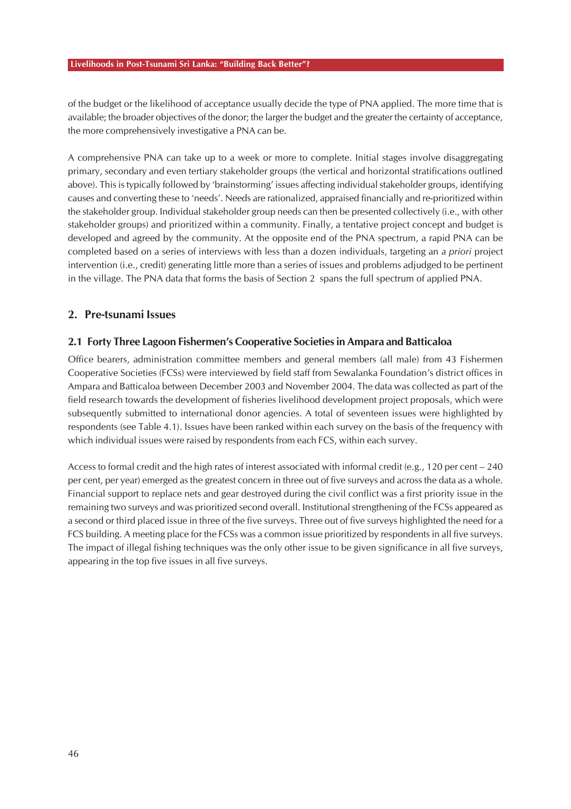of the budget or the likelihood of acceptance usually decide the type of PNA applied. The more time that is available; the broader objectives of the donor; the larger the budget and the greater the certainty of acceptance, the more comprehensively investigative a PNA can be.

A comprehensive PNA can take up to a week or more to complete. Initial stages involve disaggregating primary, secondary and even tertiary stakeholder groups (the vertical and horizontal stratifications outlined above). This is typically followed by 'brainstorming' issues affecting individual stakeholder groups, identifying causes and converting these to 'needs'. Needs are rationalized, appraised financially and re-prioritized within the stakeholder group. Individual stakeholder group needs can then be presented collectively (i.e., with other stakeholder groups) and prioritized within a community. Finally, a tentative project concept and budget is developed and agreed by the community. At the opposite end of the PNA spectrum, a rapid PNA can be completed based on a series of interviews with less than a dozen individuals, targeting an *a priori* project intervention (i.e., credit) generating little more than a series of issues and problems adjudged to be pertinent in the village. The PNA data that forms the basis of Section 2 spans the full spectrum of applied PNA.

### **2. Pre-tsunami Issues**

### **2.1 Forty Three Lagoon Fishermen's Cooperative Societies in Ampara and Batticaloa**

Office bearers, administration committee members and general members (all male) from 43 Fishermen Cooperative Societies (FCSs) were interviewed by field staff from Sewalanka Foundation's district offices in Ampara and Batticaloa between December 2003 and November 2004. The data was collected as part of the field research towards the development of fisheries livelihood development project proposals, which were subsequently submitted to international donor agencies. A total of seventeen issues were highlighted by respondents (see Table 4.1). Issues have been ranked within each survey on the basis of the frequency with which individual issues were raised by respondents from each FCS, within each survey.

Access to formal credit and the high rates of interest associated with informal credit (e.g., 120 per cent – 240 per cent, per year) emerged as the greatest concern in three out of five surveys and across the data as a whole. Financial support to replace nets and gear destroyed during the civil conflict was a first priority issue in the remaining two surveys and was prioritized second overall. Institutional strengthening of the FCSs appeared as a second or third placed issue in three of the five surveys. Three out of five surveys highlighted the need for a FCS building. A meeting place for the FCSs was a common issue prioritized by respondents in all five surveys. The impact of illegal fishing techniques was the only other issue to be given significance in all five surveys, appearing in the top five issues in all five surveys.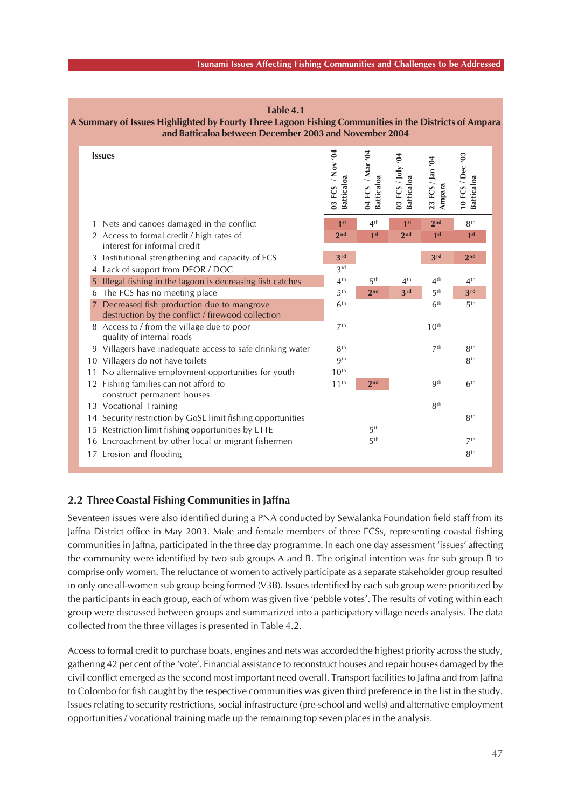#### **Tsunami Issues Affecting Fishing Communities and Challenges to be Addressed**

| and Batticaloa between December 2003 and November 2004                                           |                                |                                       |                                        |                            |                                |  |  |  |
|--------------------------------------------------------------------------------------------------|--------------------------------|---------------------------------------|----------------------------------------|----------------------------|--------------------------------|--|--|--|
| <b>Issues</b>                                                                                    | 03 FCS / Nov '04<br>Batticaloa | 04 FCS / Mar '04<br><b>Batticaloa</b> | 03 FCS / July '04<br><b>Batticaloa</b> | 23 FCS / Jan '04<br>Ampara | 10 FCS / Dec '03<br>Batticaloa |  |  |  |
| Nets and canoes damaged in the conflict                                                          | 1 <sup>st</sup>                | 4 <sup>th</sup>                       | 1 <sup>st</sup>                        | 2 <sub>nd</sub>            | 8 <sup>th</sup>                |  |  |  |
| 2 Access to formal credit / high rates of<br>interest for informal credit                        | 2 <sub>nd</sub>                | 1 <sup>st</sup>                       | 2 <sub>nd</sub>                        | 1 <sup>st</sup>            | 1 <sup>st</sup>                |  |  |  |
| 3 Institutional strengthening and capacity of FCS                                                | 3rd                            |                                       |                                        | 3rd                        | 2 <sub>nd</sub>                |  |  |  |
| Lack of support from DFOR / DOC<br>4                                                             | 3 <sup>rd</sup>                |                                       |                                        |                            |                                |  |  |  |
| Illegal fishing in the lagoon is decreasing fish catches<br>5                                    | 4 <sup>th</sup>                | 5 <sup>th</sup>                       | 4 <sup>th</sup>                        | 4 <sup>th</sup>            | $4^{\text{th}}$                |  |  |  |
| The FCS has no meeting place<br>6                                                                | 5 <sup>th</sup>                | 2 <sub>nd</sub>                       | 3rd                                    | 5 <sup>th</sup>            | 3rd                            |  |  |  |
| 7 Decreased fish production due to mangrove<br>destruction by the conflict / firewood collection | 6 <sup>th</sup>                |                                       |                                        | 6 <sup>th</sup>            | 5 <sup>th</sup>                |  |  |  |
| 8 Access to / from the village due to poor<br>quality of internal roads                          | 7 <sup>th</sup>                |                                       |                                        | 10 <sup>th</sup>           |                                |  |  |  |
| 9 Villagers have inadequate access to safe drinking water                                        | 8 <sup>th</sup>                |                                       |                                        | 7 <sup>th</sup>            | 8 <sup>th</sup>                |  |  |  |
| 10 Villagers do not have toilets                                                                 | <b>g</b> th                    |                                       |                                        |                            | 8 <sup>th</sup>                |  |  |  |
| 11 No alternative employment opportunities for youth                                             | 10 <sup>th</sup>               |                                       |                                        |                            |                                |  |  |  |
| 12 Fishing families can not afford to<br>construct permanent houses                              | 11 <sup>th</sup>               | 2 <sub>nd</sub>                       |                                        | <b>g</b> th                | 6 <sup>th</sup>                |  |  |  |
| 13 Vocational Training                                                                           |                                |                                       |                                        | 8 <sup>th</sup>            |                                |  |  |  |
| 14 Security restriction by GoSL limit fishing opportunities                                      |                                |                                       |                                        |                            | 8 <sup>th</sup>                |  |  |  |
| 15 Restriction limit fishing opportunities by LTTE                                               |                                | 5 <sup>th</sup>                       |                                        |                            |                                |  |  |  |
| 16 Encroachment by other local or migrant fishermen                                              |                                | 5 <sup>th</sup>                       |                                        |                            | 7 <sup>th</sup>                |  |  |  |
| 17 Erosion and flooding                                                                          |                                |                                       |                                        |                            | 8 <sup>th</sup>                |  |  |  |

#### **Table 4.1 A Summary of Issues Highlighted by Fourty Three Lagoon Fishing Communities in the Districts of Ampara and Batticaloa between December 2003 and November 2004**

### **2.2 Three Coastal Fishing Communities in Jaffna**

Seventeen issues were also identified during a PNA conducted by Sewalanka Foundation field staff from its Jaffna District office in May 2003. Male and female members of three FCSs, representing coastal fishing communities in Jaffna, participated in the three day programme. In each one day assessment 'issues' affecting the community were identified by two sub groups A and B. The original intention was for sub group B to comprise only women. The reluctance of women to actively participate as a separate stakeholder group resulted in only one all-women sub group being formed (V3B). Issues identified by each sub group were prioritized by the participants in each group, each of whom was given five 'pebble votes'. The results of voting within each group were discussed between groups and summarized into a participatory village needs analysis. The data collected from the three villages is presented in Table 4.2.

Access to formal credit to purchase boats, engines and nets was accorded the highest priority across the study, gathering 42 per cent of the 'vote'. Financial assistance to reconstruct houses and repair houses damaged by the civil conflict emerged as the second most important need overall. Transport facilities to Jaffna and from Jaffna to Colombo for fish caught by the respective communities was given third preference in the list in the study. Issues relating to security restrictions, social infrastructure (pre-school and wells) and alternative employment opportunities / vocational training made up the remaining top seven places in the analysis.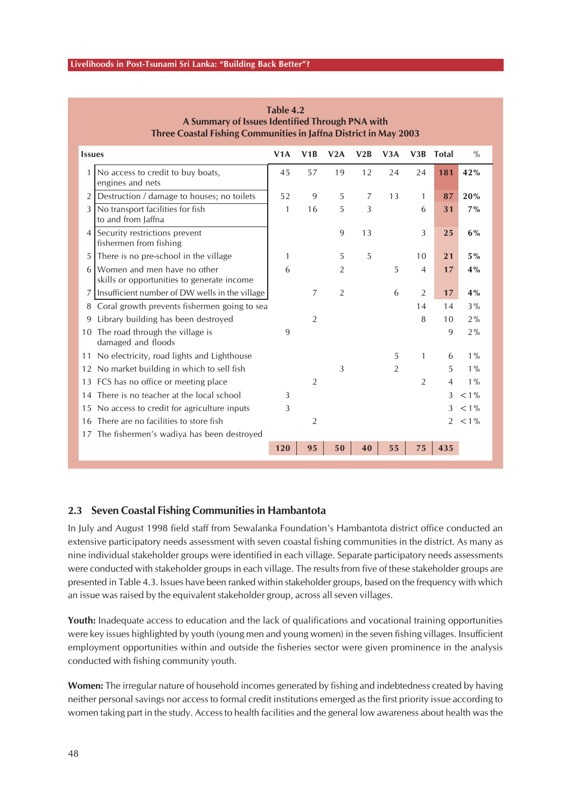|               | Three Coastal Fishing Communities in Jaffna District in May 2003          |     |                |                |                |                |                |                |               |
|---------------|---------------------------------------------------------------------------|-----|----------------|----------------|----------------|----------------|----------------|----------------|---------------|
| <b>Issues</b> |                                                                           | V1A | V1B            | V2A            | V2B            | V3A            | V3B            | <b>Total</b>   | $\frac{0}{0}$ |
| 1             | No access to credit to buy boats,<br>engines and nets                     | 45  | 57             | 19             | 12             | 24             | 24             | 181            | 42%           |
| 2             | Destruction / damage to houses; no toilets                                | 52  | 9              | 5              | $\overline{7}$ | 13             | 1              | 87             | 20%           |
| 3             | No transport facilities for fish<br>to and from Jaffna                    | 1   | 16             | 5              | 3              |                | 6              | 31             | 7%            |
| 4             | Security restrictions prevent<br>fishermen from fishing                   |     |                | 9              | 13             |                | 3              | 25             | 6%            |
| 5             | There is no pre-school in the village                                     | 1   |                | 5              | 5              |                | 10             | 21             | $5\%$         |
| 6             | Women and men have no other<br>skills or opportunities to generate income | 6   |                | 2              |                | 5              | $\overline{4}$ | 17             | 4%            |
| 7             | Insufficient number of DW wells in the village                            |     | 7              | $\overline{2}$ |                | 6              | $\overline{2}$ | 17             | 4%            |
| 8             | Coral growth prevents fishermen going to sea                              |     |                |                |                |                | 14             | 14             | 3%            |
| 9             | Library building has been destroyed                                       |     | $\overline{2}$ |                |                |                | 8              | 10             | 2%            |
|               | 10 The road through the village is<br>damaged and floods                  | 9   |                |                |                |                |                | 9              | 2%            |
|               | 11 No electricity, road lights and Lighthouse                             |     |                |                |                | 5              | 1              | 6              | $1\%$         |
|               | 12 No market building in which to sell fish                               |     |                | 3              |                | $\overline{2}$ |                | 5              | $1\%$         |
|               | 13 FCS has no office or meeting place                                     |     | $\overline{2}$ |                |                |                | $\overline{2}$ | $\overline{4}$ | $1\%$         |
| 14            | There is no teacher at the local school                                   | 3   |                |                |                |                |                | 3              | $< 1\%$       |
|               | 15 No access to credit for agriculture inputs                             | 3   |                |                |                |                |                | 3              | $< 1\%$       |
| 16            | There are no facilities to store fish                                     |     | $\overline{2}$ |                |                |                |                | $\overline{2}$ | $< 1\%$       |
|               | 17 The fishermen's wadiya has been destroyed                              |     |                |                |                |                |                |                |               |
|               |                                                                           | 120 | 95             | 50             | 40             | 55             | 75             | 435            |               |

**Table 4.2 A Summary of Issues Identified Through PNA with**

### **2.3 Seven Coastal Fishing Communities in Hambantota**

In July and August 1998 field staff from Sewalanka Foundation's Hambantota district office conducted an extensive participatory needs assessment with seven coastal fishing communities in the district. As many as nine individual stakeholder groups were identified in each village. Separate participatory needs assessments were conducted with stakeholder groups in each village. The results from five of these stakeholder groups are presented in Table 4.3. Issues have been ranked within stakeholder groups, based on the frequency with which an issue was raised by the equivalent stakeholder group, across all seven villages.

Youth: Inadequate access to education and the lack of qualifications and vocational training opportunities were key issues highlighted by youth (young men and young women) in the seven fishing villages. Insufficient employment opportunities within and outside the fisheries sector were given prominence in the analysis conducted with fishing community youth.

**Women:** The irregular nature of household incomes generated by fishing and indebtedness created by having neither personal savings nor access to formal credit institutions emerged as the first priority issue according to women taking part in the study. Access to health facilities and the general low awareness about health was the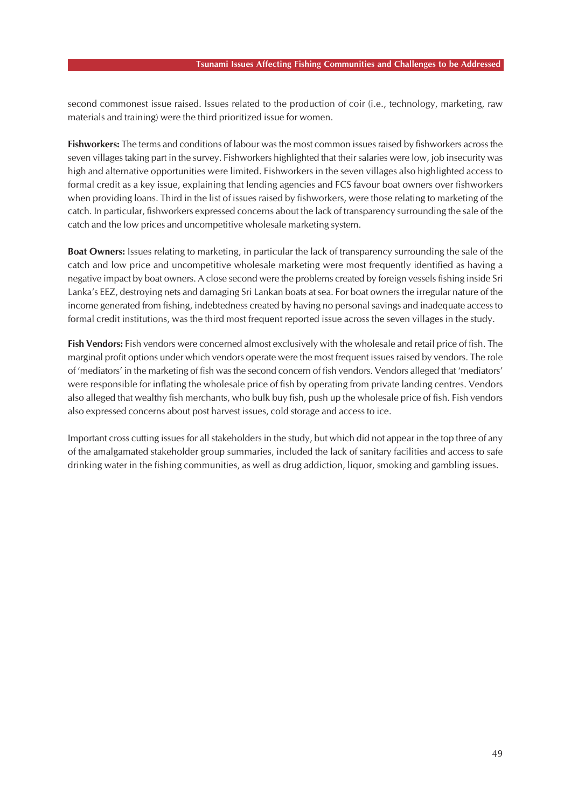second commonest issue raised. Issues related to the production of coir (i.e., technology, marketing, raw materials and training) were the third prioritized issue for women.

**Fishworkers:** The terms and conditions of labour was the most common issues raised by fishworkers across the seven villages taking part in the survey. Fishworkers highlighted that their salaries were low, job insecurity was high and alternative opportunities were limited. Fishworkers in the seven villages also highlighted access to formal credit as a key issue, explaining that lending agencies and FCS favour boat owners over fishworkers when providing loans. Third in the list of issues raised by fishworkers, were those relating to marketing of the catch. In particular, fishworkers expressed concerns about the lack of transparency surrounding the sale of the catch and the low prices and uncompetitive wholesale marketing system.

**Boat Owners:** Issues relating to marketing, in particular the lack of transparency surrounding the sale of the catch and low price and uncompetitive wholesale marketing were most frequently identified as having a negative impact by boat owners. A close second were the problems created by foreign vessels fishing inside Sri Lanka's EEZ, destroying nets and damaging Sri Lankan boats at sea. For boat owners the irregular nature of the income generated from fishing, indebtedness created by having no personal savings and inadequate access to formal credit institutions, was the third most frequent reported issue across the seven villages in the study.

**Fish Vendors:** Fish vendors were concerned almost exclusively with the wholesale and retail price of fish. The marginal profit options under which vendors operate were the most frequent issues raised by vendors. The role of 'mediators' in the marketing of fish was the second concern of fish vendors. Vendors alleged that 'mediators' were responsible for inflating the wholesale price of fish by operating from private landing centres. Vendors also alleged that wealthy fish merchants, who bulk buy fish, push up the wholesale price of fish. Fish vendors also expressed concerns about post harvest issues, cold storage and access to ice.

Important cross cutting issues for all stakeholders in the study, but which did not appear in the top three of any of the amalgamated stakeholder group summaries, included the lack of sanitary facilities and access to safe drinking water in the fishing communities, as well as drug addiction, liquor, smoking and gambling issues.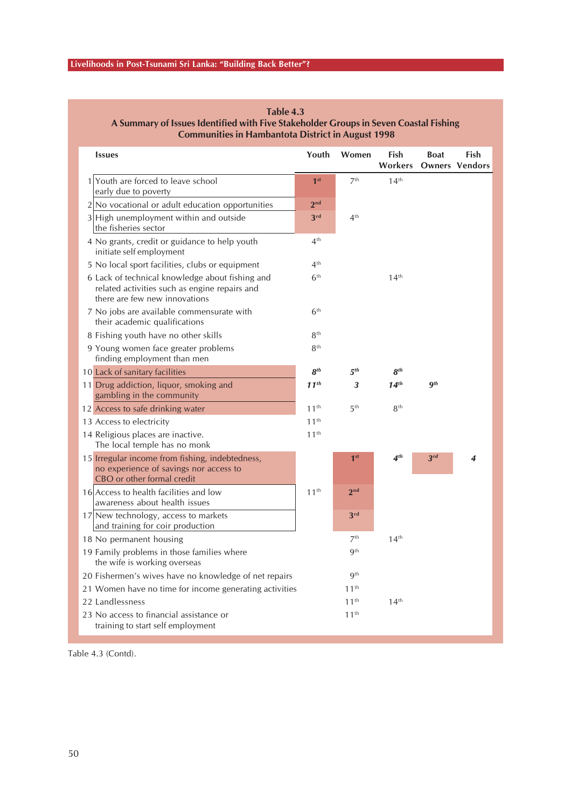| <b>Issues</b>                                                                                                                     | Youth            | Women            | Fish<br>Workers   | <b>Boat</b>     | Fish<br><b>Owners Vendors</b> |
|-----------------------------------------------------------------------------------------------------------------------------------|------------------|------------------|-------------------|-----------------|-------------------------------|
| 1 Youth are forced to leave school<br>early due to poverty                                                                        | 1 <sup>st</sup>  | 7 <sup>th</sup>  | 14 <sup>th</sup>  |                 |                               |
| $2 No$ vocational or adult education opportunities                                                                                | 2 <sub>nd</sub>  |                  |                   |                 |                               |
| $3$ High unemployment within and outside<br>the fisheries sector                                                                  | 3 <sup>rd</sup>  | 4 <sup>th</sup>  |                   |                 |                               |
| 4 No grants, credit or guidance to help youth<br>initiate self employment                                                         | 4 <sup>th</sup>  |                  |                   |                 |                               |
| 5 No local sport facilities, clubs or equipment                                                                                   | 4 <sup>th</sup>  |                  |                   |                 |                               |
| 6 Lack of technical knowledge about fishing and<br>related activities such as engine repairs and<br>there are few new innovations | 6 <sup>th</sup>  |                  | 14 <sup>th</sup>  |                 |                               |
| 7 No jobs are available commensurate with<br>their academic qualifications                                                        | 6 <sup>th</sup>  |                  |                   |                 |                               |
| 8 Fishing youth have no other skills                                                                                              | 8 <sup>th</sup>  |                  |                   |                 |                               |
| 9 Young women face greater problems<br>finding employment than men                                                                | 8 <sup>th</sup>  |                  |                   |                 |                               |
| 10 Lack of sanitary facilities                                                                                                    | 8 <sup>th</sup>  | 5 <sup>th</sup>  | 8 <sup>th</sup>   |                 |                               |
| 11 Drug addiction, liquor, smoking and<br>gambling in the community                                                               | $11^{th}$        | 3                | 14 <sup>th</sup>  | $q$ th          |                               |
| 12 Access to safe drinking water                                                                                                  | 11 <sup>th</sup> | 5 <sup>th</sup>  | 8 <sup>th</sup>   |                 |                               |
| 13 Access to electricity                                                                                                          | 11 <sup>th</sup> |                  |                   |                 |                               |
| 14 Religious places are inactive.<br>The local temple has no monk                                                                 | 11 <sup>th</sup> |                  |                   |                 |                               |
| 15 Irregular income from fishing, indebtedness,<br>no experience of savings nor access to<br>CBO or other formal credit           |                  | 1 <sup>st</sup>  | $\mathbf{4}^{th}$ | 3 <sup>rd</sup> | 4                             |
| 16 Access to health facilities and low<br>awareness about health issues                                                           | 11 <sup>th</sup> | 2 <sub>nd</sub>  |                   |                 |                               |
| 17 New technology, access to markets<br>and training for coir production                                                          |                  | 3 <sup>rd</sup>  |                   |                 |                               |
| 18 No permanent housing                                                                                                           |                  | 7 <sup>th</sup>  | 14 <sup>th</sup>  |                 |                               |
| 19 Family problems in those families where<br>the wife is working overseas                                                        |                  | <b>gth</b>       |                   |                 |                               |
| 20 Fishermen's wives have no knowledge of net repairs                                                                             |                  | <b>gth</b>       |                   |                 |                               |
| 21 Women have no time for income generating activities                                                                            |                  | 11 <sup>th</sup> |                   |                 |                               |
| 22 Landlessness                                                                                                                   |                  | 11 <sup>th</sup> | 14 <sup>th</sup>  |                 |                               |
| 23 No access to financial assistance or<br>training to start self employment                                                      |                  | 11 <sup>th</sup> |                   |                 |                               |

**Table 4.3 A Summary of Issues Identified with Five Stakeholder Groups in Seven Coastal Fishing Communities in Hambantota District in August 1998**

Table 4.3 (Contd).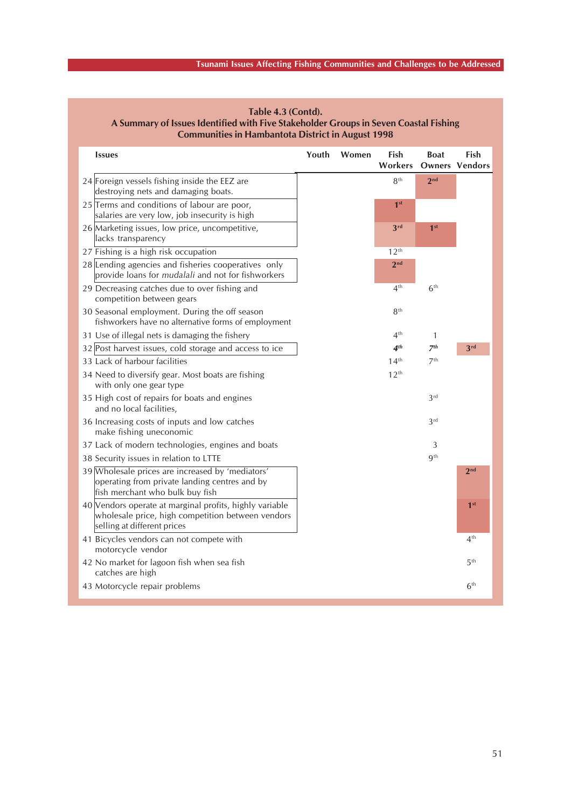# **Tsunami Issues Affecting Fishing Communities and Challenges to be Addressed**

| <b>Issues</b>                                                                                                                               | Youth | Women | Fish             | <b>Boat</b>           | Fish            |
|---------------------------------------------------------------------------------------------------------------------------------------------|-------|-------|------------------|-----------------------|-----------------|
|                                                                                                                                             |       |       | Workers          | <b>Owners Vendors</b> |                 |
| 24 Foreign vessels fishing inside the EEZ are<br>destroying nets and damaging boats.                                                        |       |       | 8 <sup>th</sup>  | 2 <sub>nd</sub>       |                 |
| 25 Terms and conditions of labour are poor,<br>salaries are very low, job insecurity is high                                                |       |       | 1 <sup>st</sup>  |                       |                 |
| 26 Marketing issues, low price, uncompetitive,<br>lacks transparency                                                                        |       |       | 3rd              | 1 <sup>st</sup>       |                 |
| 27 Fishing is a high risk occupation                                                                                                        |       |       | 12 <sup>th</sup> |                       |                 |
| 28 Lending agencies and fisheries cooperatives only<br>provide loans for mudalali and not for fishworkers                                   |       |       | 2 <sub>nd</sub>  |                       |                 |
| 29 Decreasing catches due to over fishing and<br>competition between gears                                                                  |       |       | 4 <sup>th</sup>  | 6 <sup>th</sup>       |                 |
| 30 Seasonal employment. During the off season<br>fishworkers have no alternative forms of employment                                        |       |       | 8 <sup>th</sup>  |                       |                 |
| 31 Use of illegal nets is damaging the fishery                                                                                              |       |       | 4 <sup>th</sup>  | $\mathbf{1}$          |                 |
| 32 Post harvest issues, cold storage and access to ice                                                                                      |       |       | 4 <sup>th</sup>  | 7 <sup>th</sup>       | 3rd             |
| 33 Lack of harbour facilities                                                                                                               |       |       | 14 <sup>th</sup> | 7 <sup>th</sup>       |                 |
| 34 Need to diversify gear. Most boats are fishing<br>with only one gear type                                                                |       |       | 12 <sup>th</sup> |                       |                 |
| 35 High cost of repairs for boats and engines<br>and no local facilities,                                                                   |       |       |                  | 3 <sup>rd</sup>       |                 |
| 36 Increasing costs of inputs and low catches<br>make fishing uneconomic                                                                    |       |       |                  | 3 <sup>rd</sup>       |                 |
| 37 Lack of modern technologies, engines and boats                                                                                           |       |       |                  | 3                     |                 |
| 38 Security issues in relation to LTTE                                                                                                      |       |       |                  | <b>g</b> th           |                 |
| 39 Wholesale prices are increased by 'mediators'<br>operating from private landing centres and by<br>fish merchant who bulk buy fish        |       |       |                  |                       | 2 <sub>nd</sub> |
| 40 Vendors operate at marginal profits, highly variable<br>wholesale price, high competition between vendors<br>selling at different prices |       |       |                  |                       | 1 <sup>st</sup> |
| 41 Bicycles vendors can not compete with<br>motorcycle vendor                                                                               |       |       |                  |                       | 4 <sup>th</sup> |
| 42 No market for lagoon fish when sea fish<br>catches are high                                                                              |       |       |                  |                       | 5 <sup>th</sup> |
| 43 Motorcycle repair problems                                                                                                               |       |       |                  |                       | 6 <sup>th</sup> |

**Table 4.3 (Contd). A Summary of Issues Identified with Five Stakeholder Groups in Seven Coastal Fishing Communities in Hambantota District in August 1998**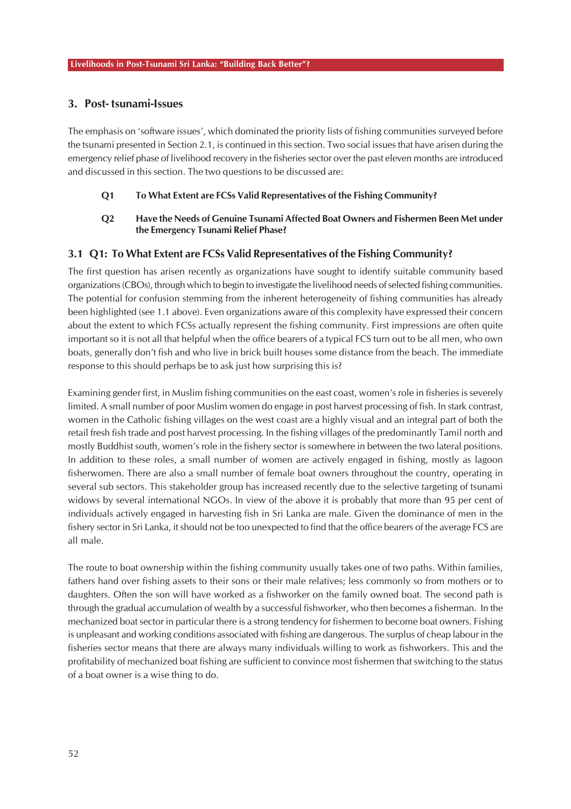### **3. Post- tsunami-Issues**

The emphasis on 'software issues', which dominated the priority lists of fishing communities surveyed before the tsunami presented in Section 2.1, is continued in this section. Two social issues that have arisen during the emergency relief phase of livelihood recovery in the fisheries sector over the past eleven months are introduced and discussed in this section. The two questions to be discussed are:

### **Q1 To What Extent are FCSs Valid Representatives of the Fishing Community?**

### **Q2 Have the Needs of Genuine Tsunami Affected Boat Owners and Fishermen Been Met under the Emergency Tsunami Relief Phase?**

### **3.1 Q1: To What Extent are FCSs Valid Representatives of the Fishing Community?**

The first question has arisen recently as organizations have sought to identify suitable community based organizations (CBOs), through which to begin to investigate the livelihood needs of selected fishing communities. The potential for confusion stemming from the inherent heterogeneity of fishing communities has already been highlighted (see 1.1 above). Even organizations aware of this complexity have expressed their concern about the extent to which FCSs actually represent the fishing community. First impressions are often quite important so it is not all that helpful when the office bearers of a typical FCS turn out to be all men, who own boats, generally don't fish and who live in brick built houses some distance from the beach. The immediate response to this should perhaps be to ask just how surprising this is?

Examining gender first, in Muslim fishing communities on the east coast, women's role in fisheries is severely limited. A small number of poor Muslim women do engage in post harvest processing of fish. In stark contrast, women in the Catholic fishing villages on the west coast are a highly visual and an integral part of both the retail fresh fish trade and post harvest processing. In the fishing villages of the predominantly Tamil north and mostly Buddhist south, women's role in the fishery sector is somewhere in between the two lateral positions. In addition to these roles, a small number of women are actively engaged in fishing, mostly as lagoon fisherwomen. There are also a small number of female boat owners throughout the country, operating in several sub sectors. This stakeholder group has increased recently due to the selective targeting of tsunami widows by several international NGOs. In view of the above it is probably that more than 95 per cent of individuals actively engaged in harvesting fish in Sri Lanka are male. Given the dominance of men in the fishery sector in Sri Lanka, it should not be too unexpected to find that the office bearers of the average FCS are all male.

The route to boat ownership within the fishing community usually takes one of two paths. Within families, fathers hand over fishing assets to their sons or their male relatives; less commonly so from mothers or to daughters. Often the son will have worked as a fishworker on the family owned boat. The second path is through the gradual accumulation of wealth by a successful fishworker, who then becomes a fisherman. In the mechanized boat sector in particular there is a strong tendency for fishermen to become boat owners. Fishing is unpleasant and working conditions associated with fishing are dangerous. The surplus of cheap labour in the fisheries sector means that there are always many individuals willing to work as fishworkers. This and the profitability of mechanized boat fishing are sufficient to convince most fishermen that switching to the status of a boat owner is a wise thing to do.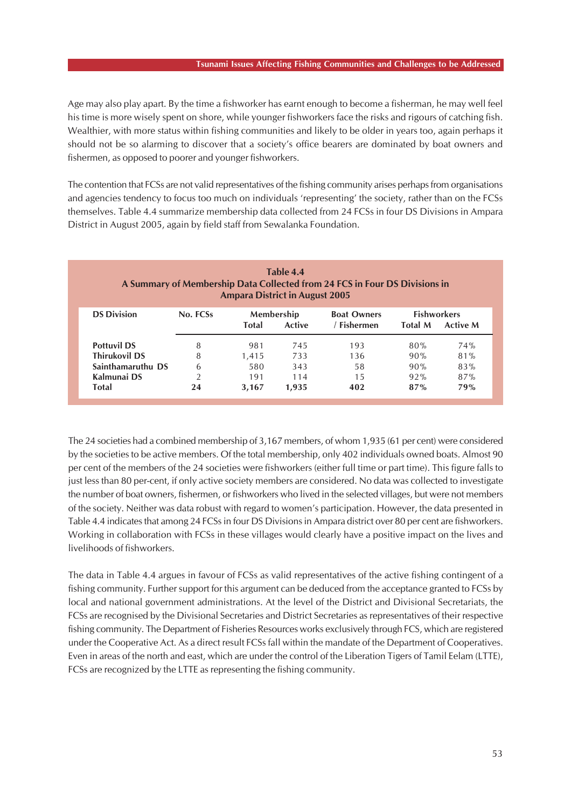#### **Tsunami Issues Affecting Fishing Communities and Challenges to be Addressed**

Age may also play apart. By the time a fishworker has earnt enough to become a fisherman, he may well feel his time is more wisely spent on shore, while younger fishworkers face the risks and rigours of catching fish. Wealthier, with more status within fishing communities and likely to be older in years too, again perhaps it should not be so alarming to discover that a society's office bearers are dominated by boat owners and fishermen, as opposed to poorer and younger fishworkers.

The contention that FCSs are not valid representatives of the fishing community arises perhaps from organisations and agencies tendency to focus too much on individuals 'representing' the society, rather than on the FCSs themselves. Table 4.4 summarize membership data collected from 24 FCSs in four DS Divisions in Ampara District in August 2005, again by field staff from Sewalanka Foundation.

| Table 4.4<br>A Summary of Membership Data Collected from 24 FCS in Four DS Divisions in<br><b>Ampara District in August 2005</b> |                |                                      |       |                                   |                                                         |     |  |  |
|----------------------------------------------------------------------------------------------------------------------------------|----------------|--------------------------------------|-------|-----------------------------------|---------------------------------------------------------|-----|--|--|
| <b>DS Division</b>                                                                                                               | No. FCSs       | Membership<br><b>Total</b><br>Active |       | <b>Boat Owners</b><br>/ Fishermen | <b>Fishworkers</b><br><b>Total M</b><br><b>Active M</b> |     |  |  |
| <b>Pottuvil DS</b>                                                                                                               | 8              | 981                                  | 745   | 193                               | 80%                                                     | 74% |  |  |
| <b>Thirukovil DS</b>                                                                                                             | 8              | 1.415                                | 733   | 136                               | 90%                                                     | 81% |  |  |
| Sainthamaruthu DS                                                                                                                | 6              | 580                                  | 343   | 58                                | 90%                                                     | 83% |  |  |
| Kalmunai DS                                                                                                                      | $\mathfrak{D}$ | 191                                  | 114   | 1.5                               | 92%                                                     | 87% |  |  |
| <b>Total</b>                                                                                                                     | 24             | 3,167                                | 1,935 | 402                               | 87%                                                     | 79% |  |  |

The 24 societies had a combined membership of 3,167 members, of whom 1,935 (61 per cent) were considered by the societies to be active members. Of the total membership, only 402 individuals owned boats. Almost 90 per cent of the members of the 24 societies were fishworkers (either full time or part time). This figure falls to just less than 80 per-cent, if only active society members are considered. No data was collected to investigate the number of boat owners, fishermen, or fishworkers who lived in the selected villages, but were not members of the society. Neither was data robust with regard to women's participation. However, the data presented in Table 4.4 indicates that among 24 FCSs in four DS Divisions in Ampara district over 80 per cent are fishworkers. Working in collaboration with FCSs in these villages would clearly have a positive impact on the lives and livelihoods of fishworkers.

The data in Table 4.4 argues in favour of FCSs as valid representatives of the active fishing contingent of a fishing community. Further support for this argument can be deduced from the acceptance granted to FCSs by local and national government administrations. At the level of the District and Divisional Secretariats, the FCSs are recognised by the Divisional Secretaries and District Secretaries as representatives of their respective fishing community. The Department of Fisheries Resources works exclusively through FCS, which are registered under the Cooperative Act. As a direct result FCSs fall within the mandate of the Department of Cooperatives. Even in areas of the north and east, which are under the control of the Liberation Tigers of Tamil Eelam (LTTE), FCSs are recognized by the LTTE as representing the fishing community.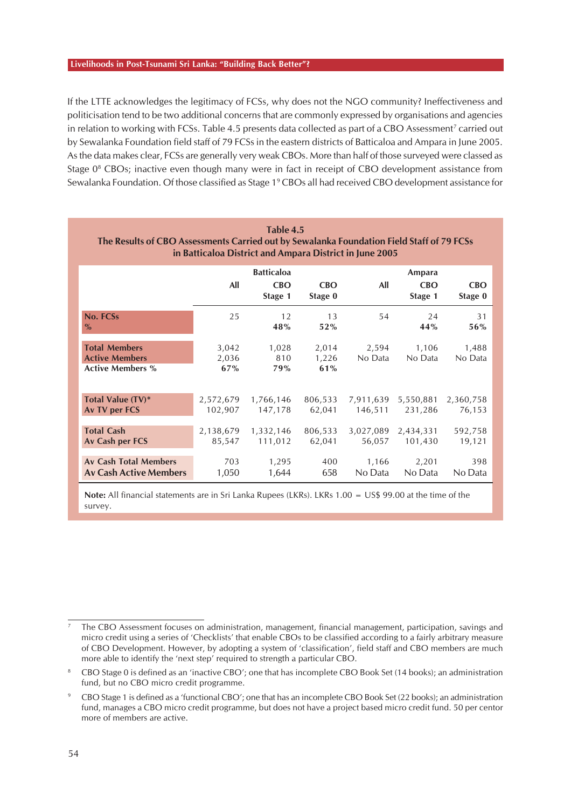If the LTTE acknowledges the legitimacy of FCSs, why does not the NGO community? Ineffectiveness and politicisation tend to be two additional concerns that are commonly expressed by organisations and agencies in relation to working with FCSs. Table 4.5 presents data collected as part of a CBO Assessment<sup>7</sup> carried out by Sewalanka Foundation field staff of 79 FCSs in the eastern districts of Batticaloa and Ampara in June 2005. As the data makes clear, FCSs are generally very weak CBOs. More than half of those surveyed were classed as Stage 0<sup>8</sup> CBOs; inactive even though many were in fact in receipt of CBO development assistance from Sewalanka Foundation. Of those classified as Stage 1<sup>9</sup> CBOs all had received CBO development assistance for

| Table 4.5<br>The Results of CBO Assessments Carried out by Sewalanka Foundation Field Staff of 79 FCSs<br>in Batticaloa District and Ampara District in June 2005 |                       |                                            |                       |                      |                                 |                       |  |  |  |  |  |
|-------------------------------------------------------------------------------------------------------------------------------------------------------------------|-----------------------|--------------------------------------------|-----------------------|----------------------|---------------------------------|-----------------------|--|--|--|--|--|
|                                                                                                                                                                   | All                   | <b>Batticaloa</b><br><b>CBO</b><br>Stage 1 | <b>CBO</b><br>Stage 0 | All                  | Ampara<br><b>CBO</b><br>Stage 1 | <b>CBO</b><br>Stage 0 |  |  |  |  |  |
| No. FCSs<br>$\%$                                                                                                                                                  | 25                    | 12<br>48%                                  | 13<br>52%             | 54                   | 24<br>44%                       | 31<br>56%             |  |  |  |  |  |
| <b>Total Members</b><br><b>Active Members</b><br><b>Active Members %</b>                                                                                          | 3,042<br>2,036<br>67% | 1,028<br>810<br>79%                        | 2,014<br>1,226<br>61% | 2,594<br>No Data     | 1,106<br>No Data                | 1,488<br>No Data      |  |  |  |  |  |
| <b>Total Value (TV)*</b><br>Av TV per FCS                                                                                                                         | 2,572,679<br>102,907  | 1,766,146<br>147,178                       | 806,533<br>62,041     | 7,911,639<br>146,511 | 5,550,881<br>231,286            | 2,360,758<br>76,153   |  |  |  |  |  |
| <b>Total Cash</b><br>Av Cash per FCS                                                                                                                              | 2,138,679<br>85,547   | 1,332,146<br>111,012                       | 806,533<br>62,041     | 3,027,089<br>56,057  | 2,434,331<br>101,430            | 592,758<br>19,121     |  |  |  |  |  |
| <b>Av Cash Total Members</b><br><b>Av Cash Active Members</b>                                                                                                     | 703<br>1,050          | 1,295<br>1,644                             | 400<br>658            | 1,166<br>No Data     | 2,201<br>No Data                | 398<br>No Data        |  |  |  |  |  |

**Note:** All financial statements are in Sri Lanka Rupees (LKRs). LKRs 1.00 = US\$ 99.00 at the time of the survey.

<sup>7</sup> The CBO Assessment focuses on administration, management, financial management, participation, savings and micro credit using a series of 'Checklists' that enable CBOs to be classified according to a fairly arbitrary measure of CBO Development. However, by adopting a system of 'classification', field staff and CBO members are much more able to identify the 'next step' required to strength a particular CBO.

<sup>8</sup> CBO Stage 0 is defined as an 'inactive CBO'; one that has incomplete CBO Book Set (14 books); an administration fund, but no CBO micro credit programme.

<sup>9</sup> CBO Stage 1 is defined as a 'functional CBO'; one that has an incomplete CBO Book Set (22 books); an administration fund, manages a CBO micro credit programme, but does not have a project based micro credit fund. 50 per centor more of members are active.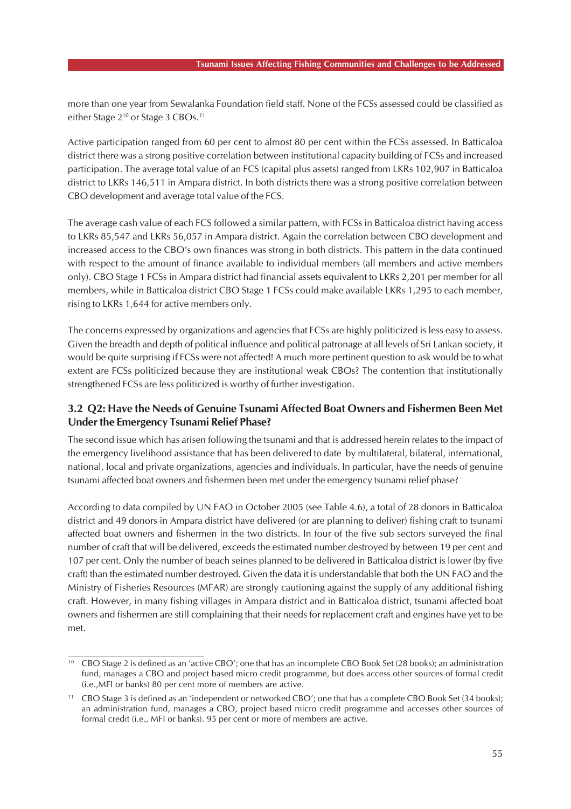more than one year from Sewalanka Foundation field staff. None of the FCSs assessed could be classified as either Stage 2<sup>10</sup> or Stage 3 CBOs.<sup>11</sup>

Active participation ranged from 60 per cent to almost 80 per cent within the FCSs assessed. In Batticaloa district there was a strong positive correlation between institutional capacity building of FCSs and increased participation. The average total value of an FCS (capital plus assets) ranged from LKRs 102,907 in Batticaloa district to LKRs 146,511 in Ampara district. In both districts there was a strong positive correlation between CBO development and average total value of the FCS.

The average cash value of each FCS followed a similar pattern, with FCSs in Batticaloa district having access to LKRs 85,547 and LKRs 56,057 in Ampara district. Again the correlation between CBO development and increased access to the CBO's own finances was strong in both districts. This pattern in the data continued with respect to the amount of finance available to individual members (all members and active members only). CBO Stage 1 FCSs in Ampara district had financial assets equivalent to LKRs 2,201 per member for all members, while in Batticaloa district CBO Stage 1 FCSs could make available LKRs 1,295 to each member, rising to LKRs 1,644 for active members only.

The concerns expressed by organizations and agencies that FCSs are highly politicized is less easy to assess. Given the breadth and depth of political influence and political patronage at all levels of Sri Lankan society, it would be quite surprising if FCSs were not affected! A much more pertinent question to ask would be to what extent are FCSs politicized because they are institutional weak CBOs? The contention that institutionally strengthened FCSs are less politicized is worthy of further investigation.

### **3.2 Q2: Have the Needs of Genuine Tsunami Affected Boat Owners and Fishermen Been Met Under the Emergency Tsunami Relief Phase?**

The second issue which has arisen following the tsunami and that is addressed herein relates to the impact of the emergency livelihood assistance that has been delivered to date by multilateral, bilateral, international, national, local and private organizations, agencies and individuals. In particular, have the needs of genuine tsunami affected boat owners and fishermen been met under the emergency tsunami relief phase?

According to data compiled by UN FAO in October 2005 (see Table 4.6), a total of 28 donors in Batticaloa district and 49 donors in Ampara district have delivered (or are planning to deliver) fishing craft to tsunami affected boat owners and fishermen in the two districts. In four of the five sub sectors surveyed the final number of craft that will be delivered, exceeds the estimated number destroyed by between 19 per cent and 107 per cent. Only the number of beach seines planned to be delivered in Batticaloa district is lower (by five craft) than the estimated number destroyed. Given the data it is understandable that both the UN FAO and the Ministry of Fisheries Resources (MFAR) are strongly cautioning against the supply of any additional fishing craft. However, in many fishing villages in Ampara district and in Batticaloa district, tsunami affected boat owners and fishermen are still complaining that their needs for replacement craft and engines have yet to be met.

<sup>10</sup> CBO Stage 2 is defined as an 'active CBO'; one that has an incomplete CBO Book Set (28 books); an administration fund, manages a CBO and project based micro credit programme, but does access other sources of formal credit (i.e.,MFI or banks) 80 per cent more of members are active.

CBO Stage 3 is defined as an 'independent or networked CBO'; one that has a complete CBO Book Set (34 books); an administration fund, manages a CBO, project based micro credit programme and accesses other sources of formal credit (i.e., MFI or banks). 95 per cent or more of members are active.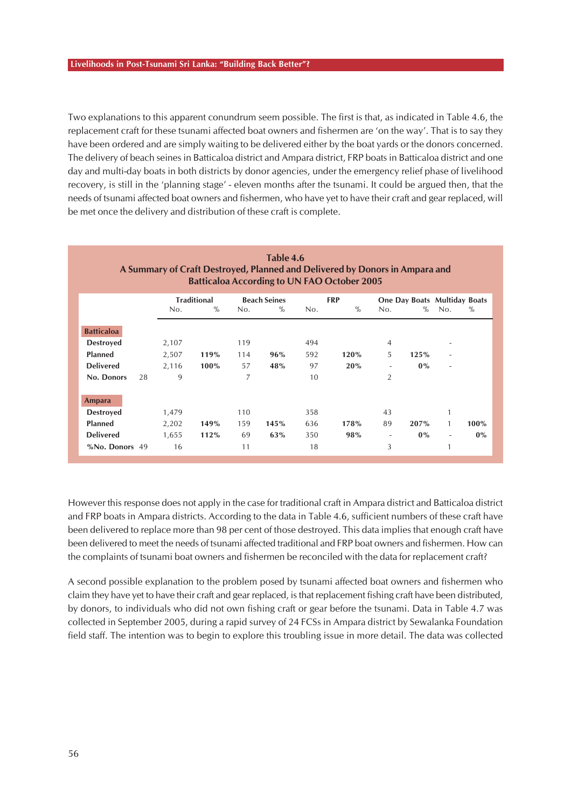Two explanations to this apparent conundrum seem possible. The first is that, as indicated in Table 4.6, the replacement craft for these tsunami affected boat owners and fishermen are 'on the way'. That is to say they have been ordered and are simply waiting to be delivered either by the boat yards or the donors concerned. The delivery of beach seines in Batticaloa district and Ampara district, FRP boats in Batticaloa district and one day and multi-day boats in both districts by donor agencies, under the emergency relief phase of livelihood recovery, is still in the 'planning stage' - eleven months after the tsunami. It could be argued then, that the needs of tsunami affected boat owners and fishermen, who have yet to have their craft and gear replaced, will be met once the delivery and distribution of these craft is complete.

| Table 4.6                                                                   |
|-----------------------------------------------------------------------------|
| A Summary of Craft Destroyed, Planned and Delivered by Donors in Ampara and |
| <b>Batticaloa According to UN FAO October 2005</b>                          |
|                                                                             |

|                   |       | <b>Traditional</b> |     | <b>Beach Seines</b> |     | <b>FRP</b> |                          | One Day Boats Multiday Boats |              |      |
|-------------------|-------|--------------------|-----|---------------------|-----|------------|--------------------------|------------------------------|--------------|------|
|                   | No.   | $\%$               | No. | $\%$                | No. | $\%$       | No.                      | $\%$                         | No.          | $\%$ |
| <b>Batticaloa</b> |       |                    |     |                     |     |            |                          |                              |              |      |
| <b>Destroyed</b>  | 2,107 |                    | 119 |                     | 494 |            | $\overline{4}$           |                              | $\sim$       |      |
| <b>Planned</b>    | 2,507 | 119%               | 114 | 96%                 | 592 | 120%       | 5                        | 125%                         | ۰            |      |
| <b>Delivered</b>  | 2,116 | 100%               | 57  | 48%                 | 97  | 20%        | ۰                        | 0%                           | ٠            |      |
| No. Donors<br>28  | 9     |                    | 7   |                     | 10  |            | $\overline{2}$           |                              |              |      |
| <b>Ampara</b>     |       |                    |     |                     |     |            |                          |                              |              |      |
| <b>Destroyed</b>  | 1,479 |                    | 110 |                     | 358 |            | 43                       |                              | 1            |      |
| <b>Planned</b>    | 2,202 | 149%               | 159 | 145%                | 636 | 178%       | 89                       | 207%                         | $\mathbf{1}$ | 100% |
| <b>Delivered</b>  | 1,655 | 112%               | 69  | 63%                 | 350 | 98%        | $\overline{\phantom{a}}$ | $0\%$                        | $\sim$       | 0%   |
| %No. Donors 49    | 16    |                    | 11  |                     | 18  |            | 3                        |                              | 1            |      |

However this response does not apply in the case for traditional craft in Ampara district and Batticaloa district and FRP boats in Ampara districts. According to the data in Table 4.6, sufficient numbers of these craft have been delivered to replace more than 98 per cent of those destroyed. This data implies that enough craft have been delivered to meet the needs of tsunami affected traditional and FRP boat owners and fishermen. How can the complaints of tsunami boat owners and fishermen be reconciled with the data for replacement craft?

A second possible explanation to the problem posed by tsunami affected boat owners and fishermen who claim they have yet to have their craft and gear replaced, is that replacement fishing craft have been distributed, by donors, to individuals who did not own fishing craft or gear before the tsunami. Data in Table 4.7 was collected in September 2005, during a rapid survey of 24 FCSs in Ampara district by Sewalanka Foundation field staff. The intention was to begin to explore this troubling issue in more detail. The data was collected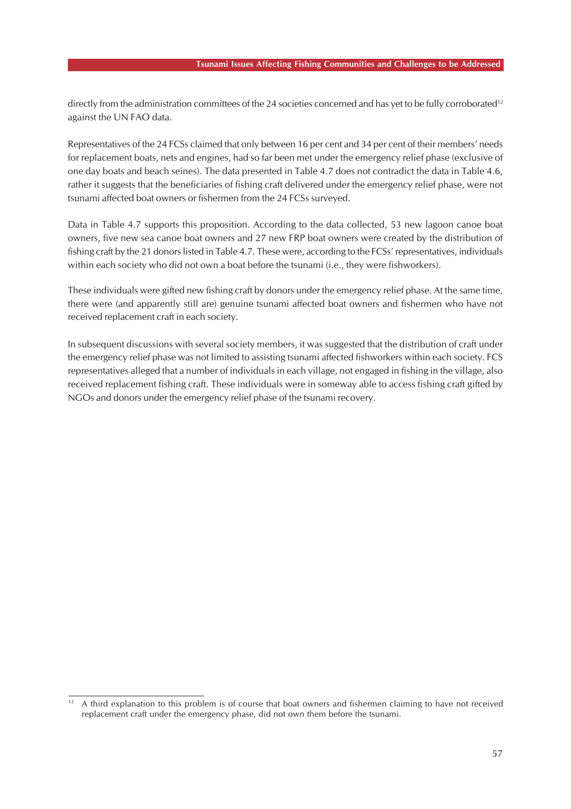directly from the administration committees of the 24 societies concerned and has yet to be fully corroborated<sup>12</sup> against the UN FAO data.

Representatives of the 24 FCSs claimed that only between 16 per cent and 34 per cent of their members' needs for replacement boats, nets and engines, had so far been met under the emergency relief phase (exclusive of one day boats and beach seines). The data presented in Table 4.7 does not contradict the data in Table 4.6, rather it suggests that the beneficiaries of fishing craft delivered under the emergency relief phase, were not tsunami affected boat owners or fishermen from the 24 FCSs surveyed.

Data in Table 4.7 supports this proposition. According to the data collected, 53 new lagoon canoe boat owners, five new sea canoe boat owners and 27 new FRP boat owners were created by the distribution of fishing craft by the 21 donors listed in Table 4.7. These were, according to the FCSs' representatives, individuals within each society who did not own a boat before the tsunami (i.e., they were fishworkers).

These individuals were gifted new fishing craft by donors under the emergency relief phase. At the same time, there were (and apparently still are) genuine tsunami affected boat owners and fishermen who have not received replacement craft in each society.

In subsequent discussions with several society members, it was suggested that the distribution of craft under the emergency relief phase was not limited to assisting tsunami affected fishworkers within each society. FCS representatives alleged that a number of individuals in each village, not engaged in fishing in the village, also received replacement fishing craft. These individuals were in someway able to access fishing craft gifted by NGOs and donors under the emergency relief phase of the tsunami recovery.

<sup>&</sup>lt;sup>12</sup> A third explanation to this problem is of course that boat owners and fishermen claiming to have not received replacement craft under the emergency phase, did not own them before the tsunami.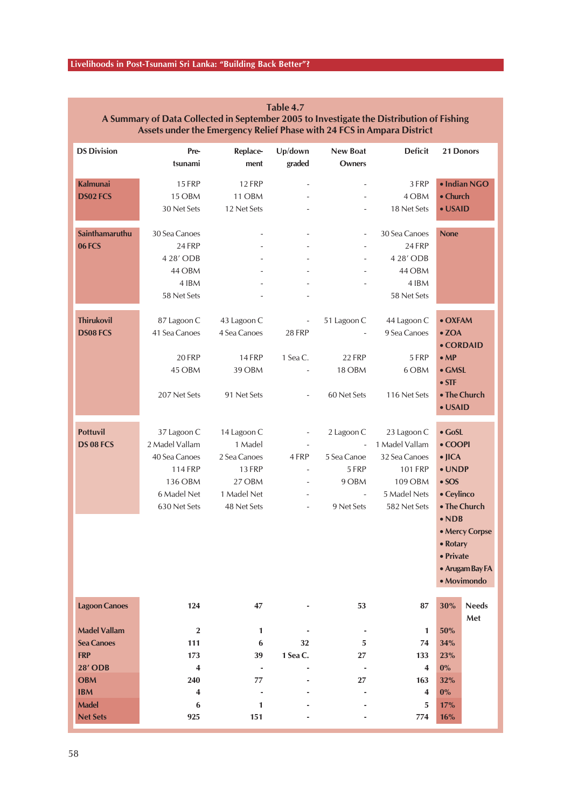| <b>DS Division</b>   | Pre-                    | Replace-                     | Up/down                  | <b>New Boat</b>               | <b>Deficit</b>          | 21 Donors      |                 |
|----------------------|-------------------------|------------------------------|--------------------------|-------------------------------|-------------------------|----------------|-----------------|
|                      | tsunami                 | ment                         | graded                   | <b>Owners</b>                 |                         |                |                 |
| <b>Kalmunai</b>      | <b>15 FRP</b>           | <b>12 FRP</b>                |                          |                               | 3 FRP                   |                | · Indian NGO    |
| <b>DS02 FCS</b>      | 15 OBM                  | 11 OBM                       |                          |                               | 4 OBM                   | • Church       |                 |
|                      | 30 Net Sets             | 12 Net Sets                  |                          |                               | 18 Net Sets             | • USAID        |                 |
| Sainthamaruthu       | 30 Sea Canoes           |                              |                          | $\overline{\phantom{a}}$      | 30 Sea Canoes           | <b>None</b>    |                 |
| 06FCS                | 24 FRP                  |                              |                          |                               | 24 FRP                  |                |                 |
|                      | 4 28' ODB               |                              |                          |                               | 4 28' ODB               |                |                 |
|                      | 44 OBM                  |                              |                          |                               | 44 OBM                  |                |                 |
|                      | 4 IBM                   |                              |                          |                               | 4 IBM                   |                |                 |
|                      | 58 Net Sets             |                              |                          |                               | 58 Net Sets             |                |                 |
| <b>Thirukovil</b>    | 87 Lagoon C             | 43 Lagoon C                  | $\overline{\phantom{a}}$ | 51 Lagoon C                   | 44 Lagoon C             | • OXFAM        |                 |
| <b>DS08 FCS</b>      | 41 Sea Canoes           | 4 Sea Canoes                 | 28 FRP                   |                               | 9 Sea Canoes            | $\bullet$ ZOA  |                 |
|                      |                         |                              |                          |                               |                         | • CORDAID      |                 |
|                      | 20 FRP                  | <b>14 FRP</b>                | 1 Sea C.                 | 22 FRP                        | 5 FRP                   | $\bullet$ MP   |                 |
|                      | 45 OBM                  | 39 OBM                       |                          | 18 OBM                        | 6 OBM                   | $\bullet$ GMSL |                 |
|                      |                         |                              |                          |                               |                         | $\bullet$ STF  |                 |
|                      | 207 Net Sets            | 91 Net Sets                  |                          | 60 Net Sets                   | 116 Net Sets            | • The Church   |                 |
|                      |                         |                              |                          |                               |                         | • USAID        |                 |
| <b>Pottuvil</b>      | 37 Lagoon C             | 14 Lagoon C                  |                          | 2 Lagoon C                    | 23 Lagoon C             | $\bullet$ GoSL |                 |
| <b>DS 08 FCS</b>     | 2 Madel Vallam          | 1 Madel                      | $\overline{\phantom{a}}$ | $\mathbb{Z}$                  | 1 Madel Vallam          | • COOPI        |                 |
|                      | 40 Sea Canoes           | 2 Sea Canoes                 | 4 FRP                    | 5 Sea Canoe                   | 32 Sea Canoes           | $\bullet$ JICA |                 |
|                      | <b>114 FRP</b>          | <b>13 FRP</b>                |                          | 5 FRP                         | <b>101 FRP</b>          | • UNDP         |                 |
|                      | 136 OBM                 | 27 OBM                       | $\overline{\phantom{a}}$ | 9 OBM                         | 109 OBM                 | $\bullet$ SOS  |                 |
|                      | 6 Madel Net             | 1 Madel Net                  | $\overline{\phantom{a}}$ | $\bar{a}$                     | 5 Madel Nets            | • Ceylinco     |                 |
|                      | 630 Net Sets            | 48 Net Sets                  | $\overline{\phantom{a}}$ | 9 Net Sets                    | 582 Net Sets            |                | • The Church    |
|                      |                         |                              |                          |                               |                         | $\bullet$ NDB  |                 |
|                      |                         |                              |                          |                               |                         |                | • Mercy Corpse  |
|                      |                         |                              |                          |                               |                         | • Rotary       |                 |
|                      |                         |                              |                          |                               |                         | • Private      |                 |
|                      |                         |                              |                          |                               |                         |                | • Arugam Bay FA |
|                      |                         |                              |                          |                               |                         |                | · Movimondo     |
| <b>Lagoon Canoes</b> | 124                     | 47                           | $\overline{\phantom{a}}$ | 53                            | 87                      | 30%            | <b>Needs</b>    |
| <b>Madel Vallam</b>  | $\bf 2$                 | 1                            |                          |                               | $\mathbf{1}$            | 50%            | Met             |
| <b>Sea Canoes</b>    | 111                     | $\bf{6}$                     | 32                       | $\overline{\phantom{a}}$<br>5 | 74                      | 34%            |                 |
| <b>FRP</b>           | 173                     | 39                           | 1 Sea C.                 | 27                            | 133                     | 23%            |                 |
| <b>28' ODB</b>       | $\overline{\mathbf{4}}$ | $\qquad \qquad \blacksquare$ |                          |                               | $\overline{\mathbf{4}}$ | $0\%$          |                 |
| <b>OBM</b>           | 240                     | 77                           |                          | 27                            | 163                     | 32%            |                 |
| <b>IBM</b>           | 4                       | $\qquad \qquad \blacksquare$ |                          |                               | 4                       | 0%             |                 |
| <b>Madel</b>         | 6                       | $\mathbf{1}$                 |                          |                               | 5                       | 17%            |                 |
| <b>Net Sets</b>      | 925                     | 151                          |                          |                               | 774                     | 16%            |                 |
|                      |                         |                              |                          |                               |                         |                |                 |

### **Table 4.7 A Summary of Data Collected in September 2005 to Investigate the Distribution of Fishing Assets under the Emergency Relief Phase with 24 FCS in Ampara District**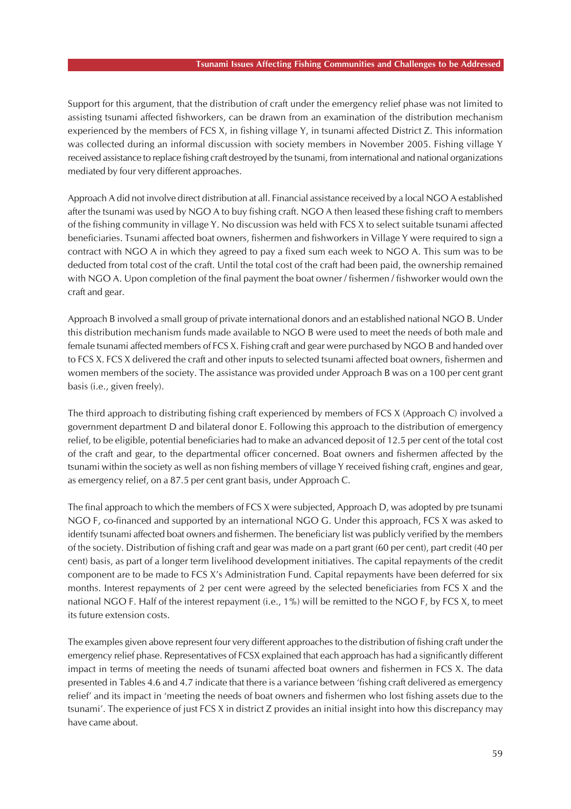#### **Tsunami Issues Affecting Fishing Communities and Challenges to be Addressed**

Support for this argument, that the distribution of craft under the emergency relief phase was not limited to assisting tsunami affected fishworkers, can be drawn from an examination of the distribution mechanism experienced by the members of FCS X, in fishing village Y, in tsunami affected District Z. This information was collected during an informal discussion with society members in November 2005. Fishing village Y received assistance to replace fishing craft destroyed by the tsunami, from international and national organizations mediated by four very different approaches.

Approach A did not involve direct distribution at all. Financial assistance received by a local NGO A established after the tsunami was used by NGO A to buy fishing craft. NGO A then leased these fishing craft to members of the fishing community in village Y. No discussion was held with FCS X to select suitable tsunami affected beneficiaries. Tsunami affected boat owners, fishermen and fishworkers in Village Y were required to sign a contract with NGO A in which they agreed to pay a fixed sum each week to NGO A. This sum was to be deducted from total cost of the craft. Until the total cost of the craft had been paid, the ownership remained with NGO A. Upon completion of the final payment the boat owner / fishermen / fishworker would own the craft and gear.

Approach B involved a small group of private international donors and an established national NGO B. Under this distribution mechanism funds made available to NGO B were used to meet the needs of both male and female tsunami affected members of FCS X. Fishing craft and gear were purchased by NGO B and handed over to FCS X. FCS X delivered the craft and other inputs to selected tsunami affected boat owners, fishermen and women members of the society. The assistance was provided under Approach B was on a 100 per cent grant basis (i.e., given freely).

The third approach to distributing fishing craft experienced by members of FCS X (Approach C) involved a government department D and bilateral donor E. Following this approach to the distribution of emergency relief, to be eligible, potential beneficiaries had to make an advanced deposit of 12.5 per cent of the total cost of the craft and gear, to the departmental officer concerned. Boat owners and fishermen affected by the tsunami within the society as well as non fishing members of village Y received fishing craft, engines and gear, as emergency relief, on a 87.5 per cent grant basis, under Approach C.

The final approach to which the members of FCS X were subjected, Approach D, was adopted by pre tsunami NGO F, co-financed and supported by an international NGO G. Under this approach, FCS X was asked to identify tsunami affected boat owners and fishermen. The beneficiary list was publicly verified by the members of the society. Distribution of fishing craft and gear was made on a part grant (60 per cent), part credit (40 per cent) basis, as part of a longer term livelihood development initiatives. The capital repayments of the credit component are to be made to FCS X's Administration Fund. Capital repayments have been deferred for six months. Interest repayments of 2 per cent were agreed by the selected beneficiaries from FCS X and the national NGO F. Half of the interest repayment (i.e., 1%) will be remitted to the NGO F, by FCS X, to meet its future extension costs.

The examples given above represent four very different approaches to the distribution of fishing craft under the emergency relief phase. Representatives of FCSX explained that each approach has had a significantly different impact in terms of meeting the needs of tsunami affected boat owners and fishermen in FCS X. The data presented in Tables 4.6 and 4.7 indicate that there is a variance between 'fishing craft delivered as emergency relief' and its impact in 'meeting the needs of boat owners and fishermen who lost fishing assets due to the tsunami'. The experience of just FCS X in district Z provides an initial insight into how this discrepancy may have came about.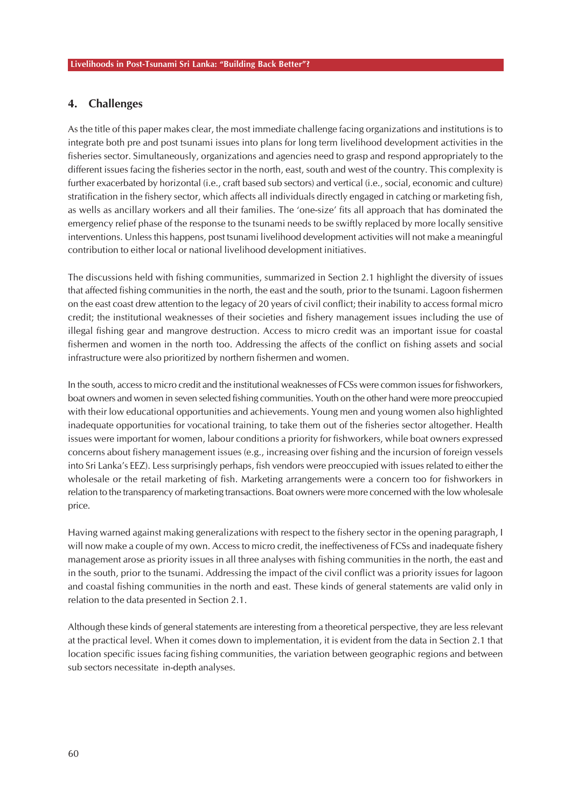# **4. Challenges**

As the title of this paper makes clear, the most immediate challenge facing organizations and institutions is to integrate both pre and post tsunami issues into plans for long term livelihood development activities in the fisheries sector. Simultaneously, organizations and agencies need to grasp and respond appropriately to the different issues facing the fisheries sector in the north, east, south and west of the country. This complexity is further exacerbated by horizontal (i.e., craft based sub sectors) and vertical (i.e., social, economic and culture) stratification in the fishery sector, which affects all individuals directly engaged in catching or marketing fish, as wells as ancillary workers and all their families. The 'one-size' fits all approach that has dominated the emergency relief phase of the response to the tsunami needs to be swiftly replaced by more locally sensitive interventions. Unless this happens, post tsunami livelihood development activities will not make a meaningful contribution to either local or national livelihood development initiatives.

The discussions held with fishing communities, summarized in Section 2.1 highlight the diversity of issues that affected fishing communities in the north, the east and the south, prior to the tsunami. Lagoon fishermen on the east coast drew attention to the legacy of 20 years of civil conflict; their inability to access formal micro credit; the institutional weaknesses of their societies and fishery management issues including the use of illegal fishing gear and mangrove destruction. Access to micro credit was an important issue for coastal fishermen and women in the north too. Addressing the affects of the conflict on fishing assets and social infrastructure were also prioritized by northern fishermen and women.

In the south, access to micro credit and the institutional weaknesses of FCSs were common issues for fishworkers, boat owners and women in seven selected fishing communities. Youth on the other hand were more preoccupied with their low educational opportunities and achievements. Young men and young women also highlighted inadequate opportunities for vocational training, to take them out of the fisheries sector altogether. Health issues were important for women, labour conditions a priority for fishworkers, while boat owners expressed concerns about fishery management issues (e.g., increasing over fishing and the incursion of foreign vessels into Sri Lanka's EEZ). Less surprisingly perhaps, fish vendors were preoccupied with issues related to either the wholesale or the retail marketing of fish. Marketing arrangements were a concern too for fishworkers in relation to the transparency of marketing transactions. Boat owners were more concerned with the low wholesale price.

Having warned against making generalizations with respect to the fishery sector in the opening paragraph, I will now make a couple of my own. Access to micro credit, the ineffectiveness of FCSs and inadequate fishery management arose as priority issues in all three analyses with fishing communities in the north, the east and in the south, prior to the tsunami. Addressing the impact of the civil conflict was a priority issues for lagoon and coastal fishing communities in the north and east. These kinds of general statements are valid only in relation to the data presented in Section 2.1.

Although these kinds of general statements are interesting from a theoretical perspective, they are less relevant at the practical level. When it comes down to implementation, it is evident from the data in Section 2.1 that location specific issues facing fishing communities, the variation between geographic regions and between sub sectors necessitate in-depth analyses.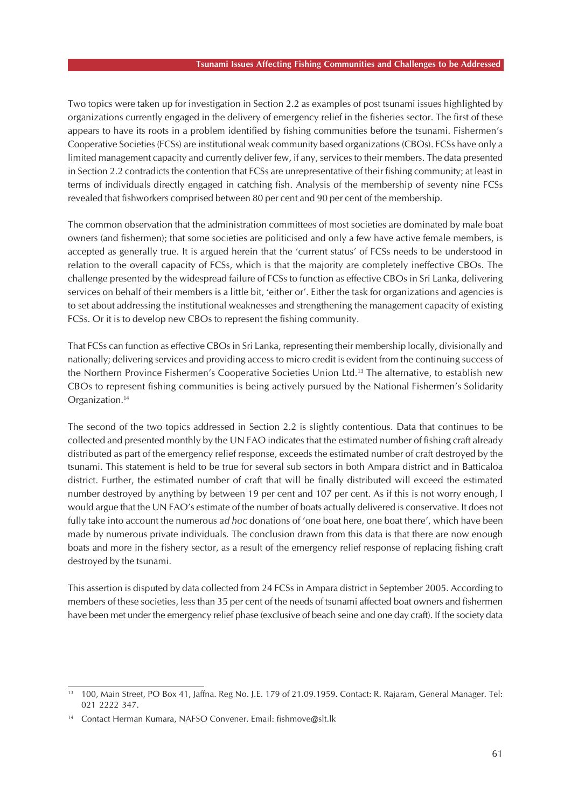Two topics were taken up for investigation in Section 2.2 as examples of post tsunami issues highlighted by organizations currently engaged in the delivery of emergency relief in the fisheries sector. The first of these appears to have its roots in a problem identified by fishing communities before the tsunami. Fishermen's Cooperative Societies (FCSs) are institutional weak community based organizations (CBOs). FCSs have only a limited management capacity and currently deliver few, if any, services to their members. The data presented in Section 2.2 contradicts the contention that FCSs are unrepresentative of their fishing community; at least in terms of individuals directly engaged in catching fish. Analysis of the membership of seventy nine FCSs revealed that fishworkers comprised between 80 per cent and 90 per cent of the membership.

The common observation that the administration committees of most societies are dominated by male boat owners (and fishermen); that some societies are politicised and only a few have active female members, is accepted as generally true. It is argued herein that the 'current status' of FCSs needs to be understood in relation to the overall capacity of FCSs, which is that the majority are completely ineffective CBOs. The challenge presented by the widespread failure of FCSs to function as effective CBOs in Sri Lanka, delivering services on behalf of their members is a little bit, 'either or'. Either the task for organizations and agencies is to set about addressing the institutional weaknesses and strengthening the management capacity of existing FCSs. Or it is to develop new CBOs to represent the fishing community.

That FCSs can function as effective CBOs in Sri Lanka, representing their membership locally, divisionally and nationally; delivering services and providing access to micro credit is evident from the continuing success of the Northern Province Fishermen's Cooperative Societies Union Ltd.<sup>13</sup> The alternative, to establish new CBOs to represent fishing communities is being actively pursued by the National Fishermen's Solidarity Organization.<sup>14</sup>

The second of the two topics addressed in Section 2.2 is slightly contentious. Data that continues to be collected and presented monthly by the UN FAO indicates that the estimated number of fishing craft already distributed as part of the emergency relief response, exceeds the estimated number of craft destroyed by the tsunami. This statement is held to be true for several sub sectors in both Ampara district and in Batticaloa district. Further, the estimated number of craft that will be finally distributed will exceed the estimated number destroyed by anything by between 19 per cent and 107 per cent. As if this is not worry enough, I would argue that the UN FAO's estimate of the number of boats actually delivered is conservative. It does not fully take into account the numerous *ad hoc* donations of 'one boat here, one boat there', which have been made by numerous private individuals. The conclusion drawn from this data is that there are now enough boats and more in the fishery sector, as a result of the emergency relief response of replacing fishing craft destroyed by the tsunami.

This assertion is disputed by data collected from 24 FCSs in Ampara district in September 2005. According to members of these societies, less than 35 per cent of the needs of tsunami affected boat owners and fishermen have been met under the emergency relief phase (exclusive of beach seine and one day craft). If the society data

<sup>13</sup> 100, Main Street, PO Box 41, Jaffna. Reg No. J.E. 179 of 21.09.1959. Contact: R. Rajaram, General Manager. Tel: 021 2222 347.

<sup>14</sup> Contact Herman Kumara, NAFSO Convener. Email: fishmove@slt.lk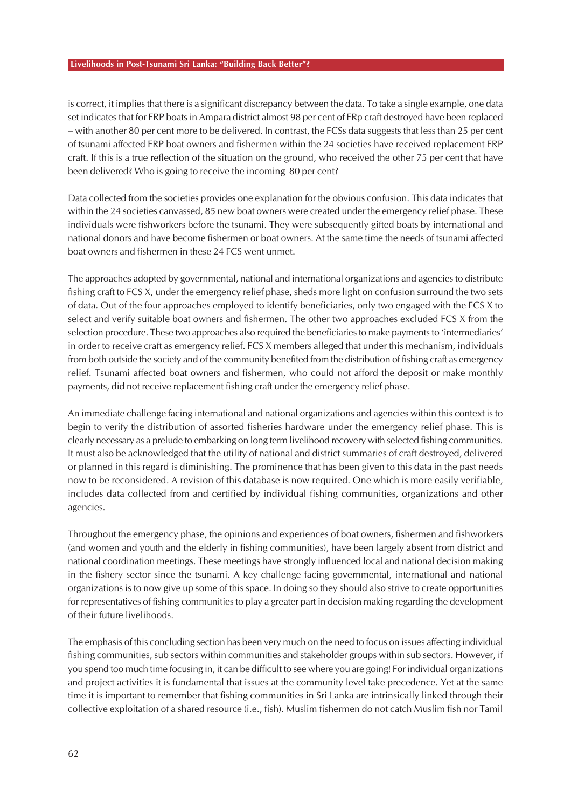#### **Livelihoods in Post-Tsunami Sri Lanka: "Building Back Better"?**

is correct, it implies that there is a significant discrepancy between the data. To take a single example, one data set indicates that for FRP boats in Ampara district almost 98 per cent of FRp craft destroyed have been replaced – with another 80 per cent more to be delivered. In contrast, the FCSs data suggests that less than 25 per cent of tsunami affected FRP boat owners and fishermen within the 24 societies have received replacement FRP craft. If this is a true reflection of the situation on the ground, who received the other 75 per cent that have been delivered? Who is going to receive the incoming 80 per cent?

Data collected from the societies provides one explanation for the obvious confusion. This data indicates that within the 24 societies canvassed, 85 new boat owners were created under the emergency relief phase. These individuals were fishworkers before the tsunami. They were subsequently gifted boats by international and national donors and have become fishermen or boat owners. At the same time the needs of tsunami affected boat owners and fishermen in these 24 FCS went unmet.

The approaches adopted by governmental, national and international organizations and agencies to distribute fishing craft to FCS X, under the emergency relief phase, sheds more light on confusion surround the two sets of data. Out of the four approaches employed to identify beneficiaries, only two engaged with the FCS X to select and verify suitable boat owners and fishermen. The other two approaches excluded FCS X from the selection procedure. These two approaches also required the beneficiaries to make payments to 'intermediaries' in order to receive craft as emergency relief. FCS X members alleged that under this mechanism, individuals from both outside the society and of the community benefited from the distribution of fishing craft as emergency relief. Tsunami affected boat owners and fishermen, who could not afford the deposit or make monthly payments, did not receive replacement fishing craft under the emergency relief phase.

An immediate challenge facing international and national organizations and agencies within this context is to begin to verify the distribution of assorted fisheries hardware under the emergency relief phase. This is clearly necessary as a prelude to embarking on long term livelihood recovery with selected fishing communities. It must also be acknowledged that the utility of national and district summaries of craft destroyed, delivered or planned in this regard is diminishing. The prominence that has been given to this data in the past needs now to be reconsidered. A revision of this database is now required. One which is more easily verifiable, includes data collected from and certified by individual fishing communities, organizations and other agencies.

Throughout the emergency phase, the opinions and experiences of boat owners, fishermen and fishworkers (and women and youth and the elderly in fishing communities), have been largely absent from district and national coordination meetings. These meetings have strongly influenced local and national decision making in the fishery sector since the tsunami. A key challenge facing governmental, international and national organizations is to now give up some of this space. In doing so they should also strive to create opportunities for representatives of fishing communities to play a greater part in decision making regarding the development of their future livelihoods.

The emphasis of this concluding section has been very much on the need to focus on issues affecting individual fishing communities, sub sectors within communities and stakeholder groups within sub sectors. However, if you spend too much time focusing in, it can be difficult to see where you are going! For individual organizations and project activities it is fundamental that issues at the community level take precedence. Yet at the same time it is important to remember that fishing communities in Sri Lanka are intrinsically linked through their collective exploitation of a shared resource (i.e., fish). Muslim fishermen do not catch Muslim fish nor Tamil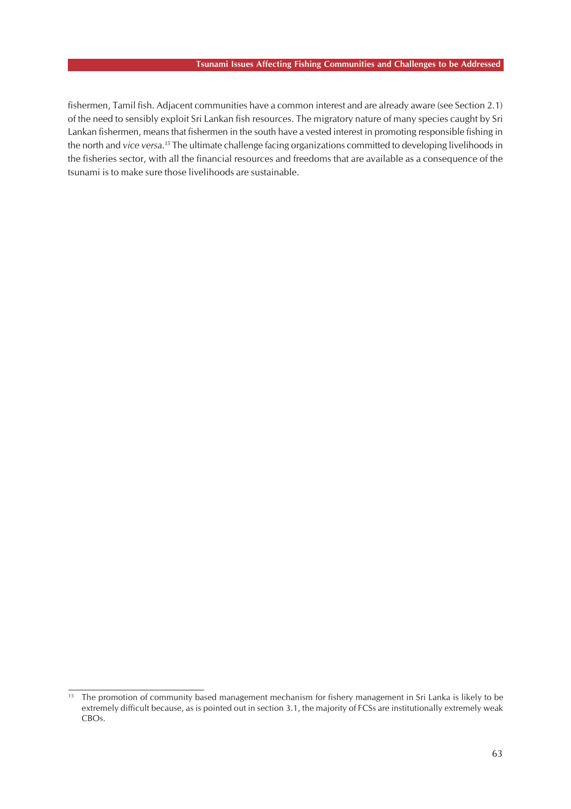#### **Tsunami Issues Affecting Fishing Communities and Challenges to be Addressed**

fishermen, Tamil fish. Adjacent communities have a common interest and are already aware (see Section 2.1) of the need to sensibly exploit Sri Lankan fish resources. The migratory nature of many species caught by Sri Lankan fishermen, means that fishermen in the south have a vested interest in promoting responsible fishing in the north and *vice versa.<sup>15</sup>* The ultimate challenge facing organizations committed to developing livelihoods in the fisheries sector, with all the financial resources and freedoms that are available as a consequence of the tsunami is to make sure those livelihoods are sustainable.

<sup>&</sup>lt;sup>15</sup> The promotion of community based management mechanism for fishery management in Sri Lanka is likely to be extremely difficult because, as is pointed out in section 3.1, the majority of FCSs are institutionally extremely weak CBOs.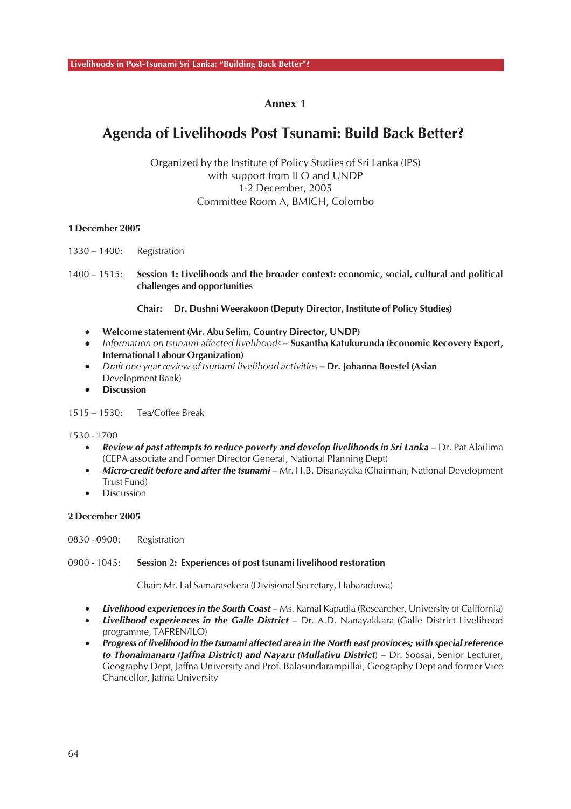# **Agenda of Livelihoods Post Tsunami: Build Back Better?**

Organized by the Institute of Policy Studies of Sri Lanka (IPS) with support from ILO and UNDP 1-2 December, 2005 Committee Room A, BMICH, Colombo

### **1 December 2005**

1330 – 1400: Registration

1400 – 1515: **Session 1: Livelihoods and the broader context: economic, social, cultural and political challenges and opportunities**

**Chair: Dr. Dushni Weerakoon (Deputy Director, Institute of Policy Studies)**

- **Welcome statement (Mr. Abu Selim, Country Director, UNDP)**
- *Information on tsunami affected livelihoods* **Susantha Katukurunda (Economic Recovery Expert, International Labour Organization)**
- *Draft one year review of tsunami livelihood activities* **Dr. Johanna Boestel (Asian** Development Bank)
- **Discussion**

1515 – 1530: Tea/Coffee Break

1530 - 1700

- *Review of past attempts to reduce poverty and develop livelihoods in Sri Lanka* Dr. Pat Alailima (CEPA associate and Former Director General, National Planning Dept)
- *Micro-credit before and after the tsunami* Mr. H.B. Disanayaka (Chairman, National Development Trust Fund)
- **Discussion**

#### **2 December 2005**

0830 - 0900: Registration

#### 0900 - 1045: **Session 2: Experiences of post tsunami livelihood restoration**

Chair: Mr. Lal Samarasekera (Divisional Secretary, Habaraduwa)

- *Livelihood experiences in the South Coast* Ms. Kamal Kapadia (Researcher, University of California)
- *Livelihood experiences in the Galle District* Dr. A.D. Nanayakkara (Galle District Livelihood programme, TAFREN/ILO)
- *Progress of livelihood in the tsunami affected area in the North east provinces; with special reference to Thonaimanaru (Jaffna District) and Nayaru (Mullativu District*) – Dr. Soosai, Senior Lecturer, Geography Dept, Jaffna University and Prof. Balasundarampillai, Geography Dept and former Vice Chancellor, Jaffna University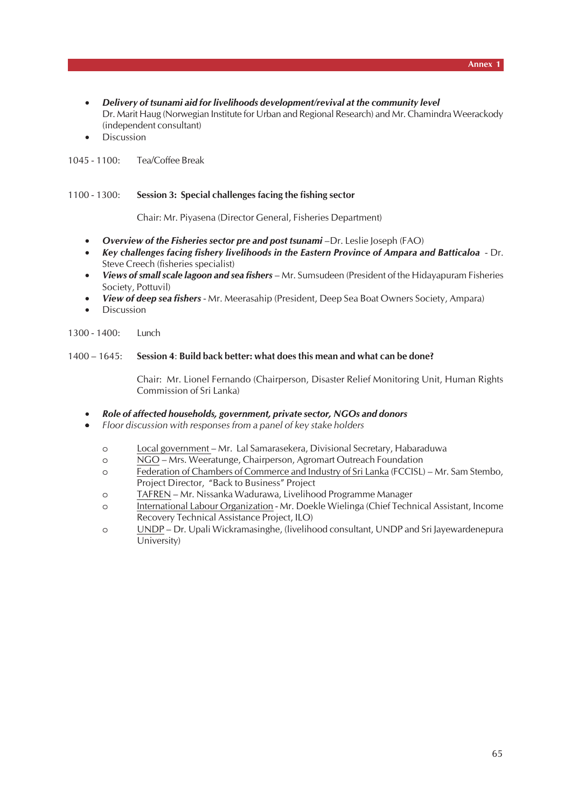- *Delivery of tsunami aid for livelihoods development/revival at the community level* Dr. Marit Haug (Norwegian Institute for Urban and Regional Research) and Mr. Chamindra Weerackody (independent consultant)
- **Discussion**

1045 - 1100: Tea/Coffee Break

#### 1100 - 1300: **Session 3: Special challenges facing the fishing sector**

Chair: Mr. Piyasena (Director General, Fisheries Department)

- *Overview of the Fisheries sector pre and post tsunami* –Dr. Leslie Joseph (FAO)
- *Key challenges facing fishery livelihoods in the Eastern Province of Ampara and Batticaloa*  Dr. Steve Creech (fisheries specialist)
- *Views of small scale lagoon and sea fishers* Mr. Sumsudeen (President of the Hidayapuram Fisheries Society, Pottuvil)
- *View of deep sea fishers* Mr. Meerasahip (President, Deep Sea Boat Owners Society, Ampara)
- **Discussion**

1300 - 1400: Lunch

#### 1400 – 1645: **Session 4**: **Build back better: what does this mean and what can be done?**

Chair: Mr. Lionel Fernando (Chairperson, Disaster Relief Monitoring Unit, Human Rights Commission of Sri Lanka)

#### • *Role of affected households, government, private sector, NGOs and donors*

- *Floor discussion with responses from a panel of key stake holders*
	- o Local government Mr. Lal Samarasekera, Divisional Secretary, Habaraduwa
	- o NGO Mrs. Weeratunge, Chairperson, Agromart Outreach Foundation
	- o Federation of Chambers of Commerce and Industry of Sri Lanka (FCCISL) Mr. Sam Stembo, Project Director, "Back to Business" Project
	- o TAFREN Mr. Nissanka Wadurawa, Livelihood Programme Manager
	- o International Labour Organization Mr. Doekle Wielinga (Chief Technical Assistant, Income Recovery Technical Assistance Project, ILO)
	- o UNDP Dr. Upali Wickramasinghe, (livelihood consultant, UNDP and Sri Jayewardenepura University)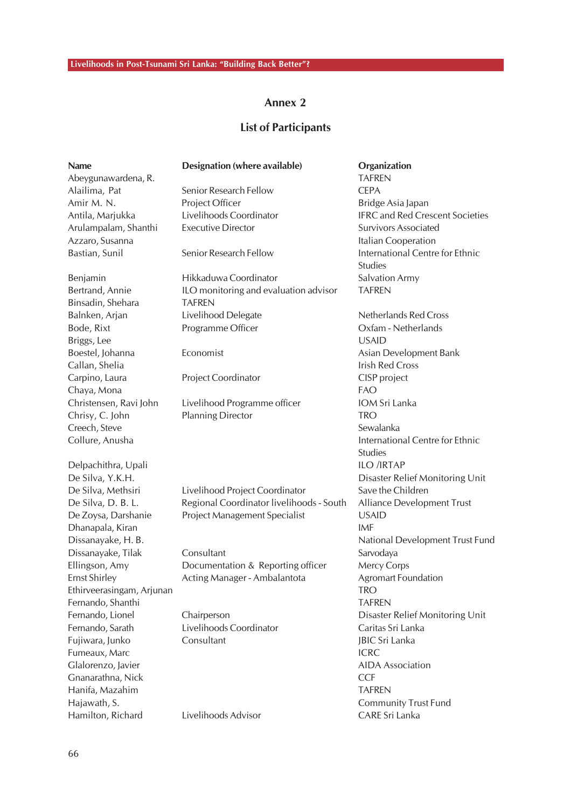# **List of Participants**

| <b>Name</b>               | Designation (where available)            | Organization                                      |
|---------------------------|------------------------------------------|---------------------------------------------------|
| Abeygunawardena, R.       |                                          | <b>TAFREN</b>                                     |
| Alailima, Pat             | Senior Research Fellow                   | <b>CEPA</b>                                       |
| Amir M. N.                | Project Officer                          | Bridge Asia Japan                                 |
| Antila, Marjukka          | Livelihoods Coordinator                  | <b>IFRC and Red Crescent Societies</b>            |
| Arulampalam, Shanthi      | <b>Executive Director</b>                | <b>Survivors Associated</b>                       |
| Azzaro, Susanna           |                                          | Italian Cooperation                               |
| Bastian, Sunil            | Senior Research Fellow                   | International Centre for Ethnic<br><b>Studies</b> |
| Benjamin                  | Hikkaduwa Coordinator                    | <b>Salvation Army</b>                             |
| Bertrand, Annie           | ILO monitoring and evaluation advisor    | <b>TAFREN</b>                                     |
| Binsadin, Shehara         | <b>TAFREN</b>                            |                                                   |
| Balnken, Arjan            | Livelihood Delegate                      | Netherlands Red Cross                             |
| Bode, Rixt                | Programme Officer                        | Oxfam - Netherlands                               |
| Briggs, Lee               |                                          | <b>USAID</b>                                      |
| Boestel, Johanna          | Economist                                | Asian Development Bank                            |
| Callan, Shelia            |                                          | <b>Irish Red Cross</b>                            |
| Carpino, Laura            | Project Coordinator                      | CISP project                                      |
| Chaya, Mona               |                                          | <b>FAO</b>                                        |
| Christensen, Ravi John    | Livelihood Programme officer             | IOM Sri Lanka                                     |
| Chrisy, C. John           | <b>Planning Director</b>                 | <b>TRO</b>                                        |
| Creech, Steve             |                                          | Sewalanka                                         |
| Collure, Anusha           |                                          | International Centre for Ethnic                   |
|                           |                                          | <b>Studies</b>                                    |
| Delpachithra, Upali       |                                          | <b>ILO /IRTAP</b>                                 |
| De Silva, Y.K.H.          |                                          | Disaster Relief Monitoring Unit                   |
| De Silva, Methsiri        | Livelihood Project Coordinator           | Save the Children                                 |
| De Silva, D. B. L.        | Regional Coordinator livelihoods - South | Alliance Development Trust                        |
| De Zoysa, Darshanie       | Project Management Specialist            | <b>USAID</b>                                      |
| Dhanapala, Kiran          |                                          | <b>IMF</b>                                        |
| Dissanayake, H. B.        |                                          | National Development Trust Fund                   |
| Dissanayake, Tilak        | Consultant                               | Sarvodaya                                         |
| Ellingson, Amy            | Documentation & Reporting officer        | Mercy Corps                                       |
| <b>Ernst Shirley</b>      | Acting Manager - Ambalantota             | Agromart Foundation                               |
| Ethirveerasingam, Arjunan |                                          | <b>TRO</b>                                        |
| Fernando, Shanthi         |                                          | <b>TAFREN</b>                                     |
| Fernando, Lionel          | Chairperson                              | Disaster Relief Monitoring Unit                   |
| Fernando, Sarath          | Livelihoods Coordinator                  | Caritas Sri Lanka                                 |
| Fujiwara, Junko           | Consultant                               | <b>JBIC Sri Lanka</b>                             |
| Fumeaux, Marc             |                                          | <b>ICRC</b>                                       |
| Glalorenzo, Javier        |                                          | <b>AIDA</b> Association                           |
| Gnanarathna, Nick         |                                          | <b>CCF</b>                                        |
| Hanifa, Mazahim           |                                          | <b>TAFREN</b>                                     |
| Hajawath, S.              |                                          | <b>Community Trust Fund</b>                       |
| Hamilton, Richard         | Livelihoods Advisor                      | CARE Sri Lanka                                    |
|                           |                                          |                                                   |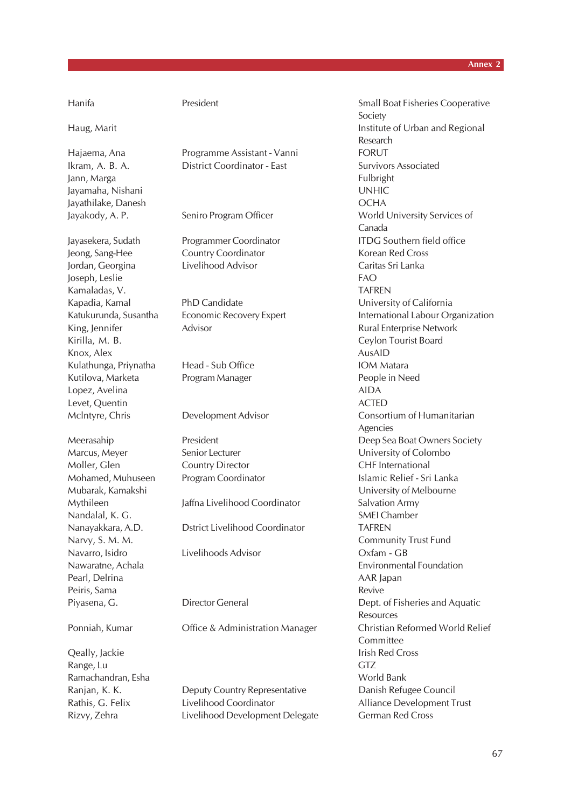Jann, Marga Fulbright Jayamaha, Nishani UNHIC Jayathilake, Danesh OCHA

Joseph, Leslie FAO Kamaladas, V. TAFREN Kirilla, M. B. Ceylon Tourist Board Knox, Alex AusAID Kulathunga, Priynatha Head - Sub Office **IOM Matara** Kutilova, Marketa Program Manager People in Need Lopez, Avelina AIDA Levet, Quentin ACTED

Moller, Glen Country Director CHF International Nandalal, K. G. SMEI Chamber Navarro, Isidro Livelihoods Advisor Oxfam - GB Pearl, Delrina **AAR** Japan Peiris, Sama Revive and Sama Revive and Sama Revive and Sama Revive and Sama Revive

Range, Lu GTZ Ramachandran, Esha World Bank

Hajaema, Ana Programme Assistant - Vanni FORUT Ikram, A. B. A. District Coordinator - East Survivors Associated

Jeong, Sang-Hee Country Coordinator Korean Red Cross Jordan, Georgina Livelihood Advisor Caritas Sri Lanka

King, Jennifer **Advisor** Advisor **Rural Enterprise Network** 

Mythileen Jaffna Livelihood Coordinator Salvation Army

Nanayakkara, A.D. Dstrict Livelihood Coordinator TAFREN

Ranjan, K. K. **Deputy Country Representative** Danish Refugee Council Rathis, G. Felix **Livelihood Coordinator** Alliance Development Trust Rizvy, Zehra Livelihood Development Delegate German Red Cross

Hanifa President Small Boat Fisheries Cooperative Society Haug, Marit **Institute of Urban and Regional** Research Jayakody, A. P. Seniro Program Officer World University Services of Canada Jayasekera, Sudath Programmer Coordinator ITDG Southern field office Kapadia, Kamal PhD Candidate University of California Katukurunda, Susantha Economic Recovery Expert International Labour Organization Mclntyre, Chris Development Advisor Consortium of Humanitarian Agencies Meerasahip President President Deep Sea Boat Owners Society Marcus, Meyer Senior Lecturer Contact Colombo Mohamed, Muhuseen Program Coordinator Islamic Relief - Sri Lanka Mubarak, Kamakshi University of Melbourne Narvy, S. M. M. Community Trust Fund Nawaratne, Achala Environmental Foundation Piyasena, G. **Director General Community** Dept. of Fisheries and Aquatic **Resources** Ponniah, Kumar Office & Administration Manager Christian Reformed World Relief Committee **Qeally, Jackie Irish Red Cross**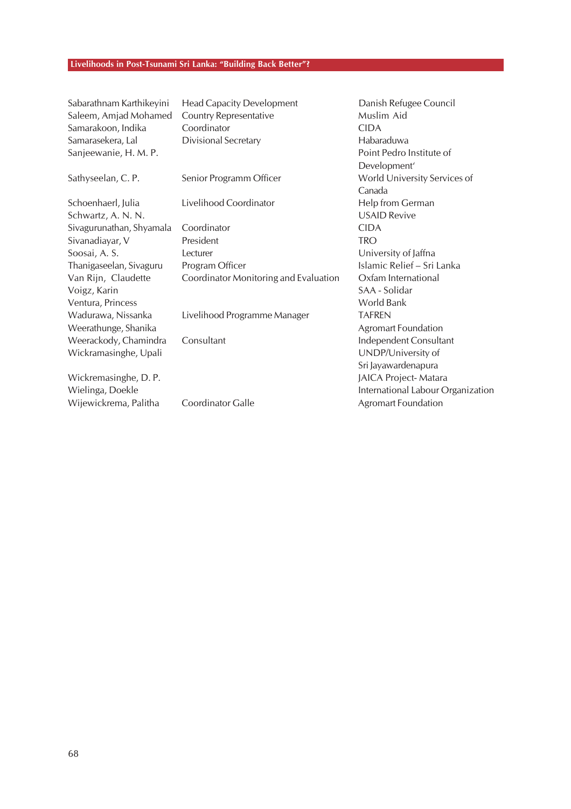#### **Livelihoods in Post-Tsunami Sri Lanka: "Building Back Better"?**

Sanjeewanie, H. M. P. Point Pedro Institute of

Sabarathnam Karthikeyini Head Capacity Development Danish Refugee Council Saleem, Amjad Mohamed Country Representative **Muslim Aid** Muslim Aid Samarakoon, Indika Coordinator CIDA Samarasekera, Lal Divisional Secretary **Example 2018** Habaraduwa

Ventura, Princess World Bank Wadurawa, Nissanka Livelihood Programme Manager TAFREN Weerathunge, Shanika Agromart Foundation Weerackody, Chamindra Consultant Independent Consultant Wickramasinghe, Upali UNDP/University of

Schoenhaerl, Julia Livelihood Coordinator Help from German Schwartz, A. N. N. Van Elizabeth Christian Museum and USAID Revive Sivagurunathan, Shyamala Coordinator CIDA Sivanadiayar, V President TRO Soosai, A. S. Christopher Lecturer Contact Lecturer Contact A. S. University of Jaffna Thanigaseelan, Sivaguru Program Officer **Islamic Relief – Sri Lanka** Van Rijn, Claudette Coordinator Monitoring and Evaluation Oxfam International Voigz, Karin SAA - Solidar

Wijewickrema, Palitha Coordinator Galle **Agromat Foundation** Coordinator Galle

Development' Sathyseelan, C. P. Senior Programm Officer Norld University Services of Canada Sri Jayawardenapura Wickremasinghe, D. P. JAICA Project- Matara Wielinga, Doekle **International Labour Organization** International Labour Organization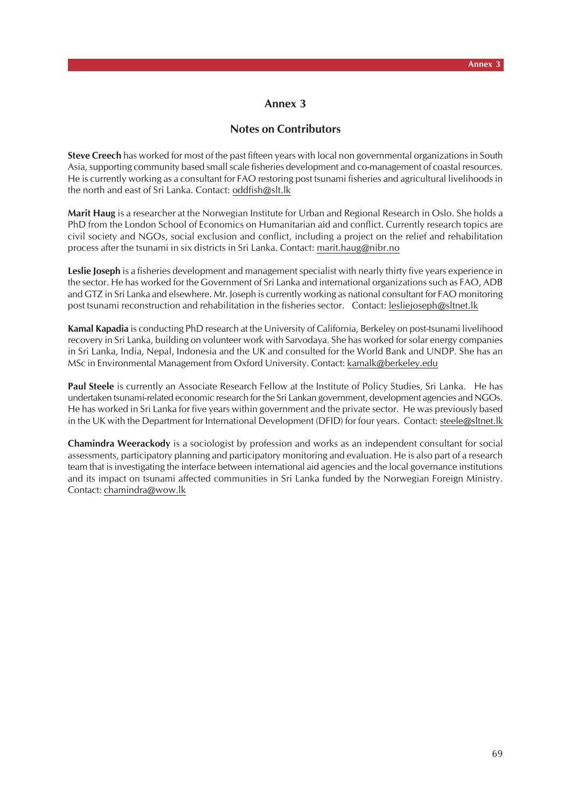## **Notes on Contributors**

**Steve Creech** has worked for most of the past fifteen years with local non governmental organizations in South Asia, supporting community based small scale fisheries development and co-management of coastal resources. He is currently working as a consultant for FAO restoring post tsunami fisheries and agricultural livelihoods in the north and east of Sri Lanka. Contact: oddfish@slt.lk

**Marit Haug** is a researcher at the Norwegian Institute for Urban and Regional Research in Oslo. She holds a PhD from the London School of Economics on Humanitarian aid and conflict. Currently research topics are civil society and NGOs, social exclusion and conflict, including a project on the relief and rehabilitation process after the tsunami in six districts in Sri Lanka. Contact: marit.haug@nibr.no

**Leslie Joseph** is a fisheries development and management specialist with nearly thirty five years experience in the sector. He has worked for the Government of Sri Lanka and international organizations such as FAO, ADB and GTZ in Sri Lanka and elsewhere. Mr. Joseph is currently working as national consultant for FAO monitoring post tsunami reconstruction and rehabilitation in the fisheries sector. Contact: lesliejoseph@sltnet.lk

**Kamal Kapadia** is conducting PhD research at the University of California, Berkeley on post-tsunami livelihood recovery in Sri Lanka, building on volunteer work with Sarvodaya. She has worked for solar energy companies in Sri Lanka, India, Nepal, Indonesia and the UK and consulted for the World Bank and UNDP. She has an MSc in Environmental Management from Oxford University. Contact: kamalk@berkeley.edu

Paul Steele is currently an Associate Research Fellow at the Institute of Policy Studies, Sri Lanka. He has undertaken tsunami-related economic research for the Sri Lankan government, development agencies and NGOs. He has worked in Sri Lanka for five years within government and the private sector. He was previously based in the UK with the Department for International Development (DFID) for four years. Contact: steele@sltnet.lk

**Chamindra Weerackody** is a sociologist by profession and works as an independent consultant for social assessments, participatory planning and participatory monitoring and evaluation. He is also part of a research team that is investigating the interface between international aid agencies and the local governance institutions and its impact on tsunami affected communities in Sri Lanka funded by the Norwegian Foreign Ministry. Contact: chamindra@wow.lk